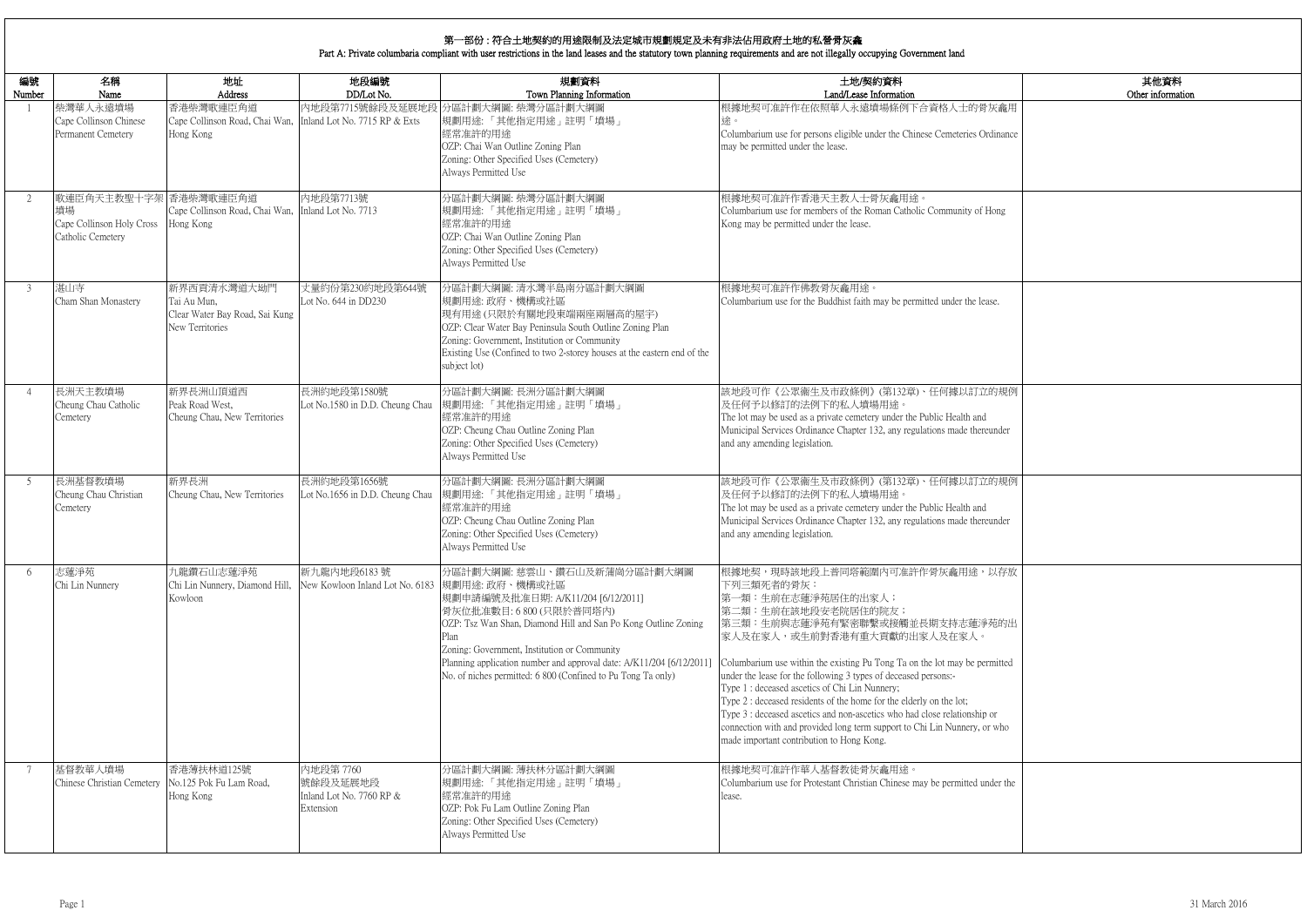|                    | 其他資料<br>Other information |
|--------------------|---------------------------|
| 灰龕用                |                           |
| dinance            |                           |
|                    |                           |
| Iong               |                           |
|                    |                           |
|                    |                           |
| ise.               |                           |
|                    |                           |
|                    |                           |
| 的規例                |                           |
| under              |                           |
|                    |                           |
| 的規例                |                           |
| under              |                           |
|                    |                           |
| 以存放                |                           |
|                    |                           |
| 苑的出                |                           |
| mitted             |                           |
|                    |                           |
| <b>or</b><br>r who |                           |
|                    |                           |
| der the            |                           |
|                    |                           |
|                    |                           |

| 編號<br>Number   | 名稱<br>Name                                                                    | 地址<br>Address                                                                          | 地段編號<br>DD/Lot No.                                             | 規劃資料<br>Town Planning Information                                                                                                                                                                                                                                                                                                                              | 土地/契約資料<br>Land/Lease Information                                                                                                                                                                                                                                                                                                                                                                                                                                                                                                                                                                                                            |
|----------------|-------------------------------------------------------------------------------|----------------------------------------------------------------------------------------|----------------------------------------------------------------|----------------------------------------------------------------------------------------------------------------------------------------------------------------------------------------------------------------------------------------------------------------------------------------------------------------------------------------------------------------|----------------------------------------------------------------------------------------------------------------------------------------------------------------------------------------------------------------------------------------------------------------------------------------------------------------------------------------------------------------------------------------------------------------------------------------------------------------------------------------------------------------------------------------------------------------------------------------------------------------------------------------------|
|                | 柴灣華人永遠墳場<br>Cape Collinson Chinese<br>Permanent Cemetery                      | 香港柴灣歌連臣角道<br>Cape Collinson Road, Chai Wan, Inland Lot No. 7715 RP & Exts<br>Hong Kong |                                                                | 内地段第7715號餘段及延展地段 分區計劃大綱圖: 柴灣分區計劃大綱圖<br>規劃用途:「其他指定用途」註明「墳場」<br>經常准許的用途<br>OZP: Chai Wan Outline Zoning Plan<br>Zoning: Other Specified Uses (Cemetery)<br>Always Permitted Use                                                                                                                                                                                  | 根據地契可准許作在依照華人永遠墳場條例下合資格人士的骨灰龕用<br>途。<br>Columbarium use for persons eligible under the Chinese Cemeteries Ordinance<br>may be permitted under the lease.                                                                                                                                                                                                                                                                                                                                                                                                                                                                                     |
| 2              | 歌連臣角天主教聖十字架 香港柴灣歌連臣角道<br>墳場<br>Cape Collinson Holy Cross<br>Catholic Cemetery | Cape Collinson Road, Chai Wan, Inland Lot No. 7713<br>Hong Kong                        | 內地段第7713號                                                      | 分區計劃大綱圖: 柴灣分區計劃大綱圖<br>規劃用途:「其他指定用途」註明「墳場」<br>經常准許的用途<br>OZP: Chai Wan Outline Zoning Plan<br>Zoning: Other Specified Uses (Cemetery)<br>Always Permitted Use                                                                                                                                                                                                   | 根據地契可准許作香港天主教人士骨灰龕用途。<br>Columbarium use for members of the Roman Catholic Community of Hong<br>Kong may be permitted under the lease.                                                                                                                                                                                                                                                                                                                                                                                                                                                                                                       |
| 3              | 湛山寺<br>Cham Shan Monastery                                                    | 新界西貢清水灣道大坳門<br>Tai Au Mun,<br>Clear Water Bay Road, Sai Kung<br>New Territories        | 丈量約份第230約地段第644號<br>Lot No. 644 in DD230                       | 分區計劃大綱圖: 清水灣半島南分區計劃大綱圖<br>規劃用途:政府、機構或社區<br>現有用途(只限於有關地段東端兩座兩層高的屋宇)<br>OZP: Clear Water Bay Peninsula South Outline Zoning Plan<br>Zoning: Government, Institution or Community<br>Existing Use (Confined to two 2-storey houses at the eastern end of the<br>subject lot)                                                                                      | 根據地契可准許作佛教骨灰龕用途。<br>Columbarium use for the Buddhist faith may be permitted under the lease.                                                                                                                                                                                                                                                                                                                                                                                                                                                                                                                                                 |
| $\overline{4}$ | 長洲天主教墳場<br>Cheung Chau Catholic<br>Cemetery                                   | 新界長洲山頂道西<br>Peak Road West,<br>Cheung Chau, New Territories                            | 長洲約地段第1580號                                                    | 分區計劃大綱圖:長洲分區計劃大綱圖<br>Lot No.1580 in D.D. Cheung Chau  規劃用途:「其他指定用途」註明「墳場」<br>經常准許的用途<br>OZP: Cheung Chau Outline Zoning Plan<br>Zoning: Other Specified Uses (Cemetery)<br>Always Permitted Use                                                                                                                                                                | 該地段可作《公眾衞生及市政條例》(第132章)、任何據以訂立的規例<br>及任何予以修訂的法例下的私人墳場用途。<br>The lot may be used as a private cemetery under the Public Health and<br>Municipal Services Ordinance Chapter 132, any regulations made thereunder<br>and any amending legislation.                                                                                                                                                                                                                                                                                                                                                                                              |
| 5              | 長洲基督教墳場<br>Cheung Chau Christian<br>Cemetery                                  | 新界長洲<br>Cheung Chau, New Territories                                                   | 長洲約地段第1656號<br>Lot No.1656 in D.D. Cheung Chau                 | 分區計劃大綱圖:長洲分區計劃大綱圖<br>規劃用途:「其他指定用途」註明「墳場」<br>經常准許的用途<br>OZP: Cheung Chau Outline Zoning Plan<br>Zoning: Other Specified Uses (Cemetery)<br>Always Permitted Use                                                                                                                                                                                                 | 該地段可作《公眾衞生及市政條例》(第132章)、任何據以訂立的規例<br>及任何予以修訂的法例下的私人墳場用途。<br>The lot may be used as a private cemetery under the Public Health and<br>Municipal Services Ordinance Chapter 132, any regulations made thereunder<br>and any amending legislation.                                                                                                                                                                                                                                                                                                                                                                                              |
| 6              | 志蓮淨苑<br>Chi Lin Nunnery                                                       | 九龍鑽石山志蓮淨苑<br>Chi Lin Nunnery, Diamond Hill,<br>Kowloon                                 | 新九龍內地段6183號<br>New Kowloon Inland Lot No. 6183  規劃用途: 政府、機構或社區 | 分區計劃大綱圖:慈雲山、鑽石山及新蒲崗分區計劃大綱圖<br>規劃申請編號及批准日期: A/K11/204 [6/12/2011]<br>骨灰位批准數目: 6 800 (只限於普同塔內)<br>OZP: Tsz Wan Shan, Diamond Hill and San Po Kong Outline Zoning<br>Plan<br>Zoning: Government, Institution or Community<br>Planning application number and approval date: A/K11/204 [6/12/2011]<br>No. of niches permitted: 6 800 (Confined to Pu Tong Ta only) | 根據地契,現時該地段上普同塔範圍內可准許作骨灰龕用途,以存放<br>下列三類死者的骨灰:<br>第一類:生前在志蓮淨苑居住的出家人;<br>第二類:生前在該地段安老院居住的院友;<br> 第三類:生前與志蓮淨苑有緊密聯繫或接觸並長期支持志蓮淨苑的出<br>家人及在家人,或生前對香港有重大貢獻的出家人及在家人。<br>Columbarium use within the existing Pu Tong Ta on the lot may be permitted<br>under the lease for the following 3 types of deceased persons:-<br>Type 1 : deceased ascetics of Chi Lin Nunnery;<br>Type 2 : deceased residents of the home for the elderly on the lot;<br>Type 3 : deceased ascetics and non-ascetics who had close relationship or<br>connection with and provided long term support to Chi Lin Nunnery, or who<br>made important contribution to Hong Kong. |
| 7              | 基督教華人墳場<br>Chinese Christian Cemetery                                         | 香港薄扶林道125號<br>No.125 Pok Fu Lam Road,<br>Hong Kong                                     | 內地段第 7760<br>號餘段及延展地段<br>Inland Lot No. 7760 RP &<br>Extension | 分區計劃大綱圖: 薄扶林分區計劃大綱圖<br> 規劃用途:「其他指定用途」註明「墳場」<br>經常准許的用途<br>OZP: Pok Fu Lam Outline Zoning Plan<br>Zoning: Other Specified Uses (Cemetery)<br>Always Permitted Use                                                                                                                                                                                               | 根據地契可准許作華人基督教徒骨灰龕用途。<br>Columbarium use for Protestant Christian Chinese may be permitted under the<br>lease.                                                                                                                                                                                                                                                                                                                                                                                                                                                                                                                                |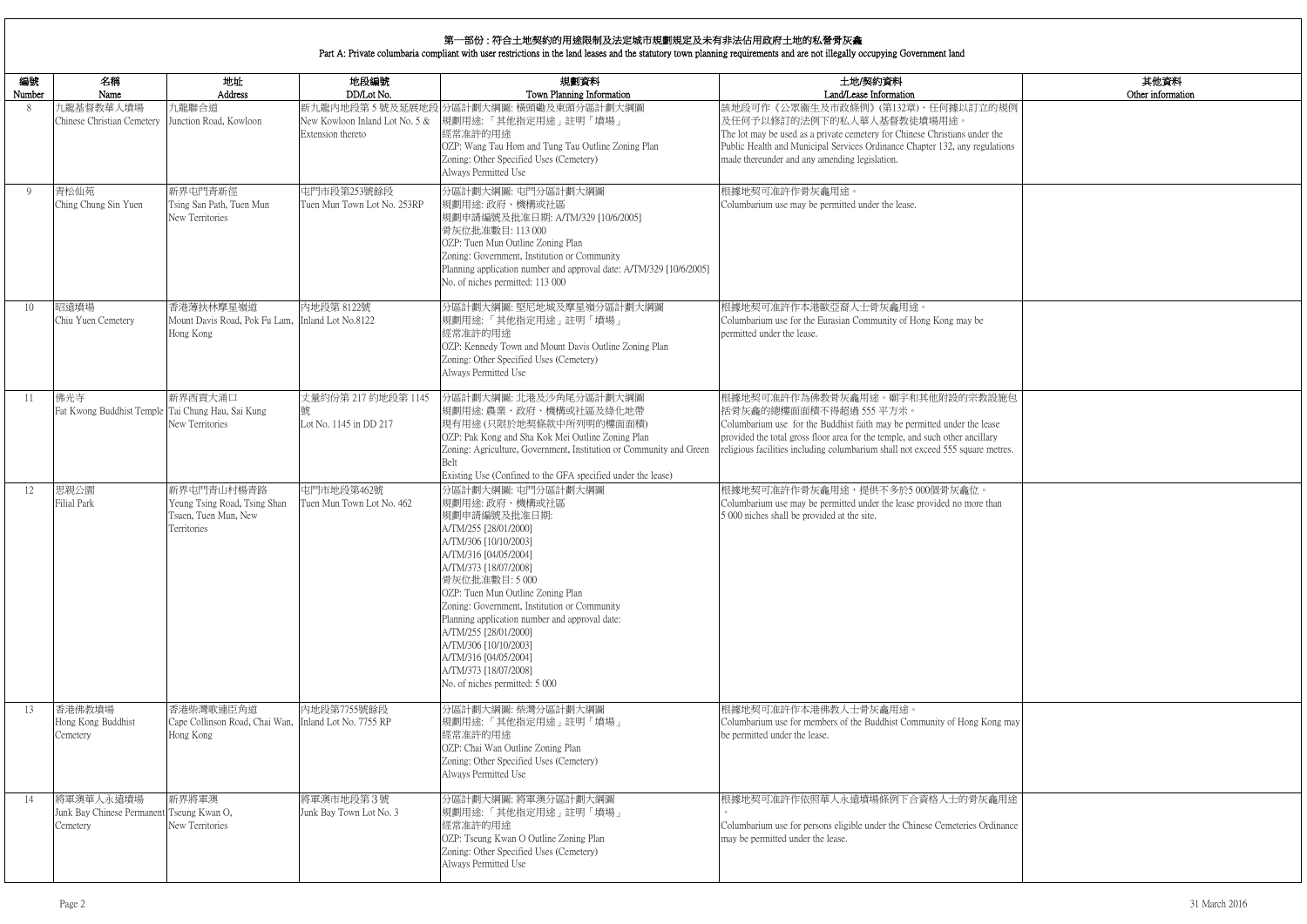|                              | 其他資料<br>Other information |
|------------------------------|---------------------------|
| 的規例                          |                           |
| the<br>ilations              |                           |
|                              |                           |
|                              |                           |
|                              |                           |
| 設施包<br>ase<br>ıry<br>netres. |                           |
| han                          |                           |
|                              |                           |
|                              |                           |
|                              |                           |
| ong may                      |                           |
| 龕用途<br>dinance               |                           |

# 第一部份 : 符合土地契約的用途限制及法定城市規劃規定及未有非法佔用政府土地的私營骨灰龕

Part A: Private columbaria compliant with user restrictions in the land leases and the statutory town planning requirements and are not illegally occupying Government land

| 編號<br>Number | 名稱<br>Name                                                         | 地址<br>Address                                                                     | 地段編號<br>DD/Lot No.                                  | 規劃資料<br>Town Planning Information                                                                                                                                                                                                                                                                                                                                                                                                                   | 土地/契約資料<br>Land/Lease Information                                                                                                                                                                                                                                                                      |
|--------------|--------------------------------------------------------------------|-----------------------------------------------------------------------------------|-----------------------------------------------------|-----------------------------------------------------------------------------------------------------------------------------------------------------------------------------------------------------------------------------------------------------------------------------------------------------------------------------------------------------------------------------------------------------------------------------------------------------|--------------------------------------------------------------------------------------------------------------------------------------------------------------------------------------------------------------------------------------------------------------------------------------------------------|
| 8            | 九龍基督教華人墳場<br>Chinese Christian Cemetery                            | 九龍聯合道<br>Junction Road, Kowloon                                                   | New Kowloon Inland Lot No. 5 &<br>Extension thereto | 新九龍內地段第5號及延展地段 分區計劃大綱圖: 橫頭磡及東頭分區計劃大綱圖<br> 規劃用途:「其他指定用途」註明「墳場」<br>經常准許的用途<br>OZP: Wang Tau Hom and Tung Tau Outline Zoning Plan<br>Zoning: Other Specified Uses (Cemetery)<br>Always Permitted Use                                                                                                                                                                                                                                                   | 該地段可作《公眾衞生及市政條例》(第132章)、任何據以訂立的規例<br>及任何予以修訂的法例下的私人華人基督教徒墳場用途。<br>The lot may be used as a private cemetery for Chinese Christians under the<br>Public Health and Municipal Services Ordinance Chapter 132, any regulations<br>made thereunder and any amending legislation.                           |
| 9            | 青松仙苑<br>Ching Chung Sin Yuen                                       | 新界屯門青新徑<br>Tsing San Path, Tuen Mun<br>New Territories                            | 屯門市段第253號餘段<br>Tuen Mun Town Lot No. 253RP          | 分區計劃大綱圖: 屯門分區計劃大綱圖<br>規劃用途:政府、機構或社區<br>規劃申請編號及批准日期: A/TM/329 [10/6/2005]<br>骨灰位批准數目: 113 000<br>OZP: Tuen Mun Outline Zoning Plan<br>Zoning: Government, Institution or Community<br>Planning application number and approval date: A/TM/329 [10/6/2005]<br>No. of niches permitted: 113 000                                                                                                                                                        | 根據地契可准許作骨灰龕用途。<br>Columbarium use may be permitted under the lease.                                                                                                                                                                                                                                    |
| 10           | 昭遠墳場<br>Chiu Yuen Cemetery                                         | 香港薄扶林摩星嶺道<br>Mount Davis Road, Pok Fu Lam,<br>Hong Kong                           | 內地段第 8122號<br>Inland Lot No.8122                    | 分區計劃大綱圖:堅尼地城及摩星嶺分區計劃大綱圖<br>規劃用途:「其他指定用途」註明「墳場」<br>經常准許的用途<br>OZP: Kennedy Town and Mount Davis Outline Zoning Plan<br>Zoning: Other Specified Uses (Cemetery)<br>Always Permitted Use                                                                                                                                                                                                                                                               | 根據地契可准許作本港歐亞裔人士骨灰龕用途。<br>Columbarium use for the Eurasian Community of Hong Kong may be<br>permitted under the lease.                                                                                                                                                                                  |
| 11           | 佛光寺<br>Fat Kwong Buddhist Temple Tai Chung Hau, Sai Kung           | 新界西貢大涌口<br>New Territories                                                        | 丈量約份第 217 約地段第 1145<br>Lot No. 1145 in DD 217       | 分區計劃大綱圖: 北港及沙角尾分區計劃大綱圖<br>規劃用途:農業、政府、機構或社區及綠化地帶<br>現有用途(只限於地契條款中所列明的樓面面積)<br>OZP: Pak Kong and Sha Kok Mei Outline Zoning Plan<br>Zoning: Agriculture, Government, Institution or Community and Green<br>Belt<br>Existing Use (Confined to the GFA specified under the lease)                                                                                                                                                                       | 根據地契可准許作為佛教骨灰龕用途。廟宇和其他附設的宗教設施包<br>括骨灰龕的總樓面面積不得超過 555 平方米。<br>Columbarium use for the Buddhist faith may be permitted under the lease<br>provided the total gross floor area for the temple, and such other ancillary<br>religious facilities including columbarium shall not exceed 555 square metres. |
| 12           | 思親公園<br><b>Filial Park</b>                                         | 新界屯門青山村楊青路<br>Yeung Tsing Road, Tsing Shan<br>Tsuen, Tuen Mun, New<br>Territories | 屯門市地段第462號<br>Tuen Mun Town Lot No. 462             | 分區計劃大綱圖:屯門分區計劃大綱圖<br>規劃用途:政府、機構或社區<br>規劃申請編號及批准日期:<br>A/TM/255 [28/01/2000]<br>A/TM/306 [10/10/2003]<br>A/TM/316 [04/05/2004]<br>A/TM/373 [18/07/2008]<br>骨灰位批准數目:5000<br>OZP: Tuen Mun Outline Zoning Plan<br>Zoning: Government, Institution or Community<br>Planning application number and approval date:<br>A/TM/255 [28/01/2000]<br>A/TM/306 [10/10/2003]<br>A/TM/316 [04/05/2004]<br>A/TM/373 [18/07/2008]<br>No. of niches permitted: 5 000 | 根據地契可准許作骨灰龕用途,提供不多於5000個骨灰龕位。<br>Columbarium use may be permitted under the lease provided no more than<br>5 000 niches shall be provided at the site.                                                                                                                                                 |
| 13           | 香港佛教墳場<br>Hong Kong Buddhist<br>Cemetery                           | 香港柴灣歌連臣角道<br>Cape Collinson Road, Chai Wan,<br>Hong Kong                          | 内地段第7755號餘段<br>Inland Lot No. 7755 RP               | 分區計劃大綱圖: 柴灣分區計劃大綱圖<br>規劃用途:「其他指定用途」註明「墳場」<br>經常准許的用途<br>OZP: Chai Wan Outline Zoning Plan<br>Zoning: Other Specified Uses (Cemetery)<br>Always Permitted Use                                                                                                                                                                                                                                                                                        | 根據地契可准許作本港佛教人士骨灰龕用途。<br>Columbarium use for members of the Buddhist Community of Hong Kong may<br>be permitted under the lease.                                                                                                                                                                        |
| 14           | 將軍澳華人永遠墳場<br>Junk Bay Chinese Permanent Tseung Kwan O,<br>Cemetery | 新界將軍澳<br>New Territories                                                          | 將軍澳市地段第3號<br>Junk Bay Town Lot No. 3                | 分區計劃大綱圖:將軍澳分區計劃大綱圖<br>規劃用途:「其他指定用途」註明「墳場」<br>經常准許的用途<br>OZP: Tseung Kwan O Outline Zoning Plan<br>Zoning: Other Specified Uses (Cemetery)<br>Always Permitted Use                                                                                                                                                                                                                                                                                   | 根據地契可准許作依照華人永遠墳場條例下合資格人士的骨灰龕用途<br>Columbarium use for persons eligible under the Chinese Cemeteries Ordinance<br>may be permitted under the lease.                                                                                                                                                     |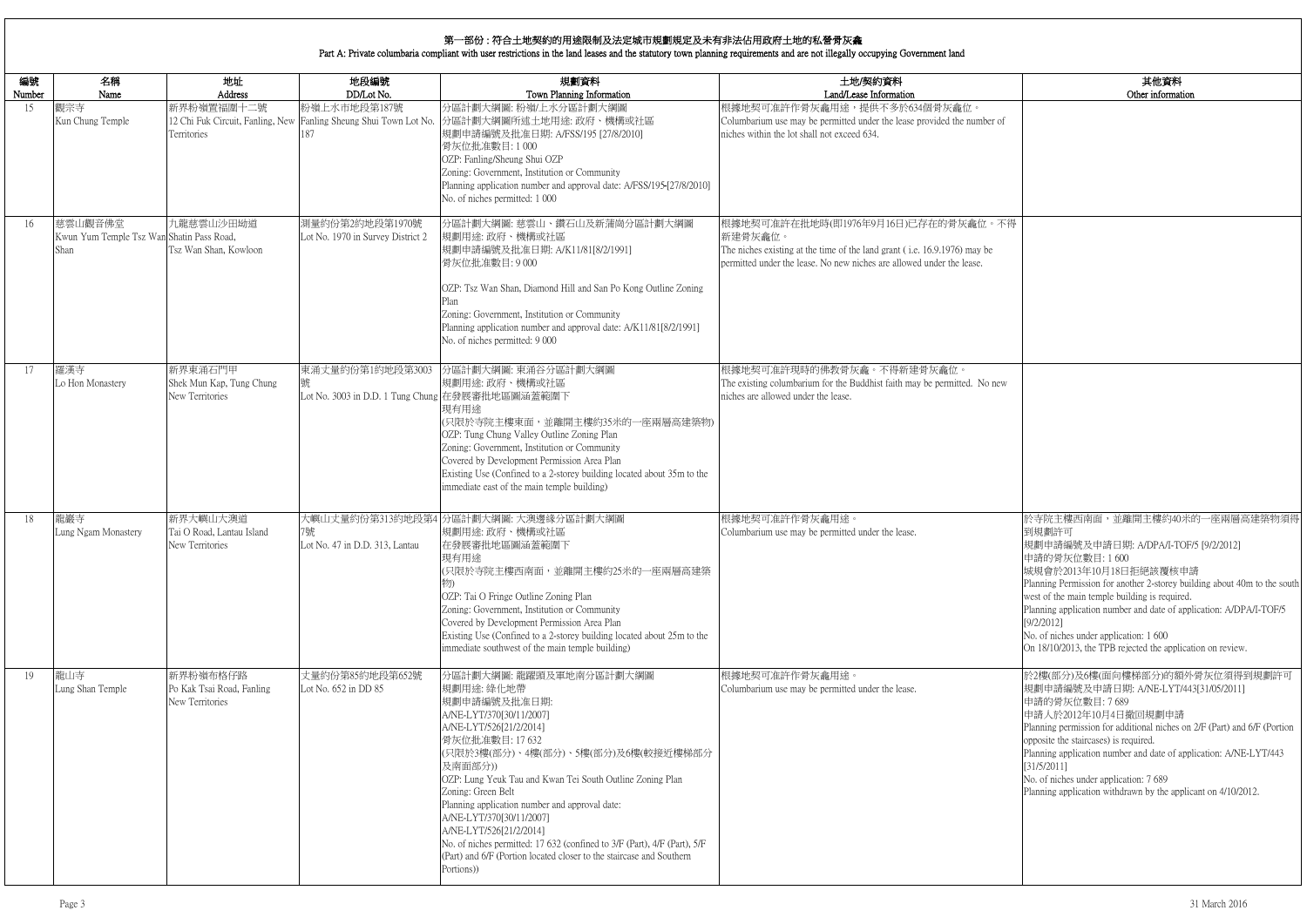|            | 其他資料                                                                                                                                                                                                  |
|------------|-------------------------------------------------------------------------------------------------------------------------------------------------------------------------------------------------------|
|            | Other information                                                                                                                                                                                     |
| nber of    |                                                                                                                                                                                                       |
|            |                                                                                                                                                                                                       |
| 位。不得       |                                                                                                                                                                                                       |
| y be<br>₿. |                                                                                                                                                                                                       |
|            |                                                                                                                                                                                                       |
|            |                                                                                                                                                                                                       |
| No new     |                                                                                                                                                                                                       |
|            |                                                                                                                                                                                                       |
|            |                                                                                                                                                                                                       |
|            | 於寺院主樓西南面,並離開主樓約40米的一座兩層高建築物須得<br>到規劃許可<br>規劃申請編號及申請日期: A/DPA/I-TOF/5 [9/2/2012]                                                                                                                       |
|            | 申請的骨灰位數目:1600<br>城規會於2013年10月18日拒絕該覆核申請<br>Planning Permission for another 2-storey building about 40m to the south                                                                                   |
|            | west of the main temple building is required.<br>Planning application number and date of application: A/DPA/I-TOF/5<br>[9/2/2012]<br>No. of niches under application: 1 600                           |
|            | On 18/10/2013, the TPB rejected the application on review.                                                                                                                                            |
|            | 於2樓(部分)及6樓(面向樓梯部分)的額外骨灰位須得到規劃許可<br>規劃申請編號及申請日期: A/NE-LYT/443[31/05/2011]<br>申請的骨灰位數目: 7689<br>申請人於2012年10月4日撤回規劃申請                                                                                    |
|            | Planning permission for additional niches on 2/F (Part) and 6/F (Portion<br>opposite the staircases) is required.<br>Planning application number and date of application: A/NE-LYT/443<br>[31/5/2011] |
|            | No. of niches under application: 7 689<br>Planning application withdrawn by the applicant on 4/10/2012.                                                                                               |
|            |                                                                                                                                                                                                       |
|            |                                                                                                                                                                                                       |

| 編號<br>Number | 名稱<br>Name                                                   | 地址<br>Address                                            | 地段編號<br>DD/Lot No.                                                                       | 規劃資料<br>Town Planning Information                                                                                                                                                                                                                                                                                                                                                                                                                                                                                                               | 土地/契約資料<br>Land/Lease Information                                                                                                                                                                    |
|--------------|--------------------------------------------------------------|----------------------------------------------------------|------------------------------------------------------------------------------------------|-------------------------------------------------------------------------------------------------------------------------------------------------------------------------------------------------------------------------------------------------------------------------------------------------------------------------------------------------------------------------------------------------------------------------------------------------------------------------------------------------------------------------------------------------|------------------------------------------------------------------------------------------------------------------------------------------------------------------------------------------------------|
| 15           | 觀宗寺<br>Kun Chung Temple                                      | 新界粉嶺置福圍十二號<br>Territories                                | 粉嶺上水市地段第187號<br>12 Chi Fuk Circuit, Fanling, New Fanling Sheung Shui Town Lot No.<br>187 | 分區計劃大綱圖:粉嶺/上水分區計劃大綱圖<br>分區計劃大綱圖所述土地用途: 政府、機構或社區<br>規劃申請編號及批准日期: A/FSS/195 [27/8/2010]<br>骨灰位批准數目:1000<br>OZP: Fanling/Sheung Shui OZP<br>Zoning: Government, Institution or Community<br>Planning application number and approval date: A/FSS/195-[27/8/2010]<br>No. of niches permitted: 1 000                                                                                                                                                                                                                                                 | 根據地契可准許作骨灰龕用途,提供不多於634個骨灰龕位。<br>Columbarium use may be permitted under the lease provided the number of<br>niches within the lot shall not exceed 634.                                               |
| 16           | 慈雲山觀音佛堂<br>Kwun Yum Temple Tsz Wan Shatin Pass Road,<br>Shan | 九龍慈雲山沙田坳道<br>Tsz Wan Shan, Kowloon                       | 測量約份第2約地段第1970號<br>Lot No. 1970 in Survey District 2                                     | 分區計劃大綱圖:慈雲山、鑽石山及新蒲崗分區計劃大綱圖<br>規劃用途:政府、機構或社區<br>規劃申請編號及批准日期: A/K11/81[8/2/1991]<br>骨灰位批准數目:9000<br>OZP: Tsz Wan Shan, Diamond Hill and San Po Kong Outline Zoning<br>Zoning: Government, Institution or Community<br>Planning application number and approval date: A/K11/81[8/2/1991]<br>No. of niches permitted: 9 000                                                                                                                                                                                                                         | 根據地契可准許在批地時(即1976年9月16日)已存在的骨灰龕位。不得<br>新建骨灰龕位。<br>The niches existing at the time of the land grant (i.e. 16.9.1976) may be<br>permitted under the lease. No new niches are allowed under the lease. |
| 17           | 羅漢寺<br>Lo Hon Monastery                                      | 新界東涌石門甲<br>Shek Mun Kap, Tung Chung<br>New Territories   | 東涌丈量約份第1約地段第3003<br>號<br>Lot No. 3003 in D.D. 1 Tung Chung 在發展審批地區圖涵蓋範圍下                 | 分區計劃大綱圖: 東涌谷分區計劃大綱圖<br>規劃用途:政府、機構或社區<br>現有用途<br>(只限於寺院主樓東面,並離開主樓約35米的一座兩層高建築物)<br>OZP: Tung Chung Valley Outline Zoning Plan<br>Zoning: Government, Institution or Community<br>Covered by Development Permission Area Plan<br>Existing Use (Confined to a 2-storey building located about 35m to the<br>immediate east of the main temple building)                                                                                                                                                                                            | 根據地契可准許現時的佛教骨灰龕。不得新建骨灰龕位。<br>The existing columbarium for the Buddhist faith may be permitted. No new<br>niches are allowed under the lease.                                                         |
| 18           | 龍巖寺<br>Lung Ngam Monastery                                   | 新界大嶼山大澳道<br>Tai O Road, Lantau Island<br>New Territories | 7號<br>Lot No. 47 in D.D. 313, Lantau                                                     | 大嶼山丈量約份第313約地段第4 分區計劃大綱圖: 大澳邊緣分區計劃大綱圖<br>規劃用途: 政府、機構或社區<br>在發展審批地區圖涵蓋範圍下<br>現有用途<br>(只限於寺院主樓西南面,並離開主樓約25米的一座兩層高建築<br>OZP: Tai O Fringe Outline Zoning Plan<br>Zoning: Government, Institution or Community<br>Covered by Development Permission Area Plan<br>Existing Use (Confined to a 2-storey building located about 25m to the<br>immediate southwest of the main temple building)                                                                                                                                                         | 根據地契可准許作骨灰龕用途。<br>Columbarium use may be permitted under the lease.                                                                                                                                  |
| 19           | 龍山寺<br>Lung Shan Temple                                      | 新界粉嶺布格仔路<br>Po Kak Tsai Road, Fanling<br>New Territories | 丈量約份第85約地段第652號<br>Lot No. 652 in DD 85                                                  | 分區計劃大綱圖: 龍躍頭及軍地南分區計劃大綱圖<br>規劃用途: 綠化地帶<br>規劃申請編號及批准日期:<br>A/NE-LYT/370[30/11/2007]<br>A/NE-LYT/526[21/2/2014]<br>骨灰位批准數目: 17 632<br>(只限於3樓(部分)、4樓(部分)、5樓(部分)及6樓(較接近樓梯部分<br>及南面部分))<br>OZP: Lung Yeuk Tau and Kwan Tei South Outline Zoning Plan<br>Zoning: Green Belt<br>Planning application number and approval date:<br>A/NE-LYT/370[30/11/2007]<br>A/NE-LYT/526[21/2/2014]<br>No. of niches permitted: 17 632 (confined to 3/F (Part), 4/F (Part), 5/F<br>(Part) and 6/F (Portion located closer to the staircase and Southern<br>Portions)) | 根據地契可准許作骨灰龕用途。<br>Columbarium use may be permitted under the lease.                                                                                                                                  |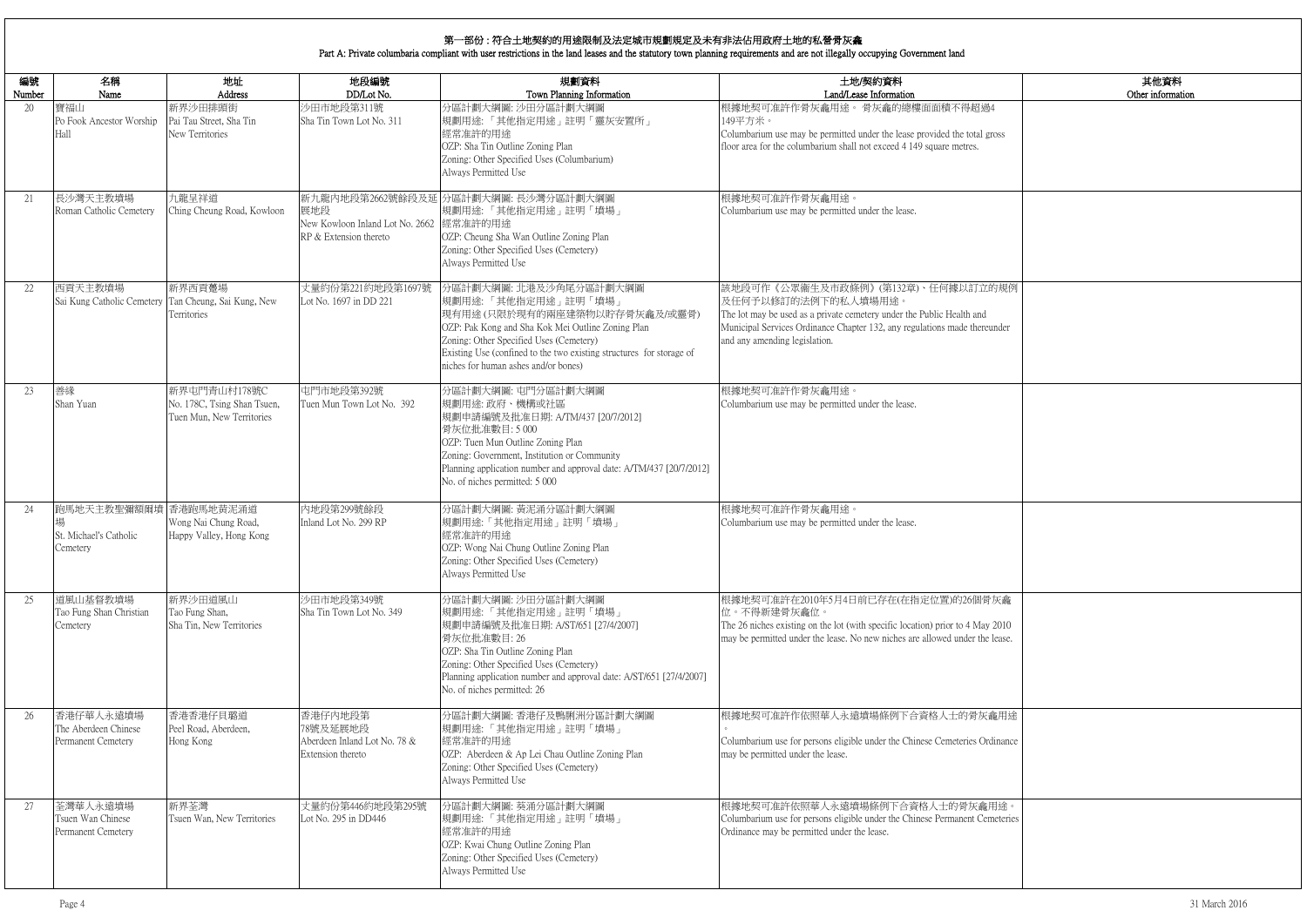|                 | 其他資料<br>Other information |
|-----------------|---------------------------|
| $\overline{1}4$ |                           |
| gross           |                           |
|                 |                           |
|                 |                           |
|                 |                           |
|                 |                           |
|                 |                           |
|                 |                           |
| 的規例             |                           |
|                 |                           |
| under           |                           |
|                 |                           |
|                 |                           |
|                 |                           |
|                 |                           |
|                 |                           |
|                 |                           |
|                 |                           |
|                 |                           |
|                 |                           |
|                 |                           |
|                 |                           |
| 灰龕              |                           |
| (2010)          |                           |
| lease.          |                           |
|                 |                           |
|                 |                           |
| 龕用途             |                           |
| dinance         |                           |
|                 |                           |
|                 |                           |
| 用途。             |                           |
| meteries        |                           |
|                 |                           |
|                 |                           |
|                 |                           |

| 編號           | 名稱                                                      | 地址                                                                       | 地段編號                                                                     | 規劃資料                                                                                                                                                                                                                                                                                           | 土地/契約資料                                                                                                                                                                                                                                         |
|--------------|---------------------------------------------------------|--------------------------------------------------------------------------|--------------------------------------------------------------------------|------------------------------------------------------------------------------------------------------------------------------------------------------------------------------------------------------------------------------------------------------------------------------------------------|-------------------------------------------------------------------------------------------------------------------------------------------------------------------------------------------------------------------------------------------------|
| Number<br>20 | Name<br>寶福山<br>Po Fook Ancestor Worship<br>Hall         | Address<br>新界沙田排頭街<br>Pai Tau Street, Sha Tin<br>New Territories         | DD/Lot No.<br>沙田市地段第311號<br>Sha Tin Town Lot No. 311                     | Town Planning Information<br>分區計劃大綱圖: 沙田分區計劃大綱圖<br>規劃用途:「其他指定用途」註明「靈灰安置所」<br>經常准許的用途<br>OZP: Sha Tin Outline Zoning Plan<br>Zoning: Other Specified Uses (Columbarium)<br>Always Permitted Use                                                                                                 | Land/Lease Information<br>根據地契可准許作骨灰龕用途。骨灰龕的總樓面面積不得超過4<br>149平方米。<br>Columbarium use may be permitted under the lease provided the total gross<br>floor area for the columbarium shall not exceed 4 149 square metres.                          |
| 21           | 長沙灣天主教墳場<br>Roman Catholic Cemetery                     | 九龍呈祥道<br>Ching Cheung Road, Kowloon                                      | 展地段<br>New Kowloon Inland Lot No. 2662 經常准許的用途<br>RP & Extension thereto | 新九龍內地段第2662號餘段及延 分區計劃大綱圖: 長沙灣分區計劃大綱圖<br> 規劃用途:「其他指定用途」註明「墳場」<br>OZP: Cheung Sha Wan Outline Zoning Plan<br>Zoning: Other Specified Uses (Cemetery)<br>Always Permitted Use                                                                                                                     | 根據地契可准許作骨灰龕用途。<br>Columbarium use may be permitted under the lease.                                                                                                                                                                             |
| 22           | 西貢天主教墳場<br>Sai Kung Catholic Cemetery                   | 新界西貢躉場<br>Tan Cheung, Sai Kung, New<br>Territories                       | 丈量約份第221約地段第1697號<br>Lot No. 1697 in DD 221                              | 分區計劃大綱圖: 北港及沙角尾分區計劃大綱圖<br>規劃用途:「其他指定用途」註明「墳場」<br> 現有用途(只限於現有的兩座建築物以貯存骨灰龕及/或靈骨)<br>OZP: Pak Kong and Sha Kok Mei Outline Zoning Plan<br>Zoning: Other Specified Uses (Cemetery)<br>Existing Use (confined to the two existing structures for storage of<br>niches for human ashes and/or bones) | 該地段可作《公眾衞生及市政條例》(第132章)、任何據以訂立的規例<br>及任何予以修訂的法例下的私人墳場用途。<br>The lot may be used as a private cemetery under the Public Health and<br>Municipal Services Ordinance Chapter 132, any regulations made thereunder<br>and any amending legislation. |
| 23           | 善緣<br>Shan Yuan                                         | 新界屯門青山村178號C<br>No. 178C, Tsing Shan Tsuen,<br>Tuen Mun, New Territories | 屯門市地段第392號<br>Tuen Mun Town Lot No. 392                                  | 分區計劃大綱圖: 屯門分區計劃大綱圖<br>規劃用途:政府、機構或社區<br>規劃申請編號及批准日期: A/TM/437 [20/7/2012]<br>骨灰位批准數目:5000<br>OZP: Tuen Mun Outline Zoning Plan<br>Zoning: Government, Institution or Community<br>Planning application number and approval date: A/TM/437 [20/7/2012]<br>No. of niches permitted: 5 000         | 根據地契可准許作骨灰龕用途。<br>Columbarium use may be permitted under the lease.                                                                                                                                                                             |
| 24           | 跑馬地天主教聖彌額爾墳<br>St. Michael's Catholic<br>Cemetery       | 香港跑馬地黄泥涌道<br>Wong Nai Chung Road,<br>Happy Valley, Hong Kong             | 內地段第299號餘段<br>Inland Lot No. 299 RP                                      | 分區計劃大綱圖: 黃泥涌分區計劃大綱圖<br>規劃用途:「其他指定用途」註明「墳場」<br>經常准許的用途<br>OZP: Wong Nai Chung Outline Zoning Plan<br>Zoning: Other Specified Uses (Cemetery)<br>Always Permitted Use                                                                                                                            | 根據地契可准許作骨灰龕用途。<br>Columbarium use may be permitted under the lease.                                                                                                                                                                             |
| 25           | 道風山基督教墳場<br>Tao Fung Shan Christian<br>Cemetery         | 新界沙田道風山<br>Tao Fung Shan,<br>Sha Tin, New Territories                    | 沙田市地段第349號<br>Sha Tin Town Lot No. 349                                   | 分區計劃大綱圖: 沙田分區計劃大綱圖<br> 規劃用途:「其他指定用途」註明「墳場」<br> 規劃申請編號及批准日期: A/ST/651 [27/4/2007]<br>骨灰位批准數目: 26<br>OZP: Sha Tin Outline Zoning Plan<br>Zoning: Other Specified Uses (Cemetery)<br>Planning application number and approval date: A/ST/651 [27/4/2007]<br>No. of niches permitted: 26           | 根據地契可准許在2010年5月4日前已存在(在指定位置)的26個骨灰龕<br>位。不得新建骨灰龕位。<br>The 26 niches existing on the lot (with specific location) prior to 4 May 2010<br>may be permitted under the lease. No new niches are allowed under the lease.                            |
| 26           | 香港仔華人永遠墳場<br>The Aberdeen Chinese<br>Permanent Cemetery | 香港香港仔貝璐道<br>Peel Road, Aberdeen,<br>Hong Kong                            | 香港仔内地段第<br>78號及延展地段<br>Aberdeen Inland Lot No. 78 &<br>Extension thereto | 分區計劃大綱圖: 香港仔及鴨脷洲分區計劃大綱圖<br>規劃用途:「其他指定用途」註明「墳場」<br>經常准許的用途<br>OZP: Aberdeen & Ap Lei Chau Outline Zoning Plan<br>Zoning: Other Specified Uses (Cemetery)<br>Always Permitted Use                                                                                                                | 根據地契可准許作依照華人永遠墳場條例下合資格人士的骨灰龕用途<br>Columbarium use for persons eligible under the Chinese Cemeteries Ordinance<br>may be permitted under the lease.                                                                                              |
| 27           | 荃灣華人永遠墳場<br>Tsuen Wan Chinese<br>Permanent Cemetery     | 新界荃灣<br>Tsuen Wan, New Territories                                       | 丈量約份第446約地段第295號<br>Lot No. 295 in DD446                                 | 分區計劃大綱圖: 葵涌分區計劃大綱圖<br>規劃用途:「其他指定用途」註明「墳場」<br>經常准許的用途<br>OZP: Kwai Chung Outline Zoning Plan<br>Zoning: Other Specified Uses (Cemetery)<br>Always Permitted Use                                                                                                                                 | 根據地契可准許依照華人永遠墳場條例下合資格人士的骨灰龕用途。<br>Columbarium use for persons eligible under the Chinese Permanent Cemeteries<br>Ordinance may be permitted under the lease.                                                                                    |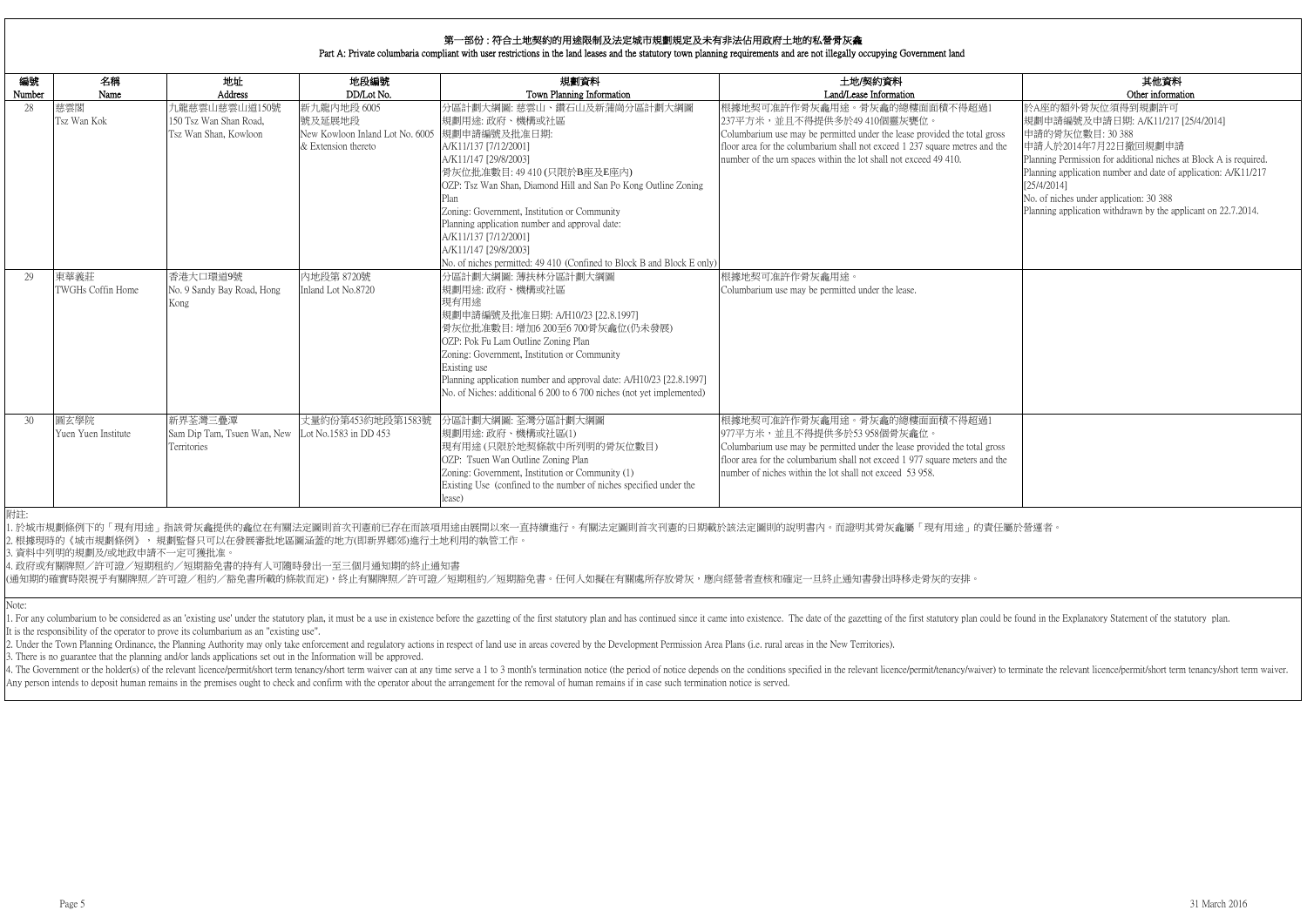|                   | 其他資料                                                                          |
|-------------------|-------------------------------------------------------------------------------|
| 1                 | Other information<br>於A座的額外骨灰位須得到規劃許可                                         |
|                   | 規劃申請編號及申請日期: A/K11/217 [25/4/2014]                                            |
| TOSS <sub>3</sub> | 申請的骨灰位數目: 30 388                                                              |
| d the             | 申請人於2014年7月22日撤回規劃申請                                                          |
|                   | Planning Permission for additional niches at Block A is required.             |
|                   | Planning application number and date of application: A/K11/217<br>[25/4/2014] |
|                   | No. of niches under application: 30 388                                       |
|                   | Planning application withdrawn by the applicant on 22.7.2014.                 |
|                   |                                                                               |
|                   |                                                                               |
|                   |                                                                               |
|                   |                                                                               |
|                   |                                                                               |
|                   |                                                                               |
|                   |                                                                               |
|                   |                                                                               |
|                   |                                                                               |
|                   |                                                                               |
|                   |                                                                               |
|                   |                                                                               |
|                   |                                                                               |
| $\mathbf 1$       |                                                                               |
|                   |                                                                               |
| <b>TOSS</b>       |                                                                               |
| d the             |                                                                               |
|                   |                                                                               |
|                   |                                                                               |
|                   |                                                                               |
|                   |                                                                               |

| 編號<br>Number | 名稱<br>Name                  | 地址<br>Address                                                    | 地段編號<br>DD/Lot No.                                                              | 規劃資料<br>Town Planning Information                                                                                                                                                                                                                                                                                                                                                                                                                     | 土地/契約資料<br>Land/Lease Information                                                                                                                                                                                                                                                           |
|--------------|-----------------------------|------------------------------------------------------------------|---------------------------------------------------------------------------------|-------------------------------------------------------------------------------------------------------------------------------------------------------------------------------------------------------------------------------------------------------------------------------------------------------------------------------------------------------------------------------------------------------------------------------------------------------|---------------------------------------------------------------------------------------------------------------------------------------------------------------------------------------------------------------------------------------------------------------------------------------------|
| 28           | 慈雲閣<br>Tsz Wan Kok          | 九龍慈雲山慈雲山道150號<br>150 Tsz Wan Shan Road,<br>Tsz Wan Shan, Kowloon | 新九龍內地段 6005<br>號及延展地段<br>New Kowloon Inland Lot No. 6005<br>& Extension thereto | 分區計劃大綱圖: 慈雲山、鑽石山及新蒲崗分區計劃大綱圖<br>規劃用途:政府、機構或社區<br>規劃申請編號及批准日期:<br>A/K11/137 [7/12/2001]<br>A/K11/147 [29/8/2003]<br>骨灰位批准數目: 49 410 (只限於B座及E座內)<br>OZP: Tsz Wan Shan, Diamond Hill and San Po Kong Outline Zoning<br>Plan<br>Zoning: Government, Institution or Community<br>Planning application number and approval date:<br>A/K11/137 [7/12/2001]<br>A/K11/147 [29/8/2003]<br>No. of niches permitted: 49 410 (Confined to Block B and Block E only) | 根據地契可准許作骨灰龕用途。骨灰龕的總樓面面積不得超過1<br>237平方米,並且不得提供多於49 410個靈灰甕位。<br>Columbarium use may be permitted under the lease provided the total gross<br>floor area for the columbarium shall not exceed 1 237 square metres and the<br>number of the urn spaces within the lot shall not exceed 49 410. |
| 29           | 東華義莊<br>TWGHs Coffin Home   | 香港大口環道9號<br>No. 9 Sandy Bay Road, Hong<br>Kong                   | 内地段第 8720號<br>Inland Lot No.8720                                                | 分區計劃大綱圖: 薄扶林分區計劃大綱圖<br>規劃用途: 政府、機構或社區<br>現有用途<br>規劃申請編號及批准日期: A/H10/23 [22.8.1997]<br>骨灰位批准數目:增加6 200至6 700骨灰龕位(仍未發展)<br>OZP: Pok Fu Lam Outline Zoning Plan<br>Zoning: Government, Institution or Community<br>Existing use<br>Planning application number and approval date: A/H10/23 [22.8.1997]<br>No. of Niches: additional 6 200 to 6 700 niches (not yet implemented)                                                                          | 根據地契可准許作骨灰龕用途。<br>Columbarium use may be permitted under the lease.                                                                                                                                                                                                                         |
| 30           | 圓玄學院<br>Yuen Yuen Institute | 新界荃灣三疊潭<br>Sam Dip Tam, Tsuen Wan, New<br>Territories            | 丈量約份第453約地段第1583號<br>Lot No.1583 in DD 453                                      | 分區計劃大綱圖: 荃灣分區計劃大綱圖<br>規劃用途:政府、機構或社區(1)<br>現有用途(只限於地契條款中所列明的骨灰位數目)<br>OZP: Tsuen Wan Outline Zoning Plan<br>Zoning: Government, Institution or Community (1)<br>Existing Use (confined to the number of niches specified under the<br>lease)                                                                                                                                                                                                           | 根據地契可准許作骨灰龕用途。骨灰龕的總樓面面積不得超過1<br>977平方米,並且不得提供多於53 958個骨灰龕位。<br>Columbarium use may be permitted under the lease provided the total gross<br>floor area for the columbarium shall not exceed 1 977 square meters and the<br>number of niches within the lot shall not exceed 53 958.         |

1. For any columbarium to be considered as an 'existing use' under the statutory plan, it must be a use in existence before the gazetting of the first statutory plan and has continued since it came into existence. The date It is the responsibility of the operator to prove its columbarium as an "existing use".

2. Under the Town Planning Ordinance, the Planning Authority may only take enforcement and regulatory actions in respect of land use in areas covered by the Development Permission Area Plans (i.e. rural areas in the New Te

4. The Government or the holder(s) of the relevant licence/permit/short term tenancy/short term waiver can at any time serve a 1 to 3 month's termination notice (the period of notice depends on the conditions specified in Any person intends to deposit human remains in the premises ought to check and confirm with the operator about the arrangement for the removal of human remains if in case such termination notice is served.

Note:

3. There is no guarantee that the planning and/or lands applications set out in the Information will be approved.

附註:

1. 於城市規劃條例下的「現有用途」指該骨灰龕提供的龕位在有關法定圖則首次刊憲前已存在而該項用途由展開以來一直持續進行。有關法定圖則首次刊憲的日期載於該法定圖則的說明書內。而證明其骨灰龕屬「現有用途」的責任屬於營運者。 2. 根據現時的《城市規劃條例》, 規劃監督只可以在發展審批地區圖涵蓋的地方(即新界鄉郊)進行土地利用的執管工作。

3. 資料中列明的規劃及/或地政申請不一定可獲批准。

4. 政府或有關牌照/許可證/短期租約/短期豁免書的持有人可隨時發出一至三個月通知期的終止通知書

(通知期的確實時限視乎有關牌照/許可證/租約/豁免書所載的條款而定),終止有關牌照/許可證/短期租約/短期豁免書。任何人如擬在有關處所存放骨灰,應向經營者查核和確定一旦終止通知書發出時移走骨灰的安排。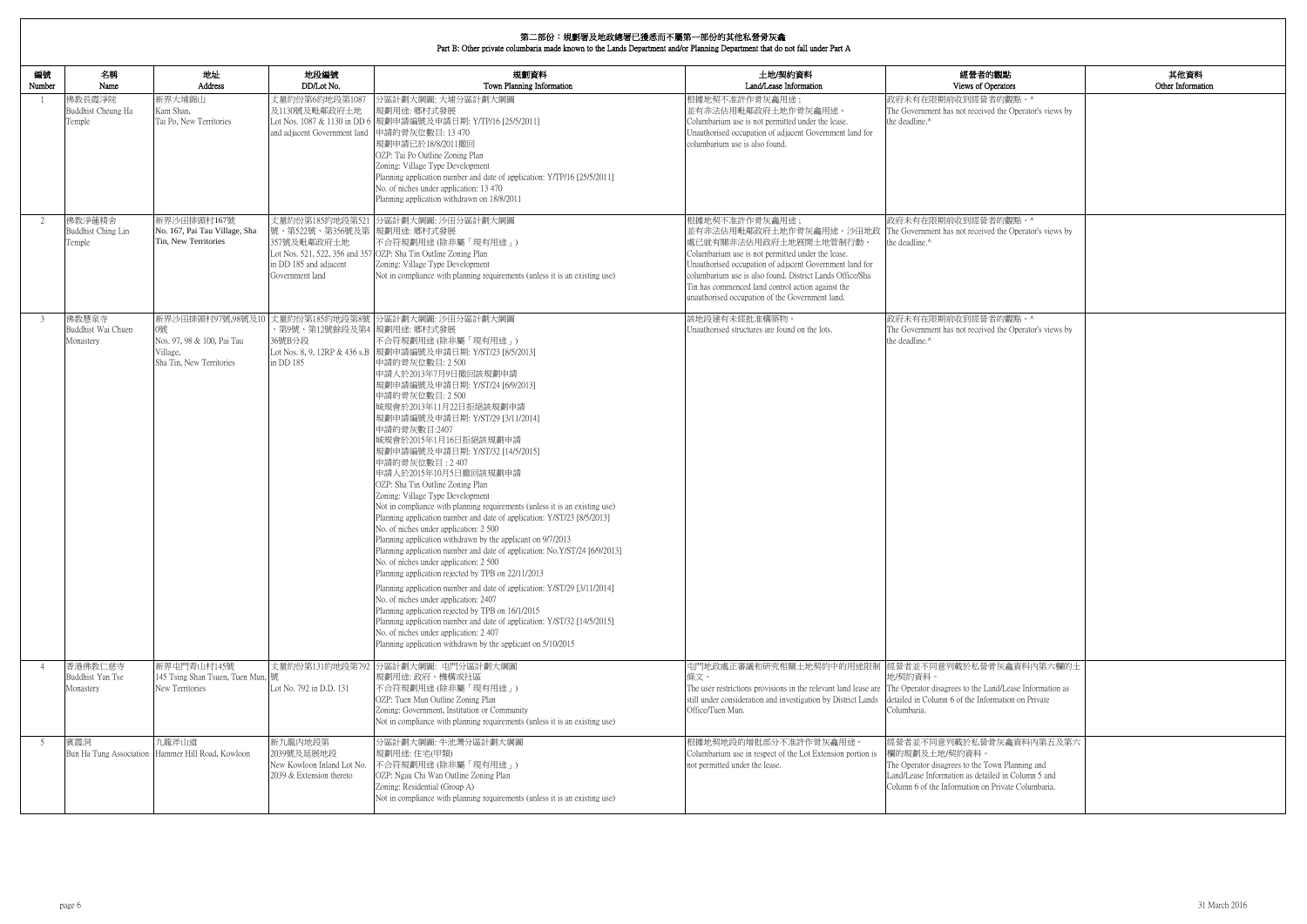| 的觀點<br>perators                                                                  | 其他資料<br>Other Information |
|----------------------------------------------------------------------------------|---------------------------|
| 者的觀點。^<br>ed the Operator's views by                                             |                           |
| 者的觀點。^                                                                           |                           |
| ed the Operator's views by                                                       |                           |
| 者的觀點。^<br>ed the Operator's views by                                             |                           |
| 骨灰龕資料内第六欄的土                                                                      |                           |
| and/Lease Information as<br>ormation on Private                                  |                           |
| 骨灰龕資料内第五及第六<br>own Planning and<br>iled in Column 5 and<br>1 Private Columbaria. |                           |

| 編號<br>Number   | 名稱<br>Name                               | 地址<br>Address                                                                                 | 地段編號<br>DD/Lot No.                                                                      | 規劃資料<br>Town Planning Information                                                                                                                                                                                                                                                                                                                                                                                                                                                                                                                                                                                                                                                                                                                                                                                                                                                                                                                                                                                                                                                                                                                                                                                                                                                                            | 土地/契約資料<br>Land/Lease Information                                                                                                                                                                                                                                                                                                                                                                                | 經營者的觀點<br>Views of Operators                                                                                                                                                                            |
|----------------|------------------------------------------|-----------------------------------------------------------------------------------------------|-----------------------------------------------------------------------------------------|--------------------------------------------------------------------------------------------------------------------------------------------------------------------------------------------------------------------------------------------------------------------------------------------------------------------------------------------------------------------------------------------------------------------------------------------------------------------------------------------------------------------------------------------------------------------------------------------------------------------------------------------------------------------------------------------------------------------------------------------------------------------------------------------------------------------------------------------------------------------------------------------------------------------------------------------------------------------------------------------------------------------------------------------------------------------------------------------------------------------------------------------------------------------------------------------------------------------------------------------------------------------------------------------------------------|------------------------------------------------------------------------------------------------------------------------------------------------------------------------------------------------------------------------------------------------------------------------------------------------------------------------------------------------------------------------------------------------------------------|---------------------------------------------------------------------------------------------------------------------------------------------------------------------------------------------------------|
|                | 佛教長霞淨院<br>Buddhist Cheung Ha<br>Temple   | 新界大埔錦山<br>Kam Shan,<br>Tai Po, New Territories                                                | 丈量約份第6約地段第1087<br>及1130號及毗鄰政府土地<br>and adjacent Government land                         | 分區計劃大綱圖: 大埔分區計劃大綱圖<br>規劃用途: 鄉村式發展<br>Lot Nos. 1087 & 1130 in DD 6 規劃申請編號及申請日期: Y/TP/16 [25/5/2011]<br>申請的骨灰位數目: 13 470<br>規劃申請已於18/8/2011撤回<br>OZP: Tai Po Outline Zoning Plan<br>Zoning: Village Type Development<br>Planning application number and date of application: Y/TP/16 [25/5/2011]<br>No. of niches under application: 13 470<br>Planning application withdrawn on 18/8/2011                                                                                                                                                                                                                                                                                                                                                                                                                                                                                                                                                                                                                                                                                                                                                                                                                                                                                                                     | 根據地契不准許作骨灰龕用途;<br>並有非法佔用毗鄰政府土地作骨灰龕用途。<br>Columbarium use is not permitted under the lease.<br>Unauthorised occupation of adjacent Government land for<br>columbarium use is also found.                                                                                                                                                                                                                          | 政府未有在限期前收到經營者的觀點。^<br>The Government has not received the Operator's views by<br>the deadline.^                                                                                                         |
| 2              | 佛教淨蓮精舍<br>Buddhist Ching Lin<br>Temple   | 新界沙田排頭村167號<br>No. 167, Pai Tau Village, Sha<br>Tin, New Territories                          | 號、第522號、第356號及第 規劃用途: 鄉村式發展<br>357號及毗鄰政府土地<br>in DD 185 and adjacent<br>Government land | 丈量約份第185約地段第521 分區計劃大綱圖: 沙田分區計劃大綱圖<br>不合符規劃用途 (除非屬「現有用途」)<br>Lot Nos. 521, 522, 356 and 357 OZP: Sha Tin Outline Zoning Plan<br>Zoning: Village Type Development<br>Not in compliance with planning requirements (unless it is an existing use)                                                                                                                                                                                                                                                                                                                                                                                                                                                                                                                                                                                                                                                                                                                                                                                                                                                                                                                                                                                                                                                              | 根據地契不准許作骨灰龕用途;<br>並有非法佔用毗鄰政府土地作骨灰龕用途。沙田地政  The Government has not received the Operator's views by<br>處已就有關非法佔用政府土地展開土地管制行動。<br>Columbarium use is not permitted under the lease.<br>Unauthorised occupation of adjacent Government land for<br>columbarium use is also found. District Lands Office/Sha<br>Tin has commenced land control action against the<br>unauthorised occupation of the Government land. | 政府未有在限期前收到經營者的觀點。^<br>the deadline.^                                                                                                                                                                    |
| 3              | 佛教慧泉寺<br>Buddhist Wai Chuen<br>Monastery | 新界沙田排頭村97號,98號及10<br>0號<br>Nos. 97, 98 & 100, Pai Tau<br>Village,<br>Sha Tin, New Territories | 、第9號、第12號餘段及第4  規劃用途: 鄉村式發展<br>36號B分段<br>in DD 185                                      | 丈量約份第185約地段第8號 分區計劃大綱圖: 沙田分區計劃大綱圖<br>不合符規劃用途 (除非屬「現有用途」)<br>Lot Nos. 8, 9, 12RP & 436 s.B  規劃申請編號及申請日期: Y/ST/23 [8/5/2013]<br>申請的骨灰位數目: 2 500<br>申請人於2013年7月9日撤回該規劃申請<br> 規劃申請編號及申請日期: Y/ST/24 [6/9/2013]<br>申請的骨灰位數目: 2 500<br>城規會於2013年11月22日拒絕該規劃申請<br> 規劃申請編號及申請日期: Y/ST/29 [3/11/2014]<br>申請的骨灰數目:2407<br>城規會於2015年1月16日拒絕該規劃申請<br> 規劃申請編號及申請日期: Y/ST/32 [14/5/2015]<br>申請的骨灰位數目: 2407<br>申請人於2015年10月5日撤回該規劃申請<br>OZP: Sha Tin Outline Zoning Plan<br>Zoning: Village Type Development<br>Not in compliance with planning requirements (unless it is an existing use)<br>Planning application number and date of application: Y/ST/23 [8/5/2013]<br>No. of niches under application: 2 500<br>Planning application withdrawn by the applicant on 9/7/2013<br>Planning application number and date of application: No.Y/ST/24 [6/9/2013]<br>No. of niches under application: 2 500<br>Planning application rejected by TPB on 22/11/2013<br>Planning application number and date of application: Y/ST/29 [3/11/2014]<br>No. of niches under application: 2407<br>Planning application rejected by TPB on 16/1/2015<br>Planning application number and date of application: Y/ST/32 [14/5/2015]<br>No. of niches under application: 2407<br>Planning application withdrawn by the applicant on 5/10/2015 | 該地段建有未經批准構築物。<br>Unauthorised structures are found on the lots.                                                                                                                                                                                                                                                                                                                                                  | 政府未有在限期前收到經營者的觀點。^<br>The Government has not received the Operator's views by<br>the deadline. <sup>^</sup>                                                                                             |
| $\overline{4}$ | 香港佛教仁慈寺<br>Buddhist Yan Tse<br>Monastery | 新界屯門青山村145號<br>145 Tsing Shan Tsuen, Tuen Mun,  號<br>New Territories                          | Lot No. 792 in D.D. 131                                                                 | 丈量約份第131約地段第792 分區計劃大綱圖: 屯門分區計劃大綱圖<br>規劃用途: 政府、機構或社區<br>不合符規劃用途(除非屬「現有用途」)<br>OZP: Tuen Mun Outline Zoning Plan<br>Zoning: Government, Institution or Community<br>Not in compliance with planning requirements (unless it is an existing use)                                                                                                                                                                                                                                                                                                                                                                                                                                                                                                                                                                                                                                                                                                                                                                                                                                                                                                                                                                                                                                                               | 屯門地政處正審議和研究相關土地契約中的用途限制 經營者並不同意列載於私營骨灰龕資料內第六欄的土<br>條文。<br>The user restrictions provisions in the relevant land lease are The Operator disagrees to the Land/Lease Information as<br>still under consideration and investigation by District Lands<br>Office/Tuen Mun.                                                                                                                                           | 地/契約資料。<br>detailed in Column 6 of the Information on Private<br>Columbaria.                                                                                                                            |
| -5             | 賓霞洞<br>Bun Ha Tung Association           | 九龍斧山道<br>Hammer Hill Road, Kowloon                                                            | 新九龍内地段第<br>2039號及延展地段<br>New Kowloon Inland Lot No.<br>2039 & Extension thereto         | 分區計劃大綱圖:牛池灣分區計劃大綱圖<br>規劃用途:住宅(甲類)<br>不合符規劃用途 (除非屬「現有用途」)<br>OZP: Ngau Chi Wan Outline Zoning Plan<br>Zoning: Residential (Group A)<br>Not in compliance with planning requirements (unless it is an existing use)                                                                                                                                                                                                                                                                                                                                                                                                                                                                                                                                                                                                                                                                                                                                                                                                                                                                                                                                                                                                                                                                                            | 根據地契地段的增批部分不准許作骨灰龕用途。<br>Columbarium use in respect of the Lot Extension portion is<br>not permitted under the lease.                                                                                                                                                                                                                                                                                            | 經營者並不同意列載於私營骨灰龕資料內第五及第六<br>欄的規劃及土地/契約資料。<br>The Operator disagrees to the Town Planning and<br>Land/Lease Information as detailed in Column 5 and<br>Column 6 of the Information on Private Columbaria. |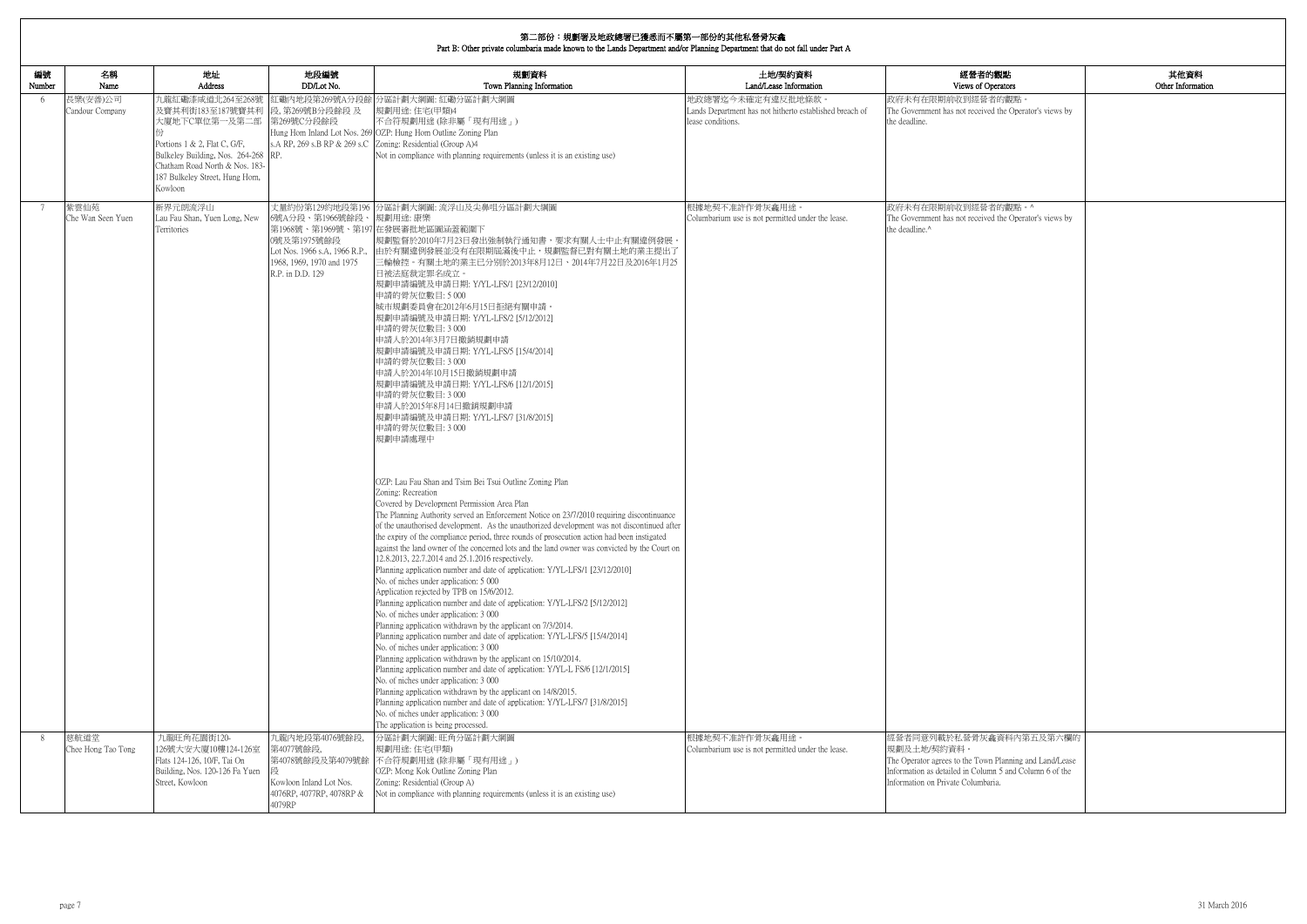| 的觀點                                                   | 其他資料              |
|-------------------------------------------------------|-------------------|
| <b>perators</b>                                       | Other Information |
| 者的觀點。                                                 |                   |
| ed the Operator's views by                            |                   |
|                                                       |                   |
|                                                       |                   |
|                                                       |                   |
|                                                       |                   |
|                                                       |                   |
| 者的觀點。^                                                |                   |
| ed the Operator's views by                            |                   |
|                                                       |                   |
|                                                       |                   |
|                                                       |                   |
|                                                       |                   |
|                                                       |                   |
|                                                       |                   |
|                                                       |                   |
|                                                       |                   |
|                                                       |                   |
|                                                       |                   |
|                                                       |                   |
|                                                       |                   |
|                                                       |                   |
|                                                       |                   |
|                                                       |                   |
|                                                       |                   |
|                                                       |                   |
|                                                       |                   |
|                                                       |                   |
|                                                       |                   |
|                                                       |                   |
|                                                       |                   |
|                                                       |                   |
|                                                       |                   |
|                                                       |                   |
|                                                       |                   |
|                                                       |                   |
|                                                       |                   |
|                                                       |                   |
|                                                       |                   |
|                                                       |                   |
|                                                       |                   |
|                                                       |                   |
| 龕資料內第五及第六欄的                                           |                   |
|                                                       |                   |
| n Planning and Land/Lease<br>mn 5 and Column 6 of the |                   |
| aria.                                                 |                   |
|                                                       |                   |

| 編號<br>Number | 名稱<br>Name                  | 地址<br>Address                                                                                                                                                                                               | 地段編號<br>DD/Lot No.                                                                                               | 規劃資料<br>Town Planning Information                                                                                                                                                                                                                                                                                                                                                                                                                                                                                                                                                                                                                                                                                                                                                                                                                                                                                                                                                                                                                                                                                                                                                                                                                                                                                                                                                                                                                                                                                                                                                                                                                                                                                                                                                                                                                                                                                                                                                                                                                                                                                                                                  | 土地/契約資料<br>Land/Lease Information                                                                 | 經營者的觀點<br>Views of Operators                                                                                                                                                                        |
|--------------|-----------------------------|-------------------------------------------------------------------------------------------------------------------------------------------------------------------------------------------------------------|------------------------------------------------------------------------------------------------------------------|--------------------------------------------------------------------------------------------------------------------------------------------------------------------------------------------------------------------------------------------------------------------------------------------------------------------------------------------------------------------------------------------------------------------------------------------------------------------------------------------------------------------------------------------------------------------------------------------------------------------------------------------------------------------------------------------------------------------------------------------------------------------------------------------------------------------------------------------------------------------------------------------------------------------------------------------------------------------------------------------------------------------------------------------------------------------------------------------------------------------------------------------------------------------------------------------------------------------------------------------------------------------------------------------------------------------------------------------------------------------------------------------------------------------------------------------------------------------------------------------------------------------------------------------------------------------------------------------------------------------------------------------------------------------------------------------------------------------------------------------------------------------------------------------------------------------------------------------------------------------------------------------------------------------------------------------------------------------------------------------------------------------------------------------------------------------------------------------------------------------------------------------------------------------|---------------------------------------------------------------------------------------------------|-----------------------------------------------------------------------------------------------------------------------------------------------------------------------------------------------------|
| -6           | 長樂(安善)公司<br>Candour Company | 九龍紅磡漆咸道北264至268號<br>及寶其利街183至187號寶其利<br>大廈地下C單位第一及第二部<br>Portions 1 & 2, Flat C, G/F,<br>Bulkeley Building, Nos. 264-268 RP.<br>Chatham Road North & Nos. 183-<br>187 Bulkeley Street, Hung Hom,<br>Kowloon | 段,第269號B分段餘段及<br>第269號C分段餘段                                                                                      | 紅磡內地段第269號A分段餘 分區計劃大綱圖:紅磡分區計劃大綱圖<br>規劃用途:住宅(甲類)4<br>不合符規劃用途(除非屬「現有用途」)<br>Hung Hom Inland Lot Nos. 269 OZP: Hung Hom Outline Zoning Plan<br>s.A RP, 269 s.B RP & 269 s.C Zoning: Residential (Group A)4<br>Not in compliance with planning requirements (unless it is an existing use)                                                                                                                                                                                                                                                                                                                                                                                                                                                                                                                                                                                                                                                                                                                                                                                                                                                                                                                                                                                                                                                                                                                                                                                                                                                                                                                                                                                                                                                                                                                                                                                                                                                                                                                                                                                                                                                                             | 地政總署迄今未確定有違反批地條款。<br>Lands Department has not hitherto established breach of<br>lease conditions. | 政府未有在限期前收到經營者的觀點。<br>The Government has not received the Operator's views by<br>the deadline.                                                                                                       |
| 7            | 紫雲仙苑<br>Che Wan Seen Yuen   | 新界元朗流浮山<br>Lau Fau Shan, Yuen Long, New<br>Territories                                                                                                                                                      | 6號A分段、第1966號餘段、<br>0號及第1975號餘段<br>Lot Nos. 1966 s.A, 1966 R.P.,<br>1968, 1969, 1970 and 1975<br>R.P. in D.D. 129 | 丈量約份第129約地段第196 分區計劃大綱圖: 流浮山及尖鼻咀分區計劃大綱圖<br>規劃用途:康樂<br>第1968號、第1969號、第197 在發展審批地區圖涵蓋範圍下<br>規劃監督於2010年7月23日發出強制執行通知書,要求有關人士中止有關違例發展<br>由於有關違例發展並没有在限期屆滿後中止,規劃監督已對有關土地的業主提出了<br>三輪檢控。有關土地的業主已分别於2013年8月12日、2014年7月22日及2016年1月25<br>日被法庭裁定罪名成立。<br>規劃申請編號及申請日期: Y/YL-LFS/1 [23/12/2010]<br>申請的骨灰位數目:5000<br>城市規劃委員會在2012年6月15日拒絕有關申請。<br>規劃申請編號及申請日期: Y/YL-LFS/2 [5/12/2012]<br>申請的骨灰位數目: 3 000<br>申請人於2014年3月7日撤銷規劃申請<br>規劃申請編號及申請日期: Y/YL-LFS/5 [15/4/2014]<br>申請的骨灰位數目: 3 000<br>申請人於2014年10月15日撤銷規劃申請<br>規劃申請編號及申請日期: Y/YL-LFS/6 [12/1/2015]<br>申請的骨灰位數目: 3 000<br>申請人於2015年8月14日撤銷規劃申請<br>規劃申請編號及申請日期: Y/YL-LFS/7 [31/8/2015]<br>申請的骨灰位數目: 3 000<br>規劃申請處理中<br>OZP: Lau Fau Shan and Tsim Bei Tsui Outline Zoning Plan<br>Zoning: Recreation<br>Covered by Development Permission Area Plan<br>The Planning Authority served an Enforcement Notice on 23/7/2010 requiring discontinuance<br>of the unauthorised development. As the unauthorized development was not discontinued after<br>the expiry of the compliance period, three rounds of prosecution action had been instigated<br>against the land owner of the concerned lots and the land owner was convicted by the Court on<br>12.8.2013, 22.7.2014 and 25.1.2016 respectively.<br>Planning application number and date of application: Y/YL-LFS/1 [23/12/2010]<br>No. of niches under application: 5 000<br>Application rejected by TPB on 15/6/2012.<br>Planning application number and date of application: Y/YL-LFS/2 [5/12/2012]<br>No. of niches under application: 3 000<br>Planning application withdrawn by the applicant on 7/3/2014.<br>Planning application number and date of application: Y/YL-LFS/5 [15/4/2014]<br>No. of niches under application: 3 000<br>Planning application withdrawn by the applicant on 15/10/2014.<br>Planning application number and date of application: Y/YL-L FS/6 [12/1/2015]<br>No. of niches under application: 3 000<br>Planning application withdrawn by the applicant on 14/8/2015.<br>Planning application number and date of application: Y/YL-LFS/7 [31/8/2015]<br>No. of niches under application: 3 000<br>The application is being processed. | 根據地契不准許作骨灰龕用途。<br>Columbarium use is not permitted under the lease.                               | 政府未有在限期前收到經營者的觀點。^<br>The Government has not received the Operator's views by<br>the deadline.^                                                                                                     |
| 8            | 慈航道堂<br>Chee Hong Tao Tong  | 九龍旺角花園街120-<br>126號大安大廈10樓124-126室<br>Flats 124-126, 10/F, Tai On<br>Building, Nos. 120-126 Fa Yuen<br>Street, Kowloon                                                                                      | 九龍內地段第4076號餘段<br>第4077號餘段,<br>第4078號餘段及第4079號餘<br>Kowloon Inland Lot Nos.<br>4076RP, 4077RP, 4078RP &<br>4079RP  | 分區計劃大綱圖:旺角分區計劃大綱圖<br>規劃用途:住宅(甲類)<br>不合符規劃用途(除非屬「現有用途」)<br>OZP: Mong Kok Outline Zoning Plan<br>Zoning: Residential (Group A)<br>Not in compliance with planning requirements (unless it is an existing use)                                                                                                                                                                                                                                                                                                                                                                                                                                                                                                                                                                                                                                                                                                                                                                                                                                                                                                                                                                                                                                                                                                                                                                                                                                                                                                                                                                                                                                                                                                                                                                                                                                                                                                                                                                                                                                                                                                                                                        | 根據地契不准許作骨灰龕用途。<br>Columbarium use is not permitted under the lease.                               | 經營者同意列載於私營骨灰龕資料內第五及第六欄的<br> 規劃及土地/契約資料。<br>The Operator agrees to the Town Planning and Land/Lease<br>Information as detailed in Column 5 and Column 6 of the<br>Information on Private Columbaria. |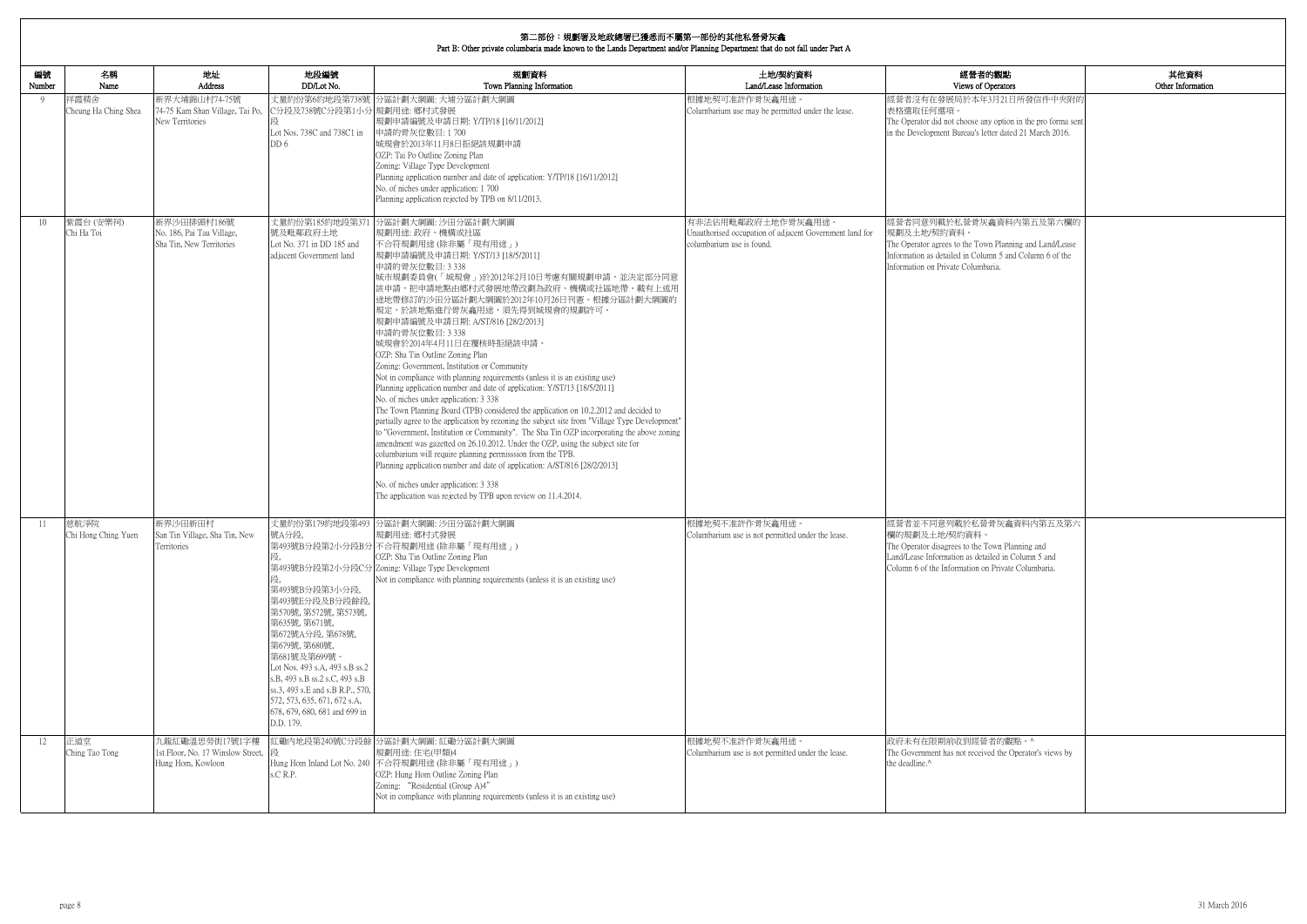| 内觀點                                                             | 其他資料              |
|-----------------------------------------------------------------|-------------------|
| perators                                                        | Other Information |
| 3月21日所發信件中夾附的                                                   |                   |
| y option in the pro forma sent<br>tter dated 21 March 2016.     |                   |
|                                                                 |                   |
|                                                                 |                   |
|                                                                 |                   |
| 龕資料內第五及第六欄的                                                     |                   |
| n Planning and Land/Lease<br>nn 5 and Column 6 of the<br>aria.  |                   |
|                                                                 |                   |
|                                                                 |                   |
|                                                                 |                   |
|                                                                 |                   |
|                                                                 |                   |
|                                                                 |                   |
|                                                                 |                   |
|                                                                 |                   |
| 骨灰龕資料內第五及第六                                                     |                   |
| own Planning and<br>iled in Column 5 and<br>Private Columbaria. |                   |
|                                                                 |                   |
|                                                                 |                   |
|                                                                 |                   |
|                                                                 |                   |
|                                                                 |                   |
| 者的觀點。^<br>ed the Operator's views by                            |                   |
|                                                                 |                   |

| 編號<br>Number | 名稱<br>Name                   | 地址<br><b>Address</b>                                                     | 地段編號<br>DD/Lot No.                                                                                                                                                                                                                                                                                                                                | 規劃資料<br>Town Planning Information                                                                                                                                                                                                                                                                                                                                                                                                                                                                                                                                                                                                                                                                                                                                                                                                                                                                                                                                                                                                                                                                                                                                                                                                                                                                  | 土地/契約資料<br>Land/Lease Information                                                                          | 經營者的觀點<br>Views of Operators                                                                                                                                                                           |
|--------------|------------------------------|--------------------------------------------------------------------------|---------------------------------------------------------------------------------------------------------------------------------------------------------------------------------------------------------------------------------------------------------------------------------------------------------------------------------------------------|----------------------------------------------------------------------------------------------------------------------------------------------------------------------------------------------------------------------------------------------------------------------------------------------------------------------------------------------------------------------------------------------------------------------------------------------------------------------------------------------------------------------------------------------------------------------------------------------------------------------------------------------------------------------------------------------------------------------------------------------------------------------------------------------------------------------------------------------------------------------------------------------------------------------------------------------------------------------------------------------------------------------------------------------------------------------------------------------------------------------------------------------------------------------------------------------------------------------------------------------------------------------------------------------------|------------------------------------------------------------------------------------------------------------|--------------------------------------------------------------------------------------------------------------------------------------------------------------------------------------------------------|
| -9           | 祥霞精舍<br>Cheung Ha Ching Shea | 新界大埔錦山村74-75號<br>74-75 Kam Shan Village, Tai Po,<br>New Territories      | 丈量約份第6約地段第738號<br>C分段及738號C分段第1小分 規劃用途: 鄉村式發展<br>Lot Nos. 738C and 738C1 in<br>DD 6                                                                                                                                                                                                                                                               | 分區計劃大綱圖: 大埔分區計劃大綱圖<br>規劃申請編號及申請日期: Y/TP/18 [16/11/2012]<br>申請的骨灰位數目:1700<br>城規會於2013年11月8日拒絕該規劃申請<br>OZP: Tai Po Outline Zoning Plan<br>Zoning: Village Type Development<br>Planning application number and date of application: Y/TP/18 [16/11/2012]<br>No. of niches under application: 1700<br>Planning application rejected by TPB on 8/11/2013.                                                                                                                                                                                                                                                                                                                                                                                                                                                                                                                                                                                                                                                                                                                                                                                                                                                                                                                                               | 根據地契可准許作骨灰龕用途。<br>Columbarium use may be permitted under the lease.                                        | 經營者沒有在發展局於本年3月21日所發信件中夾附的<br>表格選取任何選項。<br>The Operator did not choose any option in the pro forma sent<br>in the Development Bureau's letter dated 21 March 2016.                                      |
| 10           | 紫霞台(安樂祠)<br>Chi Ha Toi       | 新界沙田排頭村186號<br>No. 186, Pai Tau Village,<br>Sha Tin, New Territories     | 丈量約份第185約地段第37<br>號及毗鄰政府土地<br>Lot No. 371 in DD 185 and<br>adjacent Government land                                                                                                                                                                                                                                                               | 分區計劃大綱圖: 沙田分區計劃大綱圖<br>規劃用途: 政府、機構或社區<br>不合符規劃用途 (除非屬「現有用途」)<br>規劃申請編號及申請日期: Y/ST/13 [18/5/2011]<br>申請的骨灰位數目: 3 338<br>城市規劃委員會(「城規會」)於2012年2月10日考慮有關規劃申請,並決定部分同意<br>該申請,把申請地點由鄉村式發展地帶改劃為政府、機構或社區地帶。載有上述用<br>途地帶修訂的沙田分區計劃大綱圖於2012年10月26日刊憲。根據分區計劃大綱圖的<br>規定,於該地點進行骨灰龕用途,須先得到城規會的規劃許可。<br>規劃申請編號及申請日期: A/ST/816 [28/2/2013]<br>申請的骨灰位數目: 3 338<br>城規會於2014年4月11日在覆核時拒絕該申請。<br>OZP: Sha Tin Outline Zoning Plan<br>Zoning: Government, Institution or Community<br>Not in compliance with planning requirements (unless it is an existing use)<br>Planning application number and date of application: Y/ST/13 [18/5/2011]<br>No. of niches under application: 3 338<br>The Town Planning Board (TPB) considered the application on 10.2.2012 and decided to<br>partially agree to the application by rezoning the subject site from "Village Type Development"<br>to "Government, Institution or Community". The Sha Tin OZP incorporating the above zoning<br>amendment was gazetted on 26.10.2012. Under the OZP, using the subject site for<br>columbarium will require planning permisssion from the TPB.<br>Planning application number and date of application: A/ST/816 [28/2/2013]<br>No. of niches under application: 3 338<br>The application was rejected by TPB upon review on 11.4.2014. | 有非法佔用毗鄰政府土地作骨灰龕用途。<br>Unauthorised occupation of adjacent Government land for<br>columbarium use is found. | 經營者同意列載於私營骨灰龕資料內第五及第六欄的<br>規劃及土地/契約資料。<br>The Operator agrees to the Town Planning and Land/Lease<br>Information as detailed in Column 5 and Column 6 of the<br>Information on Private Columbaria.     |
| -11          | 慈航淨院<br>Chi Hong Ching Yuen  | 新界沙田新田村<br>San Tin Village, Sha Tin, New<br>Territories                  | 丈量約份第179約地段第493<br>號A分段,<br>第493號B分段第3小分段,<br>第493號E分段及B分段餘段,<br>第570號, 第572號, 第573號,<br>第635號, 第671號,<br>第672號A分段, 第678號,<br>第679號, 第680號,<br>第681號及第699號。<br>Lot Nos. 493 s.A, 493 s.B ss.2<br>s.B, 493 s.B ss.2 s.C, 493 s.B<br>ss.3, 493 s.E and s.B R.P., 570,<br>572, 573, 635, 671, 672 s.A.<br>678, 679, 680, 681 and 699 in<br>D.D. 179. | 分區計劃大綱圖: 沙田分區計劃大綱圖<br>規劃用途: 鄉村式發展<br>第493號B分段第2小分段B分不合符規劃用途(除非屬「現有用途」)<br>OZP: Sha Tin Outline Zoning Plan<br>第493號B分段第2小分段C分 Zoning: Village Type Development<br>Not in compliance with planning requirements (unless it is an existing use)                                                                                                                                                                                                                                                                                                                                                                                                                                                                                                                                                                                                                                                                                                                                                                                                                                                                                                                                                                                                                                                      | 根據地契不准許作骨灰龕用途。<br>Columbarium use is not permitted under the lease.                                        | 經營者並不同意列載於私營骨灰龕資料內第五及第六<br>欄的規劃及土地/契約資料<br>The Operator disagrees to the Town Planning and<br>Land/Lease Information as detailed in Column 5 and<br>Column 6 of the Information on Private Columbaria. |
| 12           | 正道堂<br>Ching Tao Tong        | 九龍紅磡溫思勞街17號1字樓<br>1st Floor, No. 17 Winslow Street,<br>Hung Hom, Kowloon | S.C.R.P.                                                                                                                                                                                                                                                                                                                                          | 紅磡內地段第240號C分段餘 分區計劃大綱圖: 紅磡分區計劃大綱圖<br>規劃用途:住宅(甲類)4<br>Hung Hom Inland Lot No. 240 不合符規劃用途 (除非屬「現有用途」)<br>OZP: Hung Hom Outline Zoning Plan<br>Zoning: "Residential (Group A)4"<br>Not in compliance with planning requirements (unless it is an existing use)                                                                                                                                                                                                                                                                                                                                                                                                                                                                                                                                                                                                                                                                                                                                                                                                                                                                                                                                                                                                                                       | 根據地契不准許作骨灰龕用途。<br>Columbarium use is not permitted under the lease.                                        | 政府未有在限期前收到經營者的觀點。^<br>The Government has not received the Operator's views by<br>the deadline. <sup>^</sup>                                                                                            |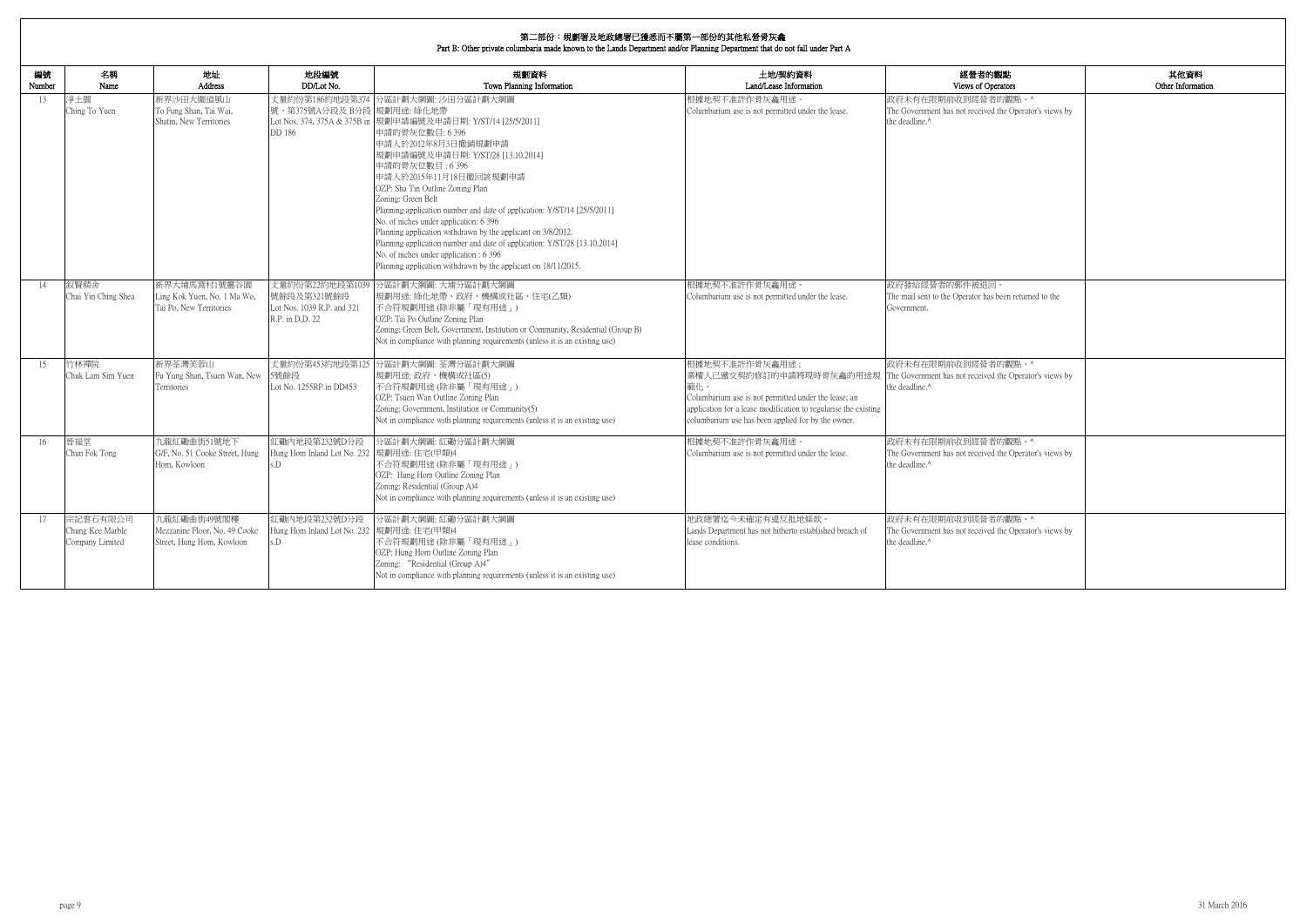| 内觀點                                  | 其他資料              |
|--------------------------------------|-------------------|
| perators                             | Other Information |
| 者的觀點。^                               |                   |
| ed the Operator's views by           |                   |
|                                      |                   |
|                                      |                   |
|                                      |                   |
|                                      |                   |
|                                      |                   |
|                                      |                   |
|                                      |                   |
|                                      |                   |
|                                      |                   |
|                                      |                   |
|                                      |                   |
| $\boxed{1}$                          |                   |
| as been returned to the              |                   |
|                                      |                   |
|                                      |                   |
|                                      |                   |
|                                      |                   |
| 者的觀點。^                               |                   |
| ed the Operator's views by           |                   |
|                                      |                   |
|                                      |                   |
|                                      |                   |
|                                      |                   |
| 者的觀點。^<br>ed the Operator's views by |                   |
|                                      |                   |
|                                      |                   |
|                                      |                   |
|                                      |                   |
| 者的觀點。^                               |                   |
| ed the Operator's views by           |                   |
|                                      |                   |
|                                      |                   |
|                                      |                   |
|                                      |                   |

| 編號<br>Number | 名稱<br>Name                                      | 地址<br>Address                                                             | 地段編號<br>DD/Lot No.                                                              | 規劃資料<br>Town Planning Information                                                                                                                                                                                                                                                                                                                                                                                                                                                                                                                                                                                                                                      | 土地/契約資料<br>Land/Lease Information                                                                                                                                                                                                 | 經營者的觀點<br>Views of Operators                                                                                |
|--------------|-------------------------------------------------|---------------------------------------------------------------------------|---------------------------------------------------------------------------------|------------------------------------------------------------------------------------------------------------------------------------------------------------------------------------------------------------------------------------------------------------------------------------------------------------------------------------------------------------------------------------------------------------------------------------------------------------------------------------------------------------------------------------------------------------------------------------------------------------------------------------------------------------------------|-----------------------------------------------------------------------------------------------------------------------------------------------------------------------------------------------------------------------------------|-------------------------------------------------------------------------------------------------------------|
| 13           | 淨土園<br>Ching To Yuen                            | 新界沙田大圍道風山<br>To Fung Shan, Tai Wai,<br>Shatin, New Territories            | 號、第375號A分段及 B分段 規劃用途: 綠化地帶<br>DD 186                                            | 丈量約份第186約地段第374 分區計劃大綱圖: 沙田分區計劃大綱圖<br>Lot Nos. 374, 375A & 375B in  規劃申請編號及申請日期: Y/ST/14 [25/5/2011]<br>申請的骨灰位數目:6396<br>申請人於2012年8月3日撤銷規劃申請<br>規劃申請編號及申請日期: Y/ST/28 [13.10.2014]<br>申請的骨灰位數目:6396<br>申請人於2015年11月18日撤回該規劃申請<br>OZP: Sha Tin Outline Zoning Plan<br>Zoning: Green Belt<br>Planning application number and date of application: Y/ST/14 [25/5/2011]<br>No. of niches under application: 6 396<br>Planning application withdrawn by the applicant on 3/8/2012.<br>Planning application number and date of application: Y/ST/28 [13.10.2014]<br>No. of niches under application : 6 396<br>Planning application withdrawn by the applicant on 18/11/2015. | 根據地契不准許作骨灰龕用途。<br>Columbarium use is not permitted under the lease.                                                                                                                                                               | 政府未有在限期前收到經營者的觀點。^<br>The Government has not received the Operator's views by<br>the deadline. <sup>^</sup> |
| 14           | 叙賢精舍<br>Chui Yin Ching Shea                     | 新界大埔馬窩村1號靈谷園<br>Ling Kok Yuen, No. 1 Ma Wo,<br>Tai Po, New Territories    | 丈量約份第22約地段第1039<br>號餘段及第321號餘段<br>Lot Nos. 1039 R.P. and 321<br>R.P. in D.D. 22 | 分區計劃大綱圖: 大埔分區計劃大綱圖<br>規劃用途: 綠化地帶、政府、機構或社區、住宅(乙類)<br>不合符規劃用途 (除非屬「現有用途」)<br>OZP: Tai Po Outline Zoning Plan<br>Zoning: Green Belt, Government, Institution or Community, Residential (Group B)<br>Not in compliance with planning requirements (unless it is an existing use)                                                                                                                                                                                                                                                                                                                                                                                           | 根據地契不准許作骨灰龕用途。<br>Columbarium use is not permitted under the lease.                                                                                                                                                               | 政府發給經營者的郵件被退回。<br>The mail sent to the Operator has been returned to the<br>Government.                     |
| 15           | 竹林禪院<br>Chuk Lam Sim Yuen                       | 新界荃灣芙蓉山<br>Fu Yung Shan, Tsuen Wan, New<br>Territories                    | 5號餘段<br>Lot No. 1255RP in DD453                                                 | 丈量約份第453約地段第125 分區計劃大綱圖: 荃灣分區計劃大綱圖<br>規劃用途: 政府、機構或社區(5)<br>不合符規劃用途 (除非屬「現有用途」)<br>OZP: Tsuen Wan Outline Zoning Plan<br>Zoning: Government, Institution or Community(5)<br>Not in compliance with planning requirements (unless it is an existing use)                                                                                                                                                                                                                                                                                                                                                                                                                 | 根據地契不准許作骨灰龕用途;<br>業權人已遞交契約修訂的申請將現時骨灰龕的用途規<br>範化。<br>Columbarium use is not permitted under the lease; an<br>application for a lease modification to regularise the existing<br>columbarium use has been applied for by the owner. | 政府未有在限期前收到經營者的觀點。^<br>The Government has not received the Operator's views by<br>the deadline. <sup>^</sup> |
| 16           | 晉福堂<br>Chun Fok Tong                            | 九龍紅磡曲街51號地下<br>G/F, No. 51 Cooke Street, Hung<br>Hom. Kowloon             | 紅磡内地段第232號D分段<br>Hung Hom Inland Lot No. 232  規劃用途: 住宅(甲類)4<br>$\overline{D}$   | 分區計劃大綱圖:紅磡分區計劃大綱圖<br>不合符規劃用途(除非屬「現有用途」)<br>OZP: Hung Hom Outline Zoning Plan<br>Zoning: Residential (Group A)4<br>Not in compliance with planning requirements (unless it is an existing use)                                                                                                                                                                                                                                                                                                                                                                                                                                                                          | 根據地契不准許作骨灰龕用涂。<br>Columbarium use is not permitted under the lease.                                                                                                                                                               | 政府未有在限期前收到經營者的觀點。^<br>The Government has not received the Operator's views by<br>the deadline ^             |
| 17           | 宗記雲石有限公司<br>Chung Kee Marble<br>Company Limited | 九龍紅磡曲街49號閣樓<br>Mezzanine Floor, No. 49 Cooke<br>Street, Hung Hom, Kowloon | 紅磡內地段第232號D分段<br>Hung Hom Inland Lot No. 232 規劃用途: 住宅(甲類)4<br>s.D               | 分區計劃大綱圖:紅磡分區計劃大綱圖<br>不合符規劃用途(除非屬「現有用途」)<br>OZP: Hung Hom Outline Zoning Plan<br>Zoning: "Residential (Group A)4"<br>Not in compliance with planning requirements (unless it is an existing use)                                                                                                                                                                                                                                                                                                                                                                                                                                                                        | 地政總署迄今未確定有違反批地條款。<br>Lands Department has not hitherto established breach of<br>lease conditions.                                                                                                                                 | 政府未有在限期前收到經營者的觀點。^<br>The Government has not received the Operator's views by<br>the deadline.^             |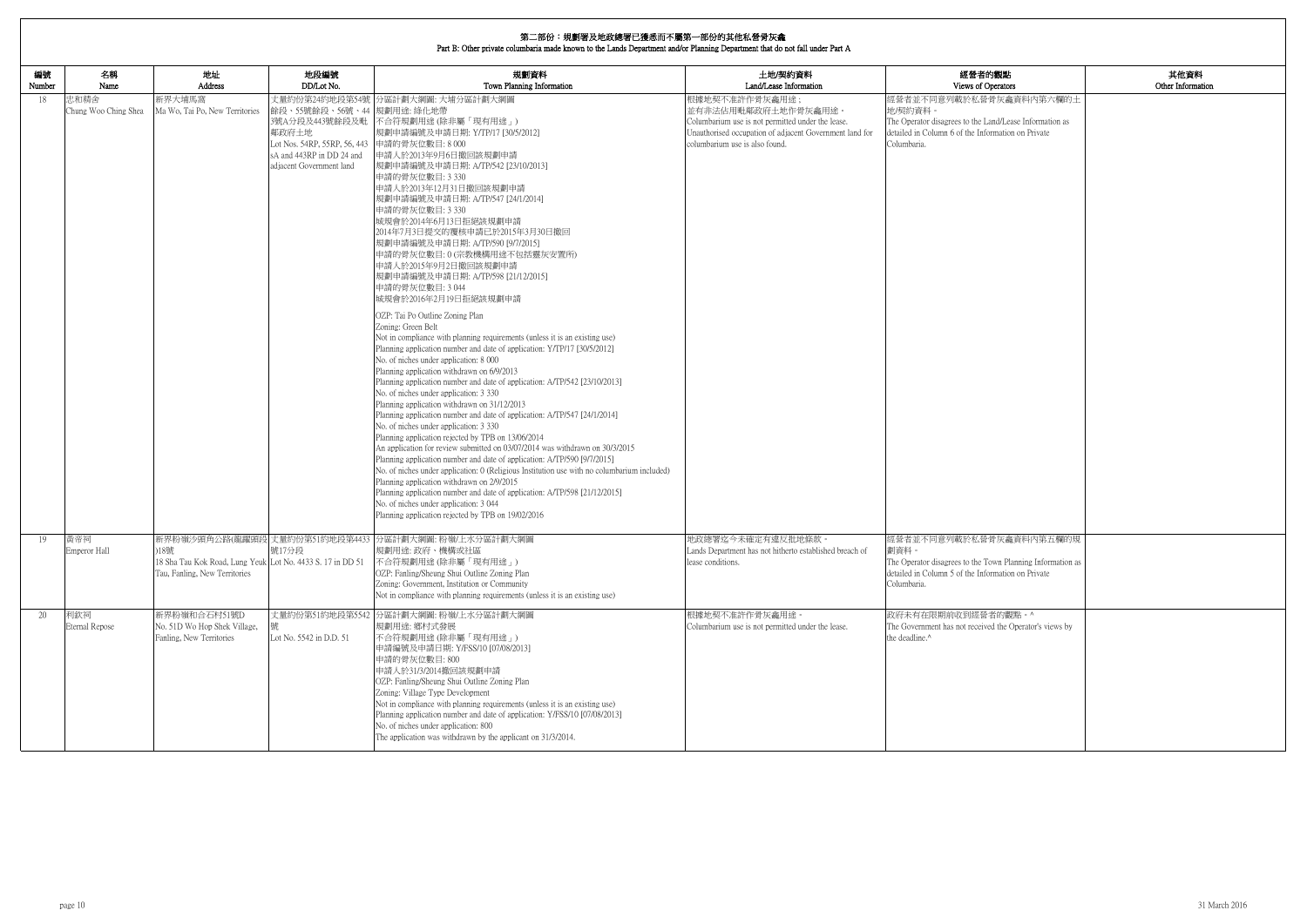| 的觀點<br>berators                                 | 其他資料<br>Other Information |
|-------------------------------------------------|---------------------------|
| 骨灰龕資料内第六欄的土                                     |                           |
| and/Lease Information as<br>ormation on Private |                           |
|                                                 |                           |
|                                                 |                           |
|                                                 |                           |
|                                                 |                           |
|                                                 |                           |
|                                                 |                           |
|                                                 |                           |
|                                                 |                           |
|                                                 |                           |
|                                                 |                           |
|                                                 |                           |
|                                                 |                           |
|                                                 |                           |
|                                                 |                           |
|                                                 |                           |
|                                                 |                           |
|                                                 |                           |
|                                                 |                           |
|                                                 |                           |
|                                                 |                           |
|                                                 |                           |
|                                                 |                           |
|                                                 |                           |
| 骨灰龕資料內第五欄的規                                     |                           |
| own Planning Information as                     |                           |
| ormation on Private                             |                           |
|                                                 |                           |
| 者的觀點。^                                          |                           |
| ed the Operator's views by                      |                           |
|                                                 |                           |
|                                                 |                           |
|                                                 |                           |
|                                                 |                           |
|                                                 |                           |
|                                                 |                           |

| 編號<br>Number | 名稱<br>Name                   | 地址<br>Address                                                                                       | 地段編號<br>DD/Lot No.                                                                                                                                              | 規劃資料<br>Town Planning Information                                                                                                                                                                                                                                                                                                                                                                                                                                                                                                                                                                                                                                                                                                                                                                                                                                                                                                                                                                                                                                                                                                                                                                                                                                                                                                                                                                                                                                                                                                                                                                                                                                      | 土地/契約資料<br>Land/Lease Information                                                                                                                                                       | 經營者的觀點<br>Views of Operators                                                                                                                                       |
|--------------|------------------------------|-----------------------------------------------------------------------------------------------------|-----------------------------------------------------------------------------------------------------------------------------------------------------------------|------------------------------------------------------------------------------------------------------------------------------------------------------------------------------------------------------------------------------------------------------------------------------------------------------------------------------------------------------------------------------------------------------------------------------------------------------------------------------------------------------------------------------------------------------------------------------------------------------------------------------------------------------------------------------------------------------------------------------------------------------------------------------------------------------------------------------------------------------------------------------------------------------------------------------------------------------------------------------------------------------------------------------------------------------------------------------------------------------------------------------------------------------------------------------------------------------------------------------------------------------------------------------------------------------------------------------------------------------------------------------------------------------------------------------------------------------------------------------------------------------------------------------------------------------------------------------------------------------------------------------------------------------------------------|-----------------------------------------------------------------------------------------------------------------------------------------------------------------------------------------|--------------------------------------------------------------------------------------------------------------------------------------------------------------------|
| 18           | 忠和精舍<br>Chung Woo Ching Shea | 新界大埔馬窩<br>Ma Wo, Tai Po, New Territories                                                            | 餘段、55號餘段、56號、44  規劃用途: 綠化地帶<br>3號A分段及443號餘段及毗<br>鄰政府土地<br>Lot Nos. 54RP, 55RP, 56, 443 申請的骨灰位數目: 8 000<br>sA and 443RP in DD 24 and<br>adjacent Government land | 丈量約份第24約地段第54號 分區計劃大綱圖: 大埔分區計劃大綱圖<br>不合符規劃用途 (除非屬「現有用途」)<br> 規劃申請編號及申請日期: Y/TP/17 [30/5/2012] <br> 申請人於2013年9月6日撤回該規劃申請<br> 規劃申請編號及申請日期: A/TP/542 [23/10/2013] <br>申請的骨灰位數目: 3 330<br>申請人於2013年12月31日撤回該規劃申請<br>規劃申請編號及申請日期: A/TP/547 [24/1/2014]<br>申請的骨灰位數目: 3 330<br>城規會於2014年6月13日拒絕該規劃申請<br>2014年7月3日提交的覆核申請已於2015年3月30日撤回<br> 規劃申請編號及申請日期: A/TP/590 [9/7/2015] <br>申請的骨灰位數目:0(宗教機構用途不包括靈灰安置所)<br>申請人於2015年9月2日撤回該規劃申請<br> 規劃申請編號及申請日期: A/TP/598 [21/12/2015] <br>申請的骨灰位數目: 3044<br>城規會於2016年2月19日拒絕該規劃申請<br>OZP: Tai Po Outline Zoning Plan<br>Zoning: Green Belt<br>Not in compliance with planning requirements (unless it is an existing use)<br>Planning application number and date of application: Y/TP/17 [30/5/2012]<br>No. of niches under application: 8 000<br>Planning application withdrawn on 6/9/2013<br>Planning application number and date of application: A/TP/542 [23/10/2013]<br>No. of niches under application: 3 330<br>Planning application withdrawn on 31/12/2013<br>Planning application number and date of application: A/TP/547 [24/1/2014]<br>No. of niches under application: 3 330<br>Planning application rejected by TPB on 13/06/2014<br>An application for review submitted on 03/07/2014 was withdrawn on 30/3/2015<br>Planning application number and date of application: A/TP/590 [9/7/2015]<br>No. of niches under application: 0 (Religious Institution use with no columbarium included)<br>Planning application withdrawn on 2/9/2015<br>Planning application number and date of application: A/TP/598 [21/12/2015]<br>No. of niches under application: 3 044<br>Planning application rejected by TPB on 19/02/2016 | 根據地契不准許作骨灰龕用途;<br>並有非法佔用毗鄰政府土地作骨灰龕用途。<br>Columbarium use is not permitted under the lease.<br>Unauthorised occupation of adjacent Government land for<br>columbarium use is also found. | 經營者並不同意列載於私營骨灰龕資料內第六欄的土<br>地/契約資料<br>The Operator disagrees to the Land/Lease Information as<br>detailed in Column 6 of the Information on Private<br>Columbaria.  |
| 19           | 黃帝祠<br>Emperor Hall          | )18號<br>18 Sha Tau Kok Road, Lung Yeuk Lot No. 4433 S. 17 in DD 51<br>Tau, Fanling, New Territories | 號17分段                                                                                                                                                           | 新界粉嶺沙頭角公路(龍躍頭段 丈量約份第51約地段第4433 分區計劃大綱圖:粉嶺/上水分區計劃大綱圖<br>規劃用途: 政府、機構或社區<br>不合符規劃用途(除非屬「現有用途」)<br>OZP: Fanling/Sheung Shui Outline Zoning Plan<br>Zoning: Government, Institution or Community<br>Not in compliance with planning requirements (unless it is an existing use)                                                                                                                                                                                                                                                                                                                                                                                                                                                                                                                                                                                                                                                                                                                                                                                                                                                                                                                                                                                                                                                                                                                                                                                                                                                                                                                                                                                             | 地政總署迄今未確定有違反批地條款。<br>Lands Department has not hitherto established breach of<br>lease conditions.                                                                                       | 經營者並不同意列載於私營骨灰龕資料內第五欄的規<br>劃資料。<br>The Operator disagrees to the Town Planning Information as<br>detailed in Column 5 of the Information on Private<br>Columbaria. |
| 20           | 利欽祠<br>Eternal Repose        | 新界粉嶺和合石村51號D<br>No. 51D Wo Hop Shek Village,<br>Fanling, New Territories                            | Lot No. 5542 in D.D. 51                                                                                                                                         | 丈量約份第51約地段第5542 分區計劃大綱圖: 粉嶺/上水分區計劃大綱圖<br>規劃用途: 鄉村式發展<br>不合符規劃用途 (除非屬「現有用途」)<br>申請編號及申請日期: Y/FSS/10 [07/08/2013]<br>申請的骨灰位數目: 800<br>申請人於31/3/2014撤回該規劃申請<br>OZP: Fanling/Sheung Shui Outline Zoning Plan<br>Zoning: Village Type Development<br>Not in compliance with planning requirements (unless it is an existing use)<br>Planning application number and date of application: Y/FSS/10 [07/08/2013]<br>No. of niches under application: 800<br>The application was withdrawn by the applicant on 31/3/2014.                                                                                                                                                                                                                                                                                                                                                                                                                                                                                                                                                                                                                                                                                                                                                                                                                                                                                                                                                                                                                                                                                                                                                      | 根據地契不准許作骨灰龕用途。<br>Columbarium use is not permitted under the lease.                                                                                                                     | 政府未有在限期前收到經營者的觀點。^<br>The Government has not received the Operator's views by<br>the deadline.^                                                                    |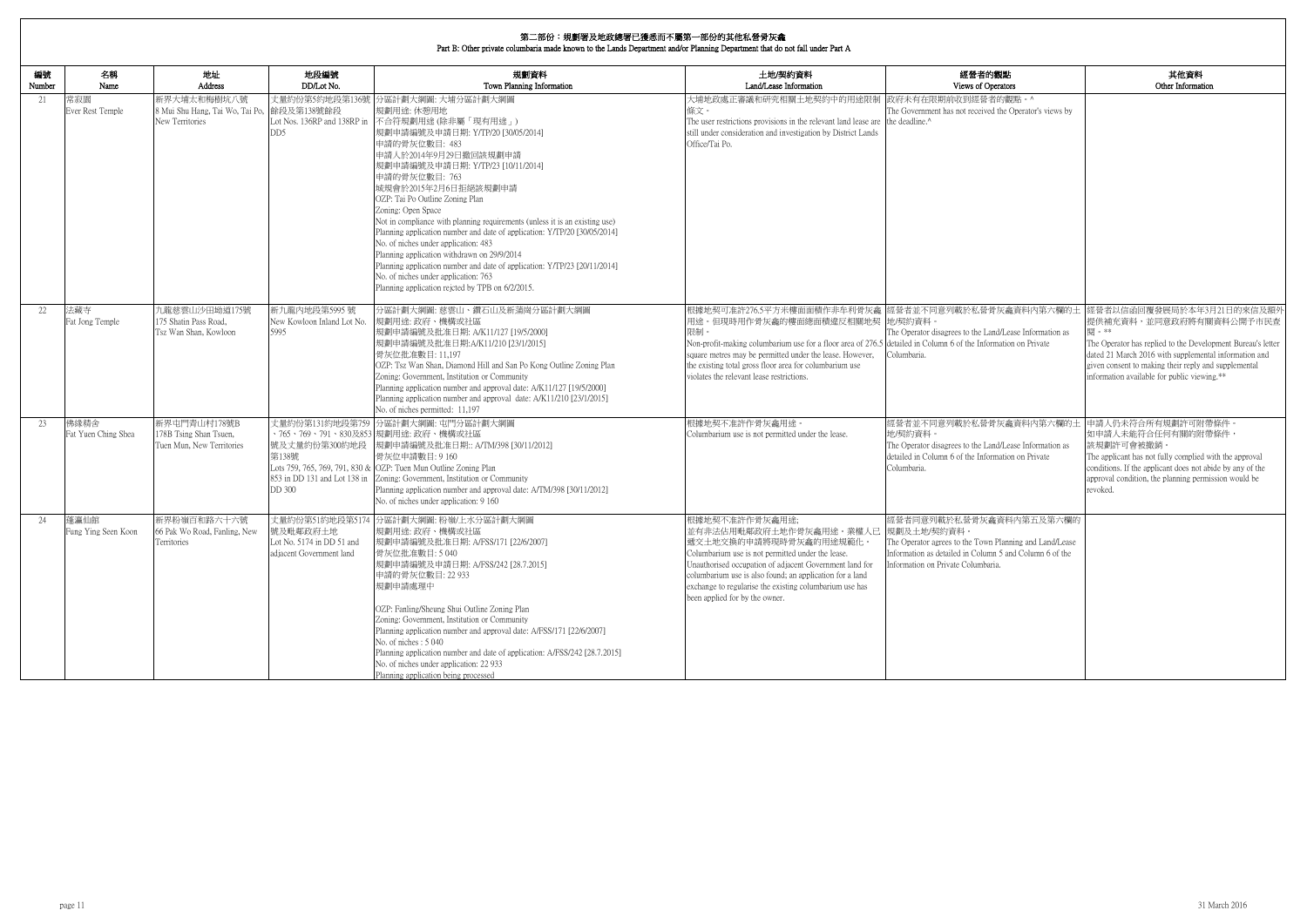# **第二部<del>公:坦劃</del>單**及地政總單已獲采而不屬第二部公的甘*斯*到著是在金

|              | 为一叩刀,枕割者火地以統者已渡心而尘濁为 即刃叮共化似名凡伏龍<br>Part B: Other private columbaria made known to the Lands Department and/or Planning Department that do not fall under Part A |                                                                              |                                                                                          |                                                                                                                                                                                                                                                                                                                                                                                                                                                                                                                                                                                                                                                                                                          |                                                                                                                                                                                                                                                                                                                                                           |                                                                                                                                                                                       |                                                                                                                                                                                                                                                                                                                                                   |
|--------------|-----------------------------------------------------------------------------------------------------------------------------------------------------------------|------------------------------------------------------------------------------|------------------------------------------------------------------------------------------|----------------------------------------------------------------------------------------------------------------------------------------------------------------------------------------------------------------------------------------------------------------------------------------------------------------------------------------------------------------------------------------------------------------------------------------------------------------------------------------------------------------------------------------------------------------------------------------------------------------------------------------------------------------------------------------------------------|-----------------------------------------------------------------------------------------------------------------------------------------------------------------------------------------------------------------------------------------------------------------------------------------------------------------------------------------------------------|---------------------------------------------------------------------------------------------------------------------------------------------------------------------------------------|---------------------------------------------------------------------------------------------------------------------------------------------------------------------------------------------------------------------------------------------------------------------------------------------------------------------------------------------------|
| 編號<br>Number | 名稱<br>Name                                                                                                                                                      | 地址<br>Address                                                                | 地段編號<br>DD/Lot No.                                                                       | 規劃資料<br>Town Planning Information                                                                                                                                                                                                                                                                                                                                                                                                                                                                                                                                                                                                                                                                        | 土地/契約資料<br>Land/Lease Information                                                                                                                                                                                                                                                                                                                         | 經營者的觀點<br>Views of Operators                                                                                                                                                          | 其他資料<br>Other Information                                                                                                                                                                                                                                                                                                                         |
| 21           | 常寂園<br>Ever Rest Temple                                                                                                                                         | 新界大埔太和梅樹坑八號<br>8 Mui Shu Hang, Tai Wo, Tai Po, 餘段及第138號餘段<br>New Territories | 丈量約份第5約地段第136號<br>Lot Nos. 136RP and 138RP in<br>DD5                                     | 分區計劃大綱圖: 大埔分區計劃大綱圖<br>規劃用途: 休憩用地<br>不合符規劃用途(除非屬「現有用途」)<br>規劃申請編號及申請日期: Y/TP/20 [30/05/2014]<br>申請的骨灰位數目: 483<br>申請人於2014年9月29日撤回該規劃申請<br>規劃申請編號及申請日期: Y/TP/23 [10/11/2014]<br>申請的骨灰位數目: 763<br>城規會於2015年2月6日拒絕該規劃申請<br>OZP: Tai Po Outline Zoning Plan<br>Zoning: Open Space<br>Not in compliance with planning requirements (unless it is an existing use)<br>Planning application number and date of application: Y/TP/20 [30/05/2014]<br>No. of niches under application: 483<br>Planning application withdrawn on 29/9/2014<br>Planning application number and date of application: Y/TP/23 [20/11/2014]<br>No. of niches under application: 763<br>Planning application rejeted by TPB on 6/2/2015. | 大埔地政處正審議和研究相關土地契約中的用途限制<br>條文。<br>The user restrictions provisions in the relevant land lease are the deadline.^<br>still under consideration and investigation by District Lands<br>Office/Tai Po.                                                                                                                                                       | 政府未有在限期前收到經營者的觀點。^<br>The Government has not received the Operator's views by                                                                                                         |                                                                                                                                                                                                                                                                                                                                                   |
| 22           | 法藏寺<br>Fat Jong Temple                                                                                                                                          | 九龍慈雲山沙田坳道175號<br>175 Shatin Pass Road.<br>Tsz Wan Shan, Kowloon              | 新九龍內地段第5995號<br>New Kowloon Inland Lot No.<br>5995                                       | 分區計劃大綱圖: 慈雲山、鑽石山及新蒲崗分區計劃大綱圖<br>規劃用途:政府、機構或社區<br>規劃申請編號及批准日期: A/K11/127 [19/5/2000]<br>規劃申請編號及批准日期:A/K11/210 [23/1/2015]<br>骨灰位批准數目: 11,197<br>OZP: Tsz Wan Shan, Diamond Hill and San Po Kong Outline Zoning Plan<br>Zoning: Government, Institution or Community<br>Planning application number and approval date: A/K11/127 [19/5/2000]<br>Planning application number and approval date: A/K11/210 [23/1/2015]<br>No. of niches permitted: 11,197                                                                                                                                                                                                                                                     | 用途。但現時用作骨灰龕的樓面總面積違反相關地契 地/契約資料。<br>限制。<br>Non-profit-making columbarium use for a floor area of 276.5 detailed in Column 6 of the Information on Private<br>square metres may be permitted under the lease. However,<br>the existing total gross floor area for columbarium use<br>violates the relevant lease restrictions.                              | The Operator disagrees to the Land/Lease Information as<br>Columbaria.                                                                                                                | 根據地契可准許276.5平方米樓面面積作非牟利骨灰龕  經營者並不同意列載於私營骨灰龕資料內第六欄的土  經營者以信函回覆發展局於本年3月21日的來信及額タ<br>提供補充資料,並同意政府將有關資料公開予市民查<br>閣 。**<br>The Operator has replied to the Development Bureau's letter<br>dated 21 March 2016 with supplemental information and<br>given consent to making their reply and supplemental<br>information available for public viewing.** |
| 23           | 佛緣精舍<br>Fat Yuen Ching Shea                                                                                                                                     | 新界屯門青山村178號B<br>178B Tsing Shan Tsuen,<br>Tuen Mun, New Territories          | 丈量約份第131約地段第759<br>號及丈量約份第300約地段<br>第138號<br>853 in DD 131 and Lot 138 in<br>DD 300      | 分區計劃大綱圖: 屯門分區計劃大綱圖<br>、765、769、791、830及853 規劃用途: 政府、機構或社區<br> 規劃申請編號及批准日期:: A/TM/398 [30/11/2012]<br>骨灰位申請數目: 9160<br>Lots 759, 765, 769, 791, 830 & OZP: Tuen Mun Outline Zoning Plan<br>Zoning: Government, Institution or Community<br>Planning application number and approval date: A/TM/398 [30/11/2012]<br>No. of niches under application: 9 160                                                                                                                                                                                                                                                                                                                                                 | 根據地契不准許作骨灰龕用途。<br>Columbarium use is not permitted under the lease.                                                                                                                                                                                                                                                                                       | 經營者並不同意列載於私營骨灰龕資料內第六欄的土 申請人仍未符合所有規劃許可附帶條件。<br>地/契約資料。<br>The Operator disagrees to the Land/Lease Information as<br>detailed in Column 6 of the Information on Private<br>Columbaria. | 如申請人未能符合任何有關的附帶條件,<br>該規劃許可會被撤銷<br>The applicant has not fully complied with the approval<br>conditions. If the applicant does not abide by any of the<br>approval condition, the planning permission would be<br>revoked.                                                                                                                        |
| 24           | 蓬瀛仙館<br>Fung Ying Seen Koon                                                                                                                                     | 新界粉嶺百和路六十六號<br>66 Pak Wo Road, Fanling, New<br>Territories                   | 丈量約份第51約地段第5174<br>號及毗鄰政府土地<br>Lot No. $5174$ in DD $51$ and<br>adjacent Government land | 分區計劃大綱圖: 粉嶺/上水分區計劃大綱圖<br>規劃用途: 政府、機構或社區<br>規劃申請編號及批准日期: A/FSS/171 [22/6/2007]<br>骨灰位批准數目: 5 040<br>規劃申請編號及申請日期: A/FSS/242 [28.7.2015]<br>申請的骨灰位數目: 22 933<br>規劃申請處理中<br>OZP: Fanling/Sheung Shui Outline Zoning Plan<br>Zoning: Government, Institution or Community<br>Planning application number and approval date: A/FSS/171 [22/6/2007]<br>No. of niches: 5 040<br>Planning application number and date of application: A/FSS/242 [28.7.2015]<br>No. of niches under application: 22 933<br>Planning application being processed                                                                                                                                                                    | 根據地契不准許作骨灰龕用途;<br>並有非法佔用毗鄰政府土地作骨灰龕用途。業權人已  規劃及土地/契約資料。<br>遞交土地交換的申請將現時骨灰龕的用途規範化。<br>Columbarium use is not permitted under the lease.<br>Unauthorised occupation of adjacent Government land for<br>columbarium use is also found; an application for a land<br>exchange to regularise the existing columbarium use has<br>been applied for by the owner. | 經營者同意列載於私營骨灰龕資料內第五及第六欄的<br>The Operator agrees to the Town Planning and Land/Lease<br>Information as detailed in Column 5 and Column 6 of the<br>Information on Private Columbaria.   |                                                                                                                                                                                                                                                                                                                                                   |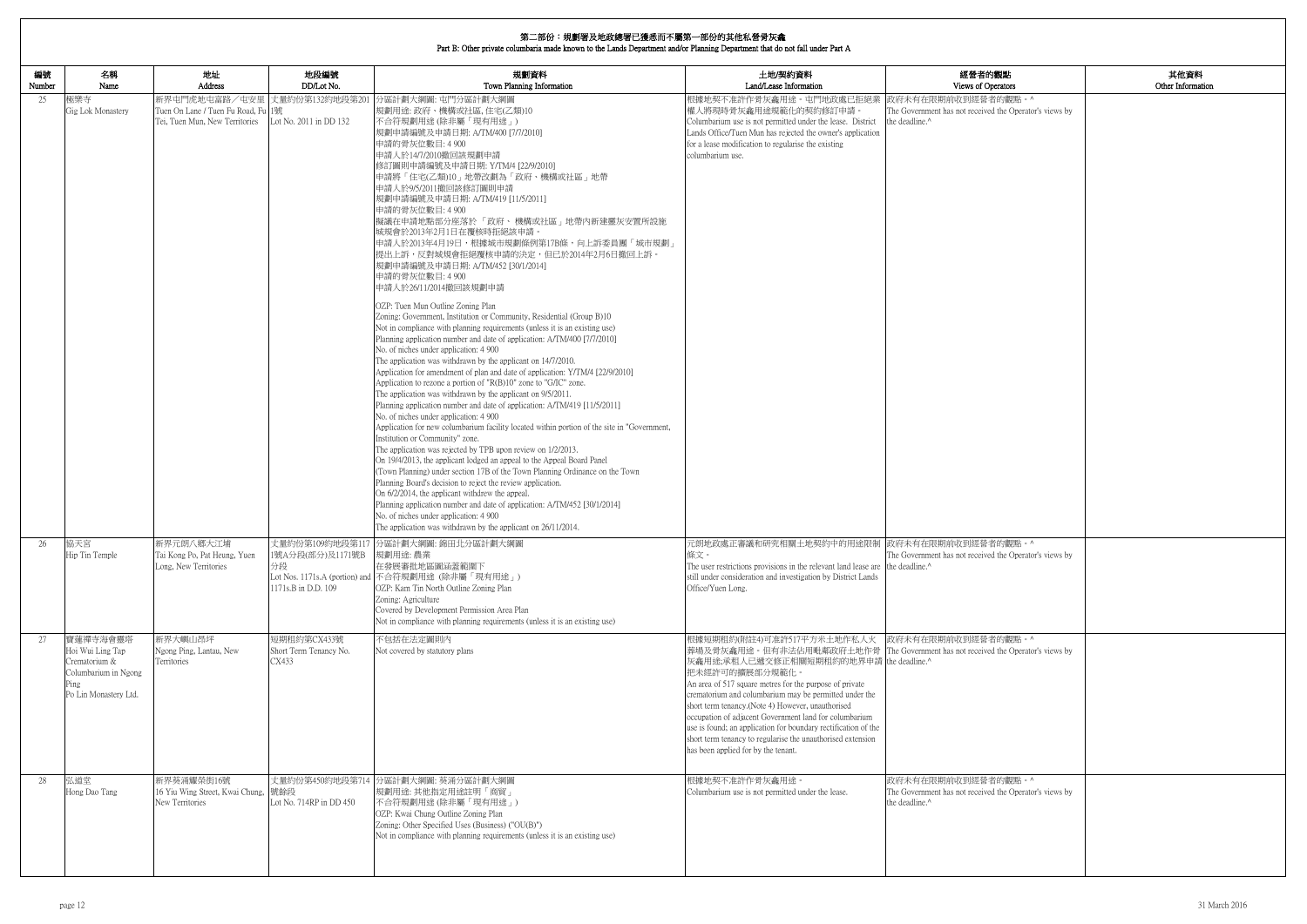|              | 第二部份:規劃署及地政總署已獲悉而不屬第一部份的其他私營骨灰龕<br>Part B: Other private columbaria made known to the Lands Department and/or Planning Department that do not fall under Part A |                                                                                                       |                                                                 |                                                                                                                                                                                                                                                                                                                                                                                                                                                                                                                                                                                                                                                                                                                                                                                                                                                                                                                                                                                                                                                                                                                                                                                                                                                                                                                                                                                                                                                                                                                                                                                                                                                                                                                                                                                                                                                                                                                                                                      |                                                                                                                                                                                                                                                                                                                                                                                                                                                                                                                                                                                                            |                                                                                                             |                           |
|--------------|-----------------------------------------------------------------------------------------------------------------------------------------------------------------|-------------------------------------------------------------------------------------------------------|-----------------------------------------------------------------|----------------------------------------------------------------------------------------------------------------------------------------------------------------------------------------------------------------------------------------------------------------------------------------------------------------------------------------------------------------------------------------------------------------------------------------------------------------------------------------------------------------------------------------------------------------------------------------------------------------------------------------------------------------------------------------------------------------------------------------------------------------------------------------------------------------------------------------------------------------------------------------------------------------------------------------------------------------------------------------------------------------------------------------------------------------------------------------------------------------------------------------------------------------------------------------------------------------------------------------------------------------------------------------------------------------------------------------------------------------------------------------------------------------------------------------------------------------------------------------------------------------------------------------------------------------------------------------------------------------------------------------------------------------------------------------------------------------------------------------------------------------------------------------------------------------------------------------------------------------------------------------------------------------------------------------------------------------------|------------------------------------------------------------------------------------------------------------------------------------------------------------------------------------------------------------------------------------------------------------------------------------------------------------------------------------------------------------------------------------------------------------------------------------------------------------------------------------------------------------------------------------------------------------------------------------------------------------|-------------------------------------------------------------------------------------------------------------|---------------------------|
| 編號<br>Number | 名稱<br>Name                                                                                                                                                      | 地址<br>Address                                                                                         | 地段編號<br>DD/Lot No.                                              | 規劃資料<br>Town Planning Information                                                                                                                                                                                                                                                                                                                                                                                                                                                                                                                                                                                                                                                                                                                                                                                                                                                                                                                                                                                                                                                                                                                                                                                                                                                                                                                                                                                                                                                                                                                                                                                                                                                                                                                                                                                                                                                                                                                                    | 土地/契約資料<br>Land/Lease Information                                                                                                                                                                                                                                                                                                                                                                                                                                                                                                                                                                          | 經營者的觀點<br>Views of Operators                                                                                | 其他資料<br>Other Information |
| 25           | 極樂寺<br>Gig Lok Monastery                                                                                                                                        | 新界屯門虎地屯富路/屯安里 丈量約份第132約地段第201<br>Tuen On Lane / Tuen Fu Road, Fu 1號<br>Tei, Tuen Mun, New Territories | Lot No. 2011 in DD 132                                          | 分區計劃大綱圖: 屯門分區計劃大綱圖<br> 規劃用途: 政府、機構或社區, 住宅(乙類)10<br>不合符規劃用途(除非屬「現有用途」)<br> 規劃申請編號及申請日期: A/TM/400 [7/7/2010]<br>申請的骨灰位數目: 4 900<br>申請人於14/7/2010撤回該規劃申請<br> 修訂圖則申請編號及申請日期: Y/TM/4 [22/9/2010]<br> 申請將「住宅(乙類)10」地帶改劃為「政府、機構或社區」地帶<br> 申請人於9/5/2011撤回該修訂圖則申請 <br>規劃申請編號及申請日期: A/TM/419 [11/5/2011]<br>申請的骨灰位數目: 4 900<br>擬議在申請地點部分座落於「政府、機構或社區」地帶內新建靈灰安置所設施<br> 城規會於2013年2月1日在覆核時拒絕該申請。<br> 申請人於2013年4月19日,根據城市規劃條例第17B條,向上訴委員團「城市規劃」<br>提出上訴,反對城規會拒絕覆核申請的決定,但已於2014年2月6日撤回上訴。<br> 規劃申請編號及申請日期: A/TM/452 [30/1/2014]<br>申請的骨灰位數目: 4 900<br>申請人於26/11/2014撤回該規劃申請<br>OZP: Tuen Mun Outline Zoning Plan<br>Zoning: Government, Institution or Community, Residential (Group B)10<br>Not in compliance with planning requirements (unless it is an existing use)<br>Planning application number and date of application: A/TM/400 [7/7/2010]<br>No. of niches under application: 4 900<br>The application was withdrawn by the applicant on 14/7/2010.<br>Application for amendment of plan and date of application: Y/TM/4 [22/9/2010]<br>Application to rezone a portion of " $R(B)10$ " zone to "G/IC" zone.<br>The application was withdrawn by the applicant on 9/5/2011.<br>Planning application number and date of application: A/TM/419 [11/5/2011]<br>No. of niches under application: 4 900<br>Application for new columbarium facility located within portion of the site in "Government,<br>Institution or Community" zone.<br>The application was rejected by TPB upon review on 1/2/2013.<br>On 19/4/2013, the applicant lodged an appeal to the Appeal Board Panel<br>(Town Planning) under section 17B of the Town Planning Ordinance on the Town<br>Planning Board's decision to reject the review application.<br>On 6/2/2014, the applicant withdrew the appeal.<br>Planning application number and date of application: A/TM/452 [30/1/2014]<br>No. of niches under application: 4 900<br>The application was withdrawn by the applicant on 26/11/2014. | 根據地契不准許作骨灰龕用途。屯門地政處已拒絕業<br>權人將現時骨灰龕用途規範化的契約修訂申請。<br>Columbarium use is not permitted under the lease. District<br>Lands Office/Tuen Mun has rejected the owner's application<br>for a lease modification to regularise the existing<br>columbarium use.                                                                                                                                                                                                                                                                                                                                                    | 政府未有在限期前收到經營者的觀點。^<br>The Government has not received the Operator's views by<br>the deadline. <sup>^</sup> |                           |
| 26           | 協天宮<br>Hip Tin Temple                                                                                                                                           | 新界元朗八鄉大江埔<br>Tai Kong Po, Pat Heung, Yuen<br>Long, New Territories                                    | 丈量約份第109約地段第11<br>1號A分段(部分)及1171號B<br>分段<br>1171s.B in D.D. 109 | 分區計劃大綱圖: 錦田北分區計劃大綱圖<br>規劃用途:農業<br>在發展審批地區圖涵蓋範圍下<br>Lot Nos. 1171s.A (portion) and 不合符規劃用途 (除非屬「現有用途」)<br>OZP: Kam Tin North Outline Zoning Plan<br>Zoning: Agriculture<br>Covered by Development Permission Area Plan<br>Not in compliance with planning requirements (unless it is an existing use)                                                                                                                                                                                                                                                                                                                                                                                                                                                                                                                                                                                                                                                                                                                                                                                                                                                                                                                                                                                                                                                                                                                                                                                                                                                                                                                                                                                                                                                                                                                                                                                                                                                                 | 元朗地政處正審議和研究相關土地契約中的用途限制 政府未有在限期前收到經營者的觀點。^<br>條文。<br>The user restrictions provisions in the relevant land lease are the deadline.^<br>still under consideration and investigation by District Lands<br>Office/Yuen Long.                                                                                                                                                                                                                                                                                                                                                                                  | The Government has not received the Operator's views by                                                     |                           |
| 27           | 寶蓮禪寺海會靈塔<br>Hoi Wui Ling Tap<br>Crematorium &<br>Columbarium in Ngong<br>Ping<br>Po Lin Monastery Ltd.                                                          | 新界大嶼山昂坪<br>Ngong Ping, Lantau, New<br>Territories                                                     | 短期租約第CX433號<br>Short Term Tenancy No.<br>CX433                  | 不包括在法定圖則內<br>Not covered by statutory plans                                                                                                                                                                                                                                                                                                                                                                                                                                                                                                                                                                                                                                                                                                                                                                                                                                                                                                                                                                                                                                                                                                                                                                                                                                                                                                                                                                                                                                                                                                                                                                                                                                                                                                                                                                                                                                                                                                                          | 根據短期租約(附註4)可准許517平方米土地作私人火  政府未有在限期前收到經營者的觀點。^<br>葬場及骨灰龕用途。但有非法佔用毗鄰政府土地作骨 The Government has not received the Operator's views by<br>灰龕用途;承租人已遞交修正相關短期租約的地界申請 the deadline.^<br>把未經許可的擴展部分規範化。<br>An area of 517 square metres for the purpose of private<br>crematorium and columbarium may be permitted under the<br>short term tenancy.(Note 4) However, unauthorised<br>occupation of adjacent Government land for columbarium<br>use is found; an application for boundary rectification of the<br>short term tenancy to regularise the unauthorised extension<br>has been applied for by the tenant. |                                                                                                             |                           |
| 28           | 弘道堂<br>Hong Dao Tang                                                                                                                                            | 新界葵涌耀榮街16號<br>16 Yiu Wing Street, Kwai Chung, 號餘段<br>New Territories                                  | Lot No. 714RP in DD 450                                         | 丈量約份第450約地段第714 分區計劃大綱圖: 葵涌分區計劃大綱圖<br>規劃用途: 其他指定用途註明「商貿」<br>不合符規劃用途 (除非屬「現有用途」)<br>OZP: Kwai Chung Outline Zoning Plan<br>Zoning: Other Specified Uses (Business) ("OU(B)")<br>Not in compliance with planning requirements (unless it is an existing use)                                                                                                                                                                                                                                                                                                                                                                                                                                                                                                                                                                                                                                                                                                                                                                                                                                                                                                                                                                                                                                                                                                                                                                                                                                                                                                                                                                                                                                                                                                                                                                                                                                                                                                           | 根據地契不准許作骨灰龕用途。<br>Columbarium use is not permitted under the lease.                                                                                                                                                                                                                                                                                                                                                                                                                                                                                                                                        | 政府未有在限期前收到經營者的觀點。^<br>The Government has not received the Operator's views by<br>the deadline.^             |                           |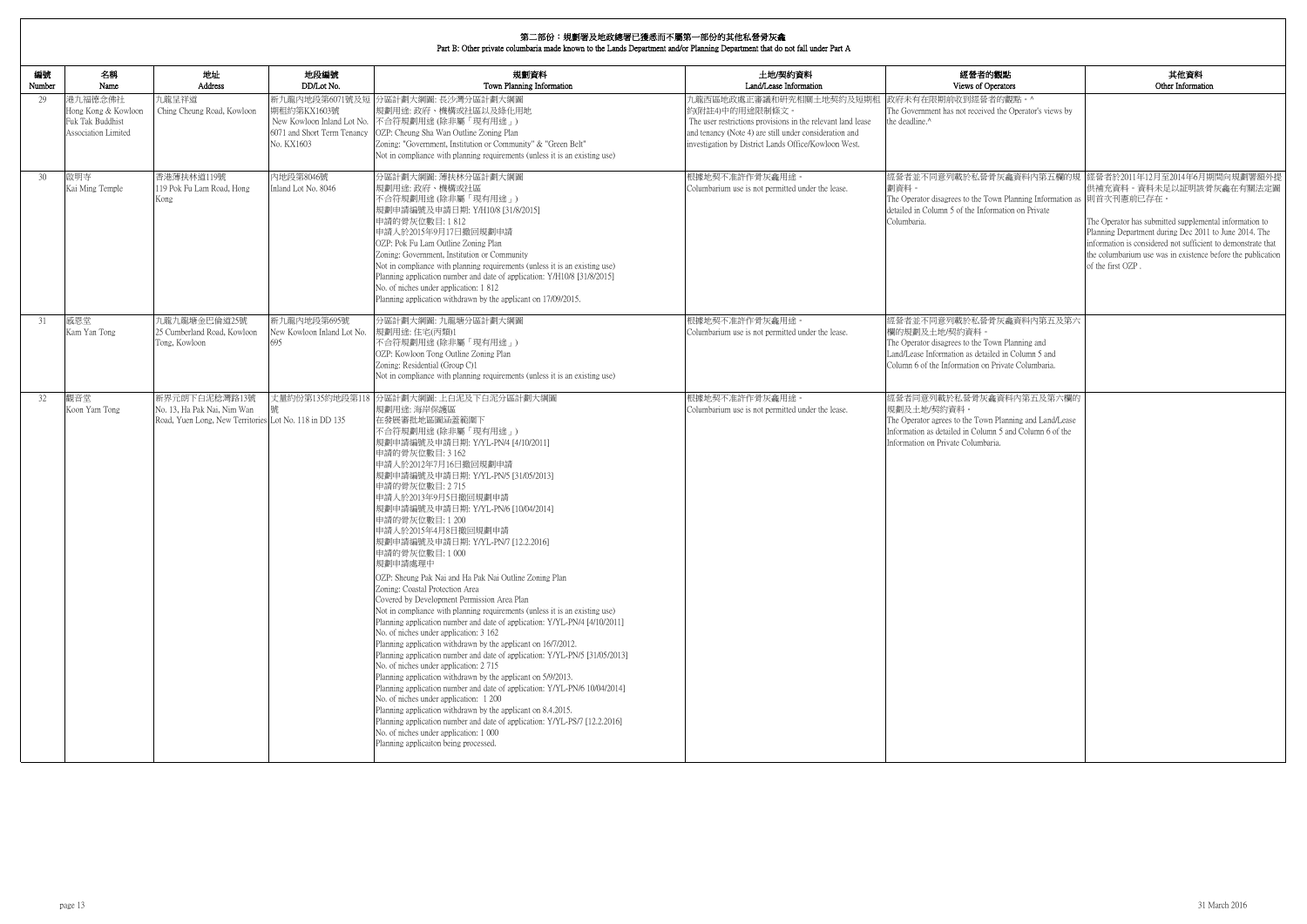|              | Part B: Other private columbaria made known to the Lands Department and/or Planning Department that do not fall under Part A |                                                                                                        |                                                                            |                                                                                                                                                                                                                                                                                                                                                                                                                                                                                                                                                                                                                                                                                                                                                                                                                                                                                                                                                                                                                                                                                                                                                                                                                                                                                                                                                                       |                                                                                                                                                                                                                              |                                                                                                                                                                                                         |                                                                                                                                                                                                                                                                                                                                                          |
|--------------|------------------------------------------------------------------------------------------------------------------------------|--------------------------------------------------------------------------------------------------------|----------------------------------------------------------------------------|-----------------------------------------------------------------------------------------------------------------------------------------------------------------------------------------------------------------------------------------------------------------------------------------------------------------------------------------------------------------------------------------------------------------------------------------------------------------------------------------------------------------------------------------------------------------------------------------------------------------------------------------------------------------------------------------------------------------------------------------------------------------------------------------------------------------------------------------------------------------------------------------------------------------------------------------------------------------------------------------------------------------------------------------------------------------------------------------------------------------------------------------------------------------------------------------------------------------------------------------------------------------------------------------------------------------------------------------------------------------------|------------------------------------------------------------------------------------------------------------------------------------------------------------------------------------------------------------------------------|---------------------------------------------------------------------------------------------------------------------------------------------------------------------------------------------------------|----------------------------------------------------------------------------------------------------------------------------------------------------------------------------------------------------------------------------------------------------------------------------------------------------------------------------------------------------------|
| 編號<br>Number | 名稱<br>Name                                                                                                                   | 地址<br>Address                                                                                          | 地段編號<br>DD/Lot No.                                                         | 規劃資料<br>Town Planning Information                                                                                                                                                                                                                                                                                                                                                                                                                                                                                                                                                                                                                                                                                                                                                                                                                                                                                                                                                                                                                                                                                                                                                                                                                                                                                                                                     | 土地/契約資料<br>Land/Lease Information                                                                                                                                                                                            | 經營者的觀點<br>Views of Operators                                                                                                                                                                            | 其他資料<br>Other Information                                                                                                                                                                                                                                                                                                                                |
| 29           | 港九福德念佛社<br>Hong Kong & Kowloon<br>Fuk Tak Buddhist<br>Association Limited                                                    | 九龍呈祥道<br>Ching Cheung Road, Kowloon                                                                    | 新九龍內地段第6071號及短<br>期租約第KX1603號<br>6071 and Short Term Tenancy<br>No. KX1603 | 分區計劃大綱圖:長沙灣分區計劃大綱圖<br>規劃用途: 政府、機構或社區以及綠化用地<br>New Kowloon Inland Lot No. 不合符規劃用途(除非屬「現有用途」)<br>OZP: Cheung Sha Wan Outline Zoning Plan<br>Zoning: "Government, Institution or Community" & "Green Belt"<br>Not in compliance with planning requirements (unless it is an existing use)                                                                                                                                                                                                                                                                                                                                                                                                                                                                                                                                                                                                                                                                                                                                                                                                                                                                                                                                                                                                                                                                                | h.龍西區地政處正審議和研究相關土地契約及短期租<br>約(附註4)中的用途限制條文。<br>The user restrictions provisions in the relevant land lease<br>and tenancy (Note 4) are still under consideration and<br>investigation by District Lands Office/Kowloon West. | 政府未有在限期前收到經營者的觀點。^<br>The Government has not received the Operator's views by<br>the deadline.^                                                                                                         |                                                                                                                                                                                                                                                                                                                                                          |
| 30           | 啟明寺<br>Kai Ming Temple                                                                                                       | 香港薄扶林道119號<br>119 Pok Fu Lam Road, Hong<br>Kong                                                        | 内地段第8046號<br>Inland Lot No. 8046                                           | 分區計劃大綱圖: 薄扶林分區計劃大綱圖<br> 規劃用途: 政府、機構或社區<br>不合符規劃用途(除非屬「現有用途」)<br>規劃申請編號及申請日期: Y/H10/8 [31/8/2015]<br>申請的骨灰位數目:1812<br>申請人於2015年9月17日撤回規劃申請<br>OZP: Pok Fu Lam Outline Zoning Plan<br>Zoning: Government, Institution or Community<br>Not in compliance with planning requirements (unless it is an existing use)<br>Planning application number and date of application: Y/H10/8 [31/8/2015]<br>No. of niches under application: 1812<br>Planning application withdrawn by the applicant on 17/09/2015.                                                                                                                                                                                                                                                                                                                                                                                                                                                                                                                                                                                                                                                                                                                                                                                                                                                                | 根據地契不准許作骨灰龕用途。<br>Columbarium use is not permitted under the lease.                                                                                                                                                          | 劃資料。<br>The Operator disagrees to the Town Planning Information as 則首次刊憲前已存在。<br>detailed in Column 5 of the Information on Private<br>Columbaria.                                                      | 經營者並不同意列載於私營骨灰龕資料內第五欄的規  經營者於2011年12月至2014年6月期間向規劃署額外提<br>供補充資料。資料未足以証明該骨灰龕在有關法定圖<br>The Operator has submitted supplemental information to<br>Planning Department during Dec 2011 to June 2014. The<br>information is considered not sufficient to demonstrate that<br>the columbarium use was in existence before the publication<br>of the first OZP. |
| 31           | 感恩堂<br>Kam Yan Tong                                                                                                          | 九龍九龍塘金巴倫道25號<br>25 Cumberland Road, Kowloon<br>Tong, Kowloon                                           | 新九龍內地段第695號<br>New Kowloon Inland Lot No.                                  | 分區計劃大綱圖: 九龍塘分區計劃大綱圖<br>規劃用途:住宅(丙類)1<br>不合符規劃用途 (除非屬「現有用途」)<br>OZP: Kowloon Tong Outline Zoning Plan<br>Zoning: Residential (Group C)1<br>Not in compliance with planning requirements (unless it is an existing use)                                                                                                                                                                                                                                                                                                                                                                                                                                                                                                                                                                                                                                                                                                                                                                                                                                                                                                                                                                                                                                                                                                                                                  | 根據地契不准許作骨灰龕用途。<br>Columbarium use is not permitted under the lease.                                                                                                                                                          | 經營者並不同意列載於私營骨灰龕資料內第五及第六<br>欄的規劃及土地/契約資料。<br>The Operator disagrees to the Town Planning and<br>Land/Lease Information as detailed in Column 5 and<br>Column 6 of the Information on Private Columbaria. |                                                                                                                                                                                                                                                                                                                                                          |
| 32           | 觀音堂<br>Koon Yam Tong                                                                                                         | 新界元朗下白泥稔灣路13號<br>No. 13, Ha Pak Nai, Nim Wan<br>Road, Yuen Long, New Territories Lot No. 118 in DD 135 | 丈量約份第135約地段第118                                                            | 分區計劃大綱圖:上白泥及下白泥分區計劃大綱圖<br>規劃用途: 海岸保護區<br>在發展審批地區圖涵蓋範圍下<br>不合符規劃用途(除非屬「現有用途」)<br> 規劃申請編號及申請日期: Y/YL-PN/4 [4/10/2011]<br>申請的骨灰位數目: 3 162<br>申請人於2012年7月16日撤回規劃申請<br>規劃申請編號及申請日期: Y/YL-PN/5 [31/05/2013]<br>申請的骨灰位數目: 2715<br>申請人於2013年9月5日撤回規劃申請<br> 規劃申請編號及申請日期: Y/YL-PN/6 [10/04/2014]<br>申請的骨灰位數目:1200<br>申請人於2015年4月8日撤回規劃申請<br>規劃申請編號及申請日期: Y/YL-PN/7 [12.2.2016]<br>申請的骨灰位數目:1000<br>規劃申請處理中<br>OZP: Sheung Pak Nai and Ha Pak Nai Outline Zoning Plan<br>Zoning: Coastal Protection Area<br>Covered by Development Permission Area Plan<br>Not in compliance with planning requirements (unless it is an existing use)<br>Planning application number and date of application: Y/YL-PN/4 [4/10/2011]<br>No. of niches under application: 3 162<br>Planning application withdrawn by the applicant on 16/7/2012.<br>Planning application number and date of application: Y/YL-PN/5 [31/05/2013]<br>No. of niches under application: 2715<br>Planning application withdrawn by the applicant on 5/9/2013.<br>Planning application number and date of application: Y/YL-PN/6 10/04/2014]<br>No. of niches under application: 1 200<br>Planning application withdrawn by the applicant on 8.4.2015.<br>Planning application number and date of application: Y/YL-PS/7 [12.2.2016]<br>No. of niches under application: 1 000<br>Planning applicaiton being processed. | 根據地契不准許作骨灰龕用途。<br>Columbarium use is not permitted under the lease.                                                                                                                                                          | 經營者同意列載於私營骨灰龕資料內第五及第六欄的<br>規劃及土地/契約資料。<br>The Operator agrees to the Town Planning and Land/Lease<br>Information as detailed in Column 5 and Column 6 of the<br>Information on Private Columbaria.      |                                                                                                                                                                                                                                                                                                                                                          |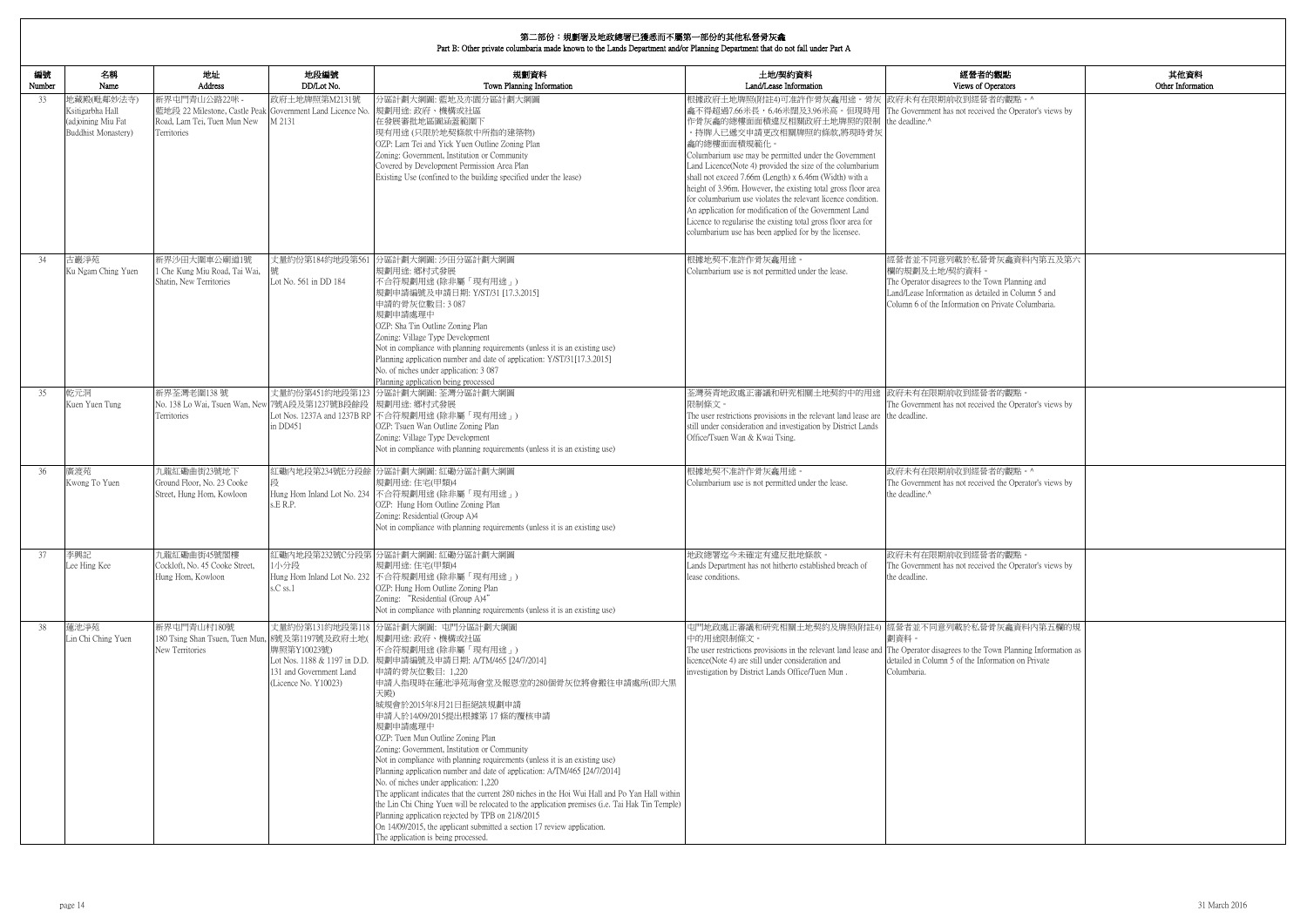Part B: Other private columbaria made known to the Lands Department and/or Planning Department that do not fall under Part A

| 的觀點                                                 | 其他資料              |
|-----------------------------------------------------|-------------------|
| )perators                                           | Other Information |
| 者的觀點。^                                              |                   |
| ed the Operator's views by                          |                   |
|                                                     |                   |
|                                                     |                   |
|                                                     |                   |
|                                                     |                   |
|                                                     |                   |
|                                                     |                   |
|                                                     |                   |
|                                                     |                   |
| 骨灰龕資料内第五及第六                                         |                   |
|                                                     |                   |
| own Planning and                                    |                   |
| iled in Column 5 and<br>Private Columbaria.         |                   |
|                                                     |                   |
|                                                     |                   |
|                                                     |                   |
|                                                     |                   |
|                                                     |                   |
| 者的觀點。                                               |                   |
| ed the Operator's views by                          |                   |
|                                                     |                   |
|                                                     |                   |
|                                                     |                   |
| 者的觀點。^                                              |                   |
| ed the Operator's views by                          |                   |
|                                                     |                   |
|                                                     |                   |
|                                                     |                   |
|                                                     |                   |
| 者的觀點。<br>ed the Operator's views by                 |                   |
|                                                     |                   |
|                                                     |                   |
|                                                     |                   |
| 骨灰龕資料內第五欄的規                                         |                   |
|                                                     |                   |
| 'own Planning Information as<br>ormation on Private |                   |
|                                                     |                   |
|                                                     |                   |
|                                                     |                   |
|                                                     |                   |
|                                                     |                   |
|                                                     |                   |
|                                                     |                   |
|                                                     |                   |
|                                                     |                   |
|                                                     |                   |
|                                                     |                   |
|                                                     |                   |

┓

| 編號<br>Number | 名稱<br>Name                                                                          | 地址<br><b>Address</b>                                                                            | 地段編號<br>DD/Lot No.                                                                             | 規劃資料<br>Town Planning Information                                                                                                                                                                                                                                                                                                                                                                                                                                                                                                                                                                                                                                                                                                                                                                                                                                                                           | 土地/契約資料<br>Land/Lease Information                                                                                                                                                                                                                                                                                                                                                                                                                                                                                                                                                                                                                                                                                 | 經營者的觀點<br>Views of Operators                                                                                                                                                                            |
|--------------|-------------------------------------------------------------------------------------|-------------------------------------------------------------------------------------------------|------------------------------------------------------------------------------------------------|-------------------------------------------------------------------------------------------------------------------------------------------------------------------------------------------------------------------------------------------------------------------------------------------------------------------------------------------------------------------------------------------------------------------------------------------------------------------------------------------------------------------------------------------------------------------------------------------------------------------------------------------------------------------------------------------------------------------------------------------------------------------------------------------------------------------------------------------------------------------------------------------------------------|-------------------------------------------------------------------------------------------------------------------------------------------------------------------------------------------------------------------------------------------------------------------------------------------------------------------------------------------------------------------------------------------------------------------------------------------------------------------------------------------------------------------------------------------------------------------------------------------------------------------------------------------------------------------------------------------------------------------|---------------------------------------------------------------------------------------------------------------------------------------------------------------------------------------------------------|
| 33           | 地藏殿(毗鄰妙法寺)<br>Ksitigarbha Hall<br>(adjoining Miu Fat<br><b>Buddhist Monastery</b> ) | 新界屯門青山公路22咪 -<br>Road, Lam Tei, Tuen Mun New<br>Territories                                     | 政府土地牌照第M2131號<br>M 2131                                                                        | 分區計劃大綱圖: 藍地及亦園分區計劃大綱圖<br>藍地段 22 Milestone, Castle Peak Government Land Licence No.  規劃用途: 政府、機構或社區<br>在發展審批地區圖涵蓋範圍下<br>現有用途(只限於地契條款中所指的建築物)<br>OZP: Lam Tei and Yick Yuen Outline Zoning Plan<br>Zoning: Government, Institution or Community<br>Covered by Development Permission Area Plan<br>Existing Use (confined to the building specified under the lease)                                                                                                                                                                                                                                                                                                                                                                                                                                                                                                                                           | 根據政府土地牌照(附註4)可准許作骨灰龕用途。骨灰 政府未有在限期前收到經營者的觀點。^<br>龕不得超過7.66米長,6.46米闊及3.96米高。但現時用 The Government has not received the Operator's views by<br>作骨灰龕的總樓面面積違反相關政府土地牌照的限制<br>。持牌人已遞交申請更改相關牌照的條款,將現時骨灰<br>龕的總樓面面積規範化。<br>Columbarium use may be permitted under the Government<br>Land Licence(Note 4) provided the size of the columbarium<br>shall not exceed 7.66m (Length) x 6.46m (Width) with a<br>height of 3.96m. However, the existing total gross floor area<br>for columbarium use violates the relevant licence condition.<br>An application for modification of the Government Land<br>Licence to regularise the existing total gross floor area for<br>columbarium use has been applied for by the licensee. | the deadline. <sup>^</sup>                                                                                                                                                                              |
| 34           | 古巖淨苑<br>Ku Ngam Ching Yuen                                                          | 新界沙田大圍車公廟道1號<br>1 Che Kung Miu Road, Tai Wai,<br>Shatin, New Territories                        | Lot No. 561 in DD 184                                                                          | 丈量約份第184約地段第561 分區計劃大綱圖: 沙田分區計劃大綱圖<br>規劃用途: 鄉村式發展<br>不合符規劃用途 (除非屬「現有用途」)<br>規劃申請編號及申請日期: Y/ST/31 [17.3.2015]<br>申請的骨灰位數目: 3 087<br>規劃申請處理中<br>OZP: Sha Tin Outline Zoning Plan<br>Zoning: Village Type Development<br>Not in compliance with planning requirements (unless it is an existing use)<br>Planning application number and date of application: Y/ST/31[17.3.2015]<br>No. of niches under application: 3 087<br>Planning application being processed                                                                                                                                                                                                                                                                                                                                                                                                                                              | 根據地契不准許作骨灰龕用途。<br>Columbarium use is not permitted under the lease.                                                                                                                                                                                                                                                                                                                                                                                                                                                                                                                                                                                                                                               | 經營者並不同意列載於私營骨灰龕資料內第五及第六<br>欄的規劃及土地/契約資料。<br>The Operator disagrees to the Town Planning and<br>Land/Lease Information as detailed in Column 5 and<br>Column 6 of the Information on Private Columbaria. |
| 35           | 乾元洞<br>Kuen Yuen Tung                                                               | 新界荃灣老圍138號<br>No. 138 Lo Wai, Tsuen Wan, New 7號A段及第1237號B段餘段 規劃用途: 鄉村式發展<br>Territories         | in DD451                                                                                       | 丈量約份第451約地段第123 分區計劃大綱圖: 荃灣分區計劃大綱圖<br>Lot Nos. 1237A and 1237B RP 不合符規劃用途 (除非屬「現有用途」)<br>OZP: Tsuen Wan Outline Zoning Plan<br>Zoning: Village Type Development<br>Not in compliance with planning requirements (unless it is an existing use)                                                                                                                                                                                                                                                                                                                                                                                                                                                                                                                                                                                                                                                              | 荃灣葵青地政處正審議和研究相關土地契約中的用途<br>限制條文。<br>The user restrictions provisions in the relevant land lease are the deadline.<br>still under consideration and investigation by District Lands<br>Office/Tsuen Wan & Kwai Tsing.                                                                                                                                                                                                                                                                                                                                                                                                                                                                                              | 政府未有在限期前收到經營者的觀點。<br>The Government has not received the Operator's views by                                                                                                                            |
| 36           | 廣渡苑<br>Kwong To Yuen                                                                | 九龍紅磡曲街23號地下<br>Ground Floor, No. 23 Cooke<br>Street, Hung Hom, Kowloon                          | 段<br>s.E R.P.                                                                                  | 紅磡內地段第234號E分段餘 分區計劃大綱圖: 紅磡分區計劃大綱圖<br>規劃用途:住宅(甲類)4<br>Hung Hom Inland Lot No. 234 不合符規劃用途 (除非屬「現有用途」)<br>OZP: Hung Hom Outline Zoning Plan<br>Zoning: Residential (Group A)4<br>Not in compliance with planning requirements (unless it is an existing use)                                                                                                                                                                                                                                                                                                                                                                                                                                                                                                                                                                                                                                                  | 根據地契不准許作骨灰龕用途。<br>Columbarium use is not permitted under the lease.                                                                                                                                                                                                                                                                                                                                                                                                                                                                                                                                                                                                                                               | 政府未有在限期前收到經營者的觀點。^<br>The Government has not received the Operator's views by<br>the deadline. <sup>^</sup>                                                                                             |
| 37           | 李興記<br>Lee Hing Kee                                                                 | 九龍紅磡曲街45號閣樓<br>Cockloft, No. 45 Cooke Street.<br>Hung Hom, Kowloon                              | 1小分段<br>s.C ss.1                                                                               | 紅磡內地段第232號C分段第 分區計劃大綱圖: 紅磡分區計劃大綱圖<br>規劃用途:住宅(甲類)4<br>Hung Hom Inland Lot No. 232 不合符規劃用途 (除非屬「現有用途」)<br>OZP: Hung Hom Outline Zoning Plan<br>Zoning: "Residential (Group A)4"<br>Not in compliance with planning requirements (unless it is an existing use)                                                                                                                                                                                                                                                                                                                                                                                                                                                                                                                                                                                                                                                | 地政總署迄今未確定有違反批地條款。<br>Lands Department has not hitherto established breach of<br>lease conditions.                                                                                                                                                                                                                                                                                                                                                                                                                                                                                                                                                                                                                 | 政府未有在限期前收到經營者的觀點<br>The Government has not received the Operator's views by<br>the deadline.                                                                                                            |
| 38           | 蓮池淨苑<br>Lin Chi Ching Yuen                                                          | 新界屯門青山村180號<br>180 Tsing Shan Tsuen, Tuen Mun, 8號及第1197號及政府土地(規劃用途: 政府、機構或社區<br>New Territories | 牌照第Y10023號)<br>Lot Nos. 1188 & 1197 in D.D.<br>131 and Government Land<br>(Licence No. Y10023) | 丈量約份第131約地段第118 分區計劃大綱圖: 屯門分區計劃大綱圖<br>不合符規劃用途(除非屬「現有用途」)<br> 規劃申請編號及申請日期: A/TM/465 [24/7/2014]<br>申請的骨灰位數目: 1,220<br>中請人指現時在蓮池淨苑海會堂及報恩堂的280個骨灰位將會搬往申請處所(即大黑<br>天殿)<br>城規會於2015年8月21日拒絕該規劃申請<br>申請人於14/09/2015提出根據第17條的覆核申請<br>規劃申請處理中<br>OZP: Tuen Mun Outline Zoning Plan<br>Zoning: Government, Institution or Community<br>Not in compliance with planning requirements (unless it is an existing use)<br>Planning application number and date of application: A/TM/465 [24/7/2014]<br>No. of niches under application: 1,220<br>The applicant indicates that the current 280 niches in the Hoi Wui Hall and Po Yan Hall within<br>the Lin Chi Ching Yuen will be relocated to the application premises (i.e. Tai Hak Tin Temple)<br>Planning application rejected by TPB on 21/8/2015<br>On 14/09/2015, the applicant submitted a section 17 review application.<br>The application is being processed. | 屯門地政處正審議和研究相關土地契約及牌照(附註4)  經營者並不同意列載於私營骨灰龕資料內第五欄的規<br>中的用途限制條文。<br>The user restrictions provisions in the relevant land lease and The Operator disagrees to the Town Planning Information as<br>licence(Note 4) are still under consideration and<br>investigation by District Lands Office/Tuen Mun.                                                                                                                                                                                                                                                                                                                                                                                                            | 劃資料。<br>detailed in Column 5 of the Information on Private<br>Columbaria.                                                                                                                               |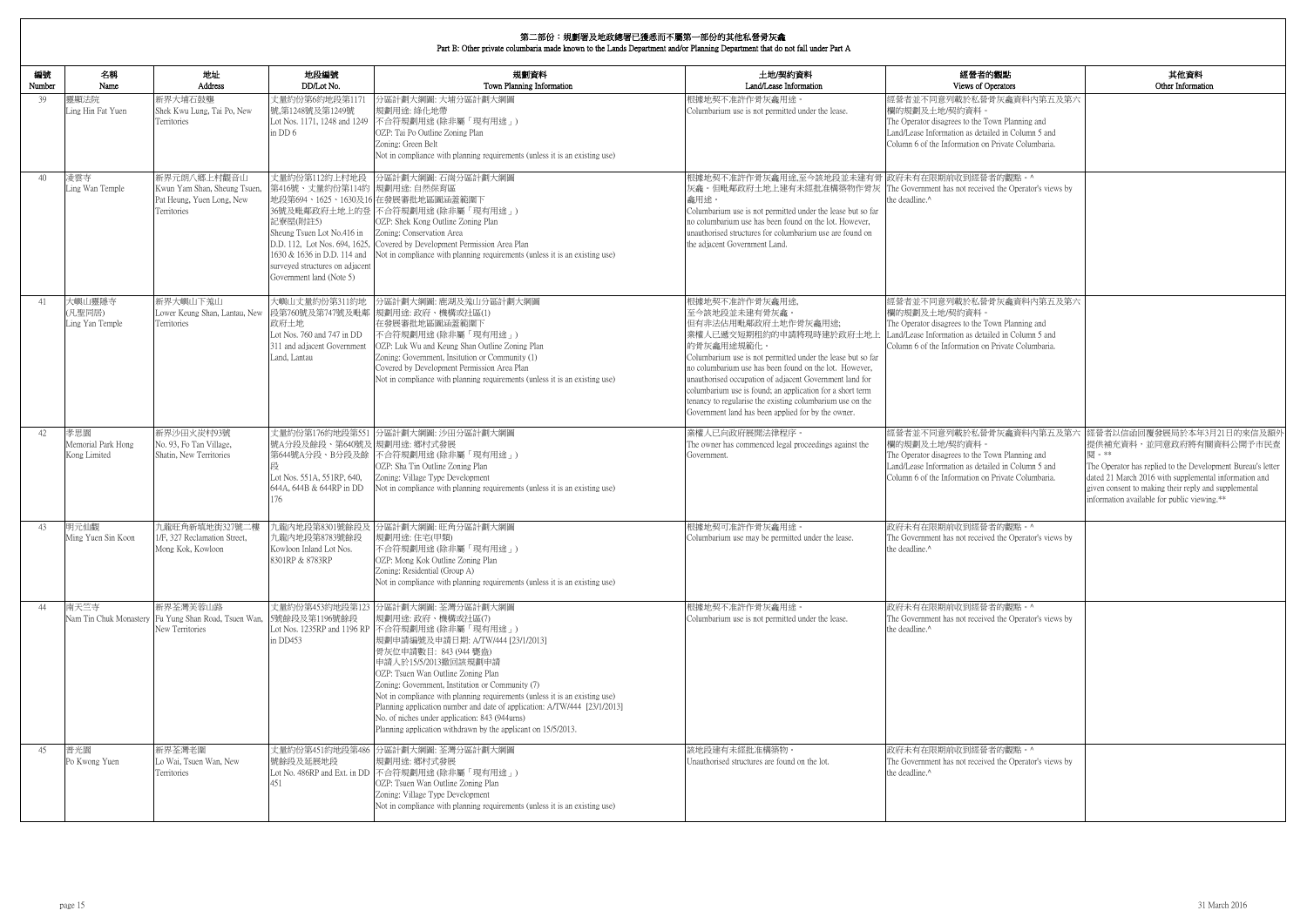| 的觀點<br>perators                                                                   | 其他資料<br>Other Information                                                                                                                                                                                                                                                                   |
|-----------------------------------------------------------------------------------|---------------------------------------------------------------------------------------------------------------------------------------------------------------------------------------------------------------------------------------------------------------------------------------------|
| 骨灰龕資料内第五及第六                                                                       |                                                                                                                                                                                                                                                                                             |
| own Planning and<br>iled in Column 5 and<br>1 Private Columbaria.                 |                                                                                                                                                                                                                                                                                             |
| 者的觀點。^<br>ed the Operator's views by                                              |                                                                                                                                                                                                                                                                                             |
| 骨灰龕資料内第五及第六                                                                       |                                                                                                                                                                                                                                                                                             |
| 'own Planning and<br>iled in Column 5 and<br>1 Private Columbaria.                |                                                                                                                                                                                                                                                                                             |
|                                                                                   |                                                                                                                                                                                                                                                                                             |
| 骨灰龕資料内第五及第六<br>'own Planning and<br>iled in Column 5 and<br>1 Private Columbaria. | 經營者以信函回覆發展局於本年3月21日的來信及額外<br>提供補充資料,並同意政府將有關資料公開予市民查<br>閱。**<br>The Operator has replied to the Development Bureau's letter<br>dated 21 March 2016 with supplemental information and<br>given consent to making their reply and supplemental<br>information available for public viewing.** |
| 者的觀點。^<br>ed the Operator's views by                                              |                                                                                                                                                                                                                                                                                             |
| 者的觀點。^<br>ed the Operator's views by                                              |                                                                                                                                                                                                                                                                                             |
| 者的觀點。^<br>ed the Operator's views by                                              |                                                                                                                                                                                                                                                                                             |

| 編號<br>Number | 名稱<br>Name                                | 地址<br>Address                                                                           | 地段編號<br>DD/Lot No.                                                                                                                                                                   | 規劃資料<br>Town Planning Information                                                                                                                                                                                                                                                                                                                                                                                                                                                                                                                                          | 土地/契約資料<br>Land/Lease Information                                                                                                                                                                                                                                                                                                                                                                                                                                   | 經營者的觀點<br>Views of Operators                                                                                                                                                                            |
|--------------|-------------------------------------------|-----------------------------------------------------------------------------------------|--------------------------------------------------------------------------------------------------------------------------------------------------------------------------------------|----------------------------------------------------------------------------------------------------------------------------------------------------------------------------------------------------------------------------------------------------------------------------------------------------------------------------------------------------------------------------------------------------------------------------------------------------------------------------------------------------------------------------------------------------------------------------|---------------------------------------------------------------------------------------------------------------------------------------------------------------------------------------------------------------------------------------------------------------------------------------------------------------------------------------------------------------------------------------------------------------------------------------------------------------------|---------------------------------------------------------------------------------------------------------------------------------------------------------------------------------------------------------|
| 39           | 靈顯法院<br>Ling Hin Fat Yuen                 | 新界大埔石鼓壟<br>Shek Kwu Lung, Tai Po, New<br>Territories                                    | 丈量約份第6約地段第117<br>號,第1248號及第1249號<br>in DD 6                                                                                                                                          | 分區計劃大綱圖: 大埔分區計劃大綱圖<br>規劃用途: 綠化地帶<br>Lot Nos. 1171, 1248 and 1249 不合符規劃用途 (除非屬「現有用途」)<br>OZP: Tai Po Outline Zoning Plan<br>Zoning: Green Belt<br>Not in compliance with planning requirements (unless it is an existing use)                                                                                                                                                                                                                                                                                                                                               | 根據地契不准許作骨灰龕用途<br>Columbarium use is not permitted under the lease.                                                                                                                                                                                                                                                                                                                                                                                                  | 經營者並不同意列載於私營骨灰龕資料內第五及第六<br>欄的規劃及土地/契約資料。<br>The Operator disagrees to the Town Planning and<br>Land/Lease Information as detailed in Column 5 and<br>Column 6 of the Information on Private Columbaria. |
| 40           | 凌雲寺<br>Ling Wan Temple                    | 新界元朗八鄉上村觀音山<br>Kwun Yam Shan, Sheung Tsuen,<br>Pat Heung, Yuen Long, New<br>Territories | 丈量約份第112約上村地段<br>第416號、丈量約份第114約 規劃用途: 自然保育區<br>記寮屋(附註5)<br>Sheung Tsuen Lot No.416 in<br>1630 & 1636 in D.D. 114 and<br>surveyed structures on adjacent<br>Government land (Note 5) | 分區計劃大綱圖: 石崗分區計劃大綱圖<br>地段第694、1625、1630及16 在發展審批地區圖涵蓋範圍下<br>36號及毗鄰政府土地上的登 不合符規劃用途(除非屬「現有用途」)<br>OZP: Shek Kong Outline Zoning Plan<br>Zoning: Conservation Area<br>D.D. 112, Lot Nos. 694, 1625, Covered by Development Permission Area Plan<br>Not in compliance with planning requirements (unless it is an existing use)                                                                                                                                                                                                                                                 | 根據地契不准許作骨灰龕用途,至今該地段並未建有骨  政府未有在限期前收到經營者的觀點。^<br>灰龕。但毗鄰政府土地上建有未經批准構築物作骨灰 The Government has not received the Operator's views by<br>龕用途。<br>Columbarium use is not permitted under the lease but so far<br>no columbarium use has been found on the lot. However,<br>unauthorised structures for columbarium use are found on<br>the adjacent Government Land.                                                                                                       | the deadline.^                                                                                                                                                                                          |
| 41           | 大嶼山靈隱寺<br>(凡聖同居)<br>Ling Yan Temple       | 新界大嶼山下羗山<br>Lower Keung Shan, Lantau, New<br>Territories                                | 大嶼山丈量約份第311約地<br>政府土地<br>Lot Nos. 760 and 747 in DD<br>311 and adjacent Government<br>Land, Lantau                                                                                   | 分區計劃大綱圖: 鹿湖及羗山分區計劃大綱圖<br>段第760號及第747號及毗鄰 規劃用途: 政府、機構或社區(1)<br>在發展審批地區圖涵蓋範圍下<br>不合符規劃用途(除非屬「現有用途」)<br>OZP: Luk Wu and Keung Shan Outline Zoning Plan<br>Zoning: Government, Insitution or Community (1)<br>Covered by Development Permission Area Plan<br>Not in compliance with planning requirements (unless it is an existing use)                                                                                                                                                                                                                                       | 根據地契不准許作骨灰龕用途,<br>至今該地段並未建有骨灰龕。<br>但有非法佔用毗鄰政府土地作骨灰龕用途;<br>業權人已遞交短期租約的申請將現時建於政府土地上<br>的骨灰龕用途規範化。<br>Columbarium use is not permitted under the lease but so far<br>no columbarium use has been found on the lot. However,<br>unauthorised occupation of adjacent Government land for<br>columbarium use is found; an application for a short term<br>tenancy to regularise the existing columbarium use on the<br>Government land has been applied for by the owner. | 經營者並不同意列載於私營骨灰龕資料內第五及第六<br>欄的規劃及土地/契約資料。<br>The Operator disagrees to the Town Planning and<br>Land/Lease Information as detailed in Column 5 and<br>Column 6 of the Information on Private Columbaria. |
| 42           | 孝思園<br>Memorial Park Hong<br>Kong Limited | 新界沙田火炭村93號<br>No. 93, Fo Tan Village,<br>Shatin, New Territories                        | 號A分段及餘段、第640號及 規劃用途: 鄉村式發展<br>Lot Nos. 551A, 551RP, 640,<br>644A, 644B & 644RP in DD<br>176                                                                                          | 丈量約份第176約地段第551 分區計劃大綱圖: 沙田分區計劃大綱圖<br>第644號A分段、B分段及餘 不合符規劃用途(除非屬「現有用途」)<br>OZP: Sha Tin Outline Zoning Plan<br>Zoning: Village Type Development<br>Not in compliance with planning requirements (unless it is an existing use)                                                                                                                                                                                                                                                                                                                                             | 業權人已向政府展開法律程序。<br>The owner has commenced legal proceedings against the<br>Government.                                                                                                                                                                                                                                                                                                                                                                              | 經營者並不同意列載於私營骨灰龕資料內第五及第六<br>欄的規劃及土地/契約資料。<br>The Operator disagrees to the Town Planning and<br>Land/Lease Information as detailed in Column 5 and<br>Column 6 of the Information on Private Columbaria. |
| 43           | 明元仙觀<br>Ming Yuen Sin Koon                | 九龍旺角新填地街327號二樓<br>1/F, 327 Reclamation Street,<br>Mong Kok, Kowloon                     | 九龍内地段第8783號餘段<br>Kowloon Inland Lot Nos.<br>8301RP & 8783RP                                                                                                                          | 九龍內地段第8301號餘段及 分區計劃大綱圖: 旺角分區計劃大綱圖<br>規劃用途:住宅(甲類)<br>不合符規劃用途 (除非屬「現有用途」)<br>OZP: Mong Kok Outline Zoning Plan<br>Zoning: Residential (Group A)<br>Not in compliance with planning requirements (unless it is an existing use)                                                                                                                                                                                                                                                                                                                                               | 根據地契可准許作骨灰龕用途<br>Columbarium use may be permitted under the lease.                                                                                                                                                                                                                                                                                                                                                                                                  | 政府未有在限期前收到經營者的觀點。^<br>The Government has not received the Operator's views by<br>the deadline.^                                                                                                         |
| 44           | 南天竺寺                                      | 新界荃灣芙蓉山路<br>Nam Tin Chuk Monastery Fu Yung Shan Road, Tsuen Wan,<br>New Territories     | 5號餘段及第1196號餘段<br>in DD453                                                                                                                                                            | 丈量約份第453約地段第123 分區計劃大綱圖: 荃灣分區計劃大綱圖<br>規劃用途: 政府、機構或社區(7)<br>Lot Nos. 1235RP and 1196 RP 不合符規劃用途 (除非屬「現有用途」)<br> 規劃申請編號及申請日期: A/TW/444 [23/1/2013]<br>骨灰位申請數目: 843 (944 甕盎)<br>申請人於15/5/2013撤回該規劃申請<br>OZP: Tsuen Wan Outline Zoning Plan<br>Zoning: Government, Institution or Community (7)<br>Not in compliance with planning requirements (unless it is an existing use)<br>Planning application number and date of application: A/TW/444 [23/1/2013]<br>No. of niches under application: 843 (944urns)<br>Planning application withdrawn by the applicant on 15/5/2013. | 根據地契不准許作骨灰龕用途。<br>Columbarium use is not permitted under the lease.                                                                                                                                                                                                                                                                                                                                                                                                 | 政府未有在限期前收到經營者的觀點。^<br>The Government has not received the Operator's views by<br>the deadline. <sup>^</sup>                                                                                             |
| 45           | 普光園<br>Po Kwong Yuen                      | 新界荃灣老圍<br>Lo Wai, Tsuen Wan, New<br>Territories                                         | 號餘段及延展地段<br>451                                                                                                                                                                      | 丈量約份第451約地段第486 分區計劃大綱圖: 荃灣分區計劃大綱圖<br>規劃用途: 鄉村式發展<br>Lot No. 486RP and Ext. in DD 不合符規劃用途 (除非屬「現有用途」)<br>OZP: Tsuen Wan Outline Zoning Plan<br>Zoning: Village Type Development<br>Not in compliance with planning requirements (unless it is an existing use)                                                                                                                                                                                                                                                                                                             | 該地段建有未經批准構築物。<br>Unauthorised structures are found on the lot.                                                                                                                                                                                                                                                                                                                                                                                                      | 政府未有在限期前收到經營者的觀點。^<br>The Government has not received the Operator's views by<br>the deadline.^                                                                                                         |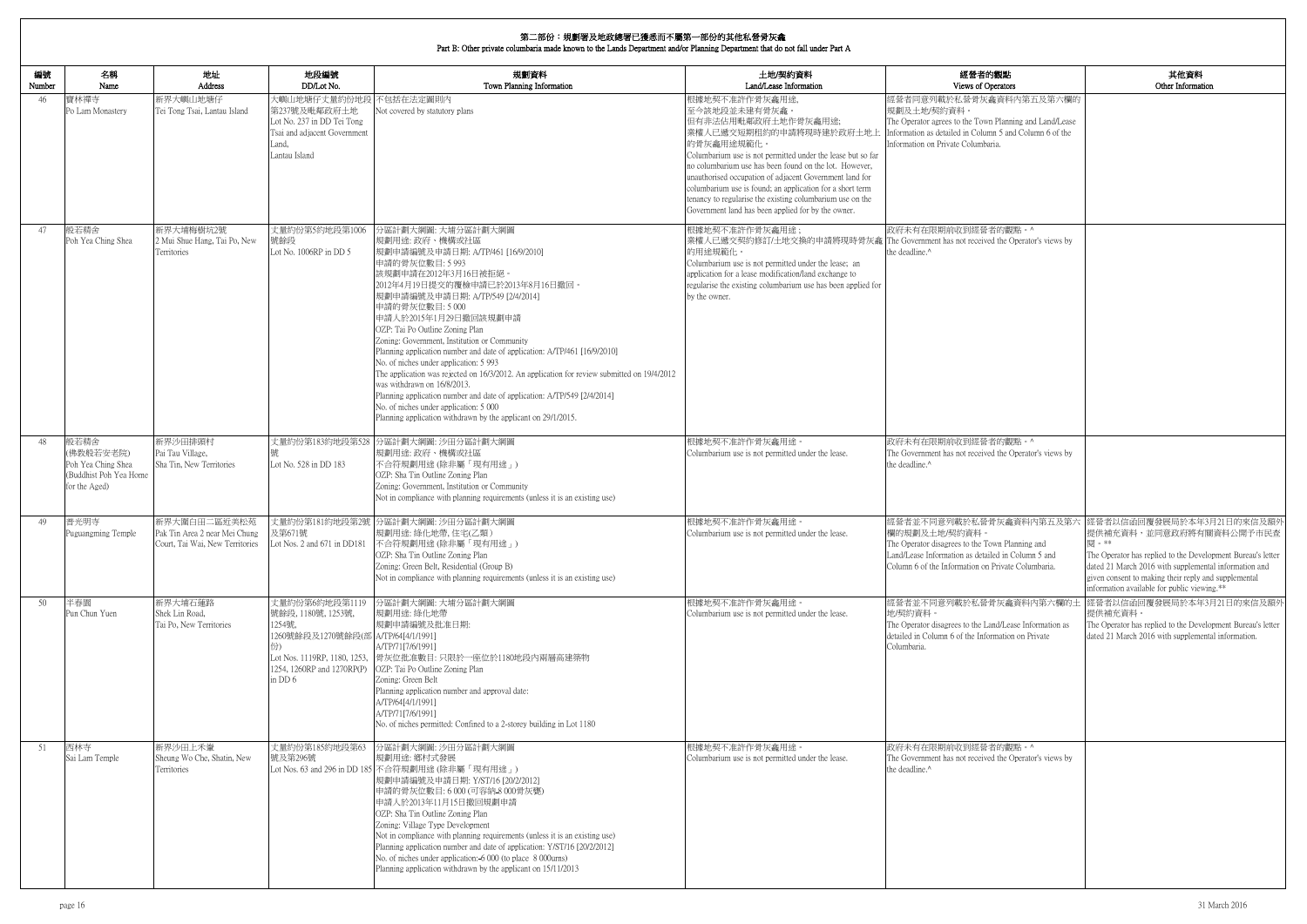| <b>内観點</b><br>)perators                                        | 其他資料<br>Other Information                                                                                                                                                                                                   |
|----------------------------------------------------------------|-----------------------------------------------------------------------------------------------------------------------------------------------------------------------------------------------------------------------------|
| 龕資料內第五及第六欄的                                                    |                                                                                                                                                                                                                             |
| n Planning and Land/Lease<br>nn 5 and Column 6 of the<br>aria. |                                                                                                                                                                                                                             |
|                                                                |                                                                                                                                                                                                                             |
| 者的觀點。^<br>ed the Operator's views by                           |                                                                                                                                                                                                                             |
|                                                                |                                                                                                                                                                                                                             |
| 者的觀點。^                                                         |                                                                                                                                                                                                                             |
| ed the Operator's views by                                     |                                                                                                                                                                                                                             |
| own Planning and                                               | 骨灰龕資料內第五及第六  經營者以信函回覆發展局於本年3月21日的來信及額外<br>提供補充資料,並同意政府將有關資料公開予市民查<br>閱。**                                                                                                                                                   |
| iled in Column 5 and<br>Private Columbaria.                    | The Operator has replied to the Development Bureau's letter<br>dated 21 March 2016 with supplemental information and<br>given consent to making their reply and supplemental<br>information available for public viewing.** |
| 骨灰龕資料內第六欄的土<br>and/Lease Information as                        | 經營者以信函回覆發展局於本年3月21日的來信及額外<br>提供補充資料。<br>The Operator has replied to the Development Bureau's letter                                                                                                                         |
| ormation on Private                                            | dated 21 March 2016 with supplemental information.                                                                                                                                                                          |
| 者的觀點。^<br>ed the Operator's views by                           |                                                                                                                                                                                                                             |
|                                                                |                                                                                                                                                                                                                             |

| 編號<br>Number | 名稱<br>Name                                                                         | 地址<br>Address                                                                    | 地段編號<br>DD/Lot No.                                                                                                                      | 規劃資料<br>Town Planning Information                                                                                                                                                                                                                                                                                                                                                                                                                                                                                                                                                                                                                                                                                                                                       | 土地/契約資料<br>Land/Lease Information                                                                                                                                                                                                                                                                                                                                                                                                                                   | 經營者的觀點<br>Views of Operators                                                                                                                                                                           |
|--------------|------------------------------------------------------------------------------------|----------------------------------------------------------------------------------|-----------------------------------------------------------------------------------------------------------------------------------------|-------------------------------------------------------------------------------------------------------------------------------------------------------------------------------------------------------------------------------------------------------------------------------------------------------------------------------------------------------------------------------------------------------------------------------------------------------------------------------------------------------------------------------------------------------------------------------------------------------------------------------------------------------------------------------------------------------------------------------------------------------------------------|---------------------------------------------------------------------------------------------------------------------------------------------------------------------------------------------------------------------------------------------------------------------------------------------------------------------------------------------------------------------------------------------------------------------------------------------------------------------|--------------------------------------------------------------------------------------------------------------------------------------------------------------------------------------------------------|
| 46           | 寶林禪寺<br>Po Lam Monastery                                                           | 新界大嶼山地塘仔<br>Tei Tong Tsai, Lantau Island                                         | 大嶼山地塘仔丈量約份地段<br>第237號及毗鄰政府土地<br>Lot No. 237 in DD Tei Tong<br>Tsai and adjacent Government<br>Land,<br>Lantau Island                    | 不包括在法定圖則內<br>Not covered by statutory plans                                                                                                                                                                                                                                                                                                                                                                                                                                                                                                                                                                                                                                                                                                                             | 根據地契不准許作骨灰龕用途,<br>至今該地段並未建有骨灰龕。<br>但有非法佔用毗鄰政府土地作骨灰龕用途;<br>業權人已遞交短期租約的申請將現時建於政府土地上<br>的骨灰龕用途規範化。<br>Columbarium use is not permitted under the lease but so far<br>no columbarium use has been found on the lot. However,<br>unauthorised occupation of adjacent Government land for<br>columbarium use is found; an application for a short term<br>tenancy to regularise the existing columbarium use on the<br>Government land has been applied for by the owner. | 經營者同意列載於私營骨灰龕資料內第五及第六欄的<br>規劃及土地/契約資料。<br>The Operator agrees to the Town Planning and Land/Lease<br>Information as detailed in Column 5 and Column 6 of the<br>Information on Private Columbaria.     |
| 47           | 般若精舍<br>Poh Yea Ching Shea                                                         | 新界大埔梅樹坑2號<br>2 Mui Shue Hang, Tai Po, New<br>Territories                         | 丈量約份第5約地段第1006<br>號餘段<br>Lot No. 1006RP in DD 5                                                                                         | 分區計劃大綱圖: 大埔分區計劃大綱圖<br>規劃用途: 政府、機構或社區<br>規劃申請編號及申請日期: A/TP/461 [16/9/2010]<br>申請的骨灰位數目: 5 993<br>該規劃申請在2012年3月16日被拒絕。<br>2012年4月19日提交的覆檢申請已於2013年8月16日撤回。<br>規劃申請編號及申請日期: A/TP/549 [2/4/2014]<br>申請的骨灰位數目: 5 000<br>申請人於2015年1月29日撤回該規劃申請<br>OZP: Tai Po Outline Zoning Plan<br>Zoning: Government, Institution or Community<br>Planning application number and date of application: A/TP/461 [16/9/2010]<br>No. of niches under application: 5 993<br>The application was rejected on 16/3/2012. An application for review submitted on 19/4/2012<br>was withdrawn on 16/8/2013.<br>Planning application number and date of application: A/TP/549 [2/4/2014]<br>No. of niches under application: 5 000<br>Planning application withdrawn by the applicant on 29/1/2015. | 根據地契不准許作骨灰龕用途;<br>業權人已遞交契約修訂/土地交換的申請將現時骨灰龕 The Government has not received the Operator's views by<br>的用途規範化。<br>Columbarium use is not permitted under the lease; an<br>application for a lease modification/land exchange to<br>regularise the existing columbarium use has been applied for<br>by the owner.                                                                                                                                                     | 政府未有在限期前收到經營者的觀點。^<br>the deadline.^                                                                                                                                                                   |
| 48           | 般若精舍<br>(佛教般若安老院)<br>Poh Yea Ching Shea<br>(Buddhist Poh Yea Home<br>for the Aged) | 新界沙田排頭村<br>Pai Tau Village,<br>Sha Tin, New Territories                          | 丈量約份第183約地段第528<br>Lot No. 528 in DD 183                                                                                                | 分區計劃大綱圖: 沙田分區計劃大綱圖<br>規劃用途: 政府、機構或社區<br>不合符規劃用途(除非屬「現有用途」)<br>OZP: Sha Tin Outline Zoning Plan<br>Zoning: Government, Institution or Community<br>Not in compliance with planning requirements (unless it is an existing use)                                                                                                                                                                                                                                                                                                                                                                                                                                                                                                                                           | 根據地契不准許作骨灰龕用途。<br>Columbarium use is not permitted under the lease.                                                                                                                                                                                                                                                                                                                                                                                                 | 政府未有在限期前收到經營者的觀點。^<br>The Government has not received the Operator's views by<br>the deadline.^                                                                                                        |
| 49           | 普光明寺<br>Puguangming Temple                                                         | 新界大圍白田二區近美松苑<br>Pak Tin Area 2 near Mei Chung<br>Court, Tai Wai, New Territories | 及第671號<br>Lot Nos. 2 and 671 in DD181                                                                                                   | 丈量約份第181約地段第2號 分區計劃大綱圖: 沙田分區計劃大綱圖<br>規劃用途: 綠化地帶,住宅(乙類)<br> 不合符規劃用途(除非屬「現有用途」)<br>OZP: Sha Tin Outline Zoning Plan<br>Zoning: Green Belt, Residential (Group B)<br>Not in compliance with planning requirements (unless it is an existing use)                                                                                                                                                                                                                                                                                                                                                                                                                                                                                                                           | 根據地契不准許作骨灰龕用途。<br>Columbarium use is not permitted under the lease.                                                                                                                                                                                                                                                                                                                                                                                                 | 經營者並不同意列載於私營骨灰龕資料内第五及第六<br>欄的規劃及土地/契約資料<br>The Operator disagrees to the Town Planning and<br>Land/Lease Information as detailed in Column 5 and<br>Column 6 of the Information on Private Columbaria. |
| 50           | 半春園<br>Pun Chun Yuen                                                               | 新界大埔石蓮路<br>Shek Lin Road,<br>Tai Po, New Territories                             | 丈量約份第6約地段第1119<br>號餘段, 1180號, 1253號,<br>1254號,<br>1260號餘段及1270號餘段(部 A/TP/64[4/1/1991]<br>份)<br>Lot Nos. 1119RP, 1180, 1253,<br>in $DD6$ | 分區計劃大綱圖: 大埔分區計劃大綱圖<br>規劃用途: 綠化地帶<br>規劃申請編號及批准日期:<br>A/TP/71[7/6/1991]<br>骨灰位批准數目:只限於一座位於1180地段內兩層高建築物<br>1254, 1260RP and 1270RP(P) OZP: Tai Po Outline Zoning Plan<br>Zoning: Green Belt<br>Planning application number and approval date:<br>A/TP/64[4/1/1991]<br>A/TP/71[7/6/1991]<br>No. of niches permitted: Confined to a 2-storey building in Lot 1180                                                                                                                                                                                                                                                                                                                                                                                                           | 根據地契不准許作骨灰龕用途。<br>Columbarium use is not permitted under the lease.                                                                                                                                                                                                                                                                                                                                                                                                 | 經營者並不同意列載於私營骨灰龕資料內第六欄的土<br>地/契約資料。<br>The Operator disagrees to the Land/Lease Information as<br>detailed in Column 6 of the Information on Private<br>Columbaria.                                     |
| 51           | 西林寺<br>Sai Lam Temple                                                              | 新界沙田上禾輋<br>Sheung Wo Che, Shatin, New<br>Territories                             | 丈量約份第185約地段第63<br>號及第296號                                                                                                               | 分區計劃大綱圖: 沙田分區計劃大綱圖<br>規劃用途: 鄉村式發展<br>Lot Nos. 63 and 296 in DD 185 不合符規劃用途 (除非屬「現有用途」)<br>規劃申請編號及申請日期: Y/ST/16 [20/2/2012]<br>申請的骨灰位數目: 6 000 (可容納-8 000骨灰甕)<br>申請人於2013年11月15日撤回規劃申請<br>OZP: Sha Tin Outline Zoning Plan<br>Zoning: Village Type Development<br>Not in compliance with planning requirements (unless it is an existing use)<br>Planning application number and date of application: Y/ST/16 [20/2/2012]<br>No. of niches under application: -6 000 (to place 8 000urns)<br>Planning application withdrawn by the applicant on 15/11/2013                                                                                                                                                                                                               | 根據地契不准許作骨灰龕用途。<br>Columbarium use is not permitted under the lease.                                                                                                                                                                                                                                                                                                                                                                                                 | 政府未有在限期前收到經營者的觀點。^<br>The Government has not received the Operator's views by<br>the deadline. <sup>^</sup>                                                                                            |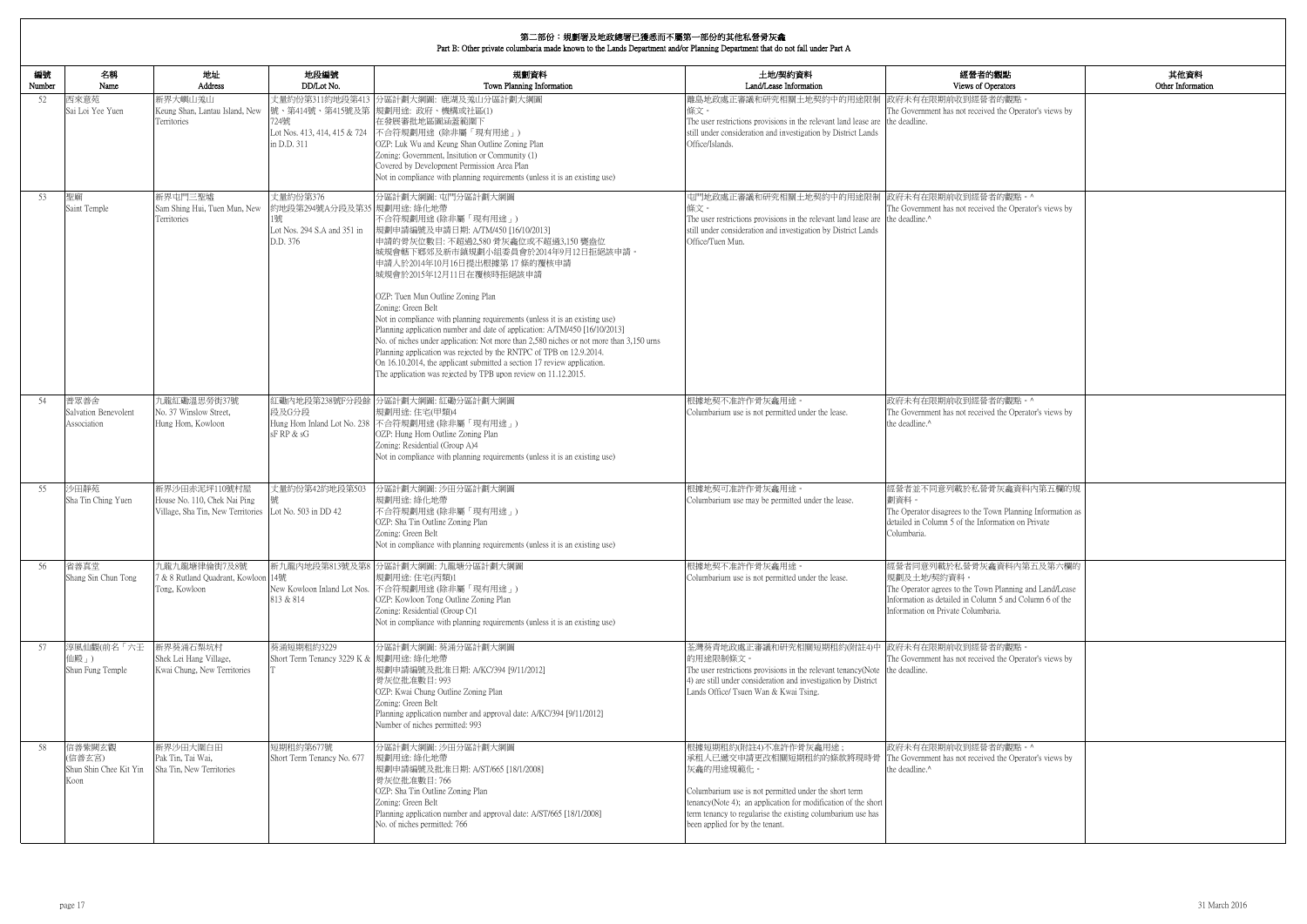| 的觀點                                                   | 其他資料              |
|-------------------------------------------------------|-------------------|
| perators                                              | Other Information |
| 者的觀點。<br>ed the Operator's views by                   |                   |
|                                                       |                   |
|                                                       |                   |
|                                                       |                   |
|                                                       |                   |
|                                                       |                   |
| 者的觀點。^<br>ed the Operator's views by                  |                   |
|                                                       |                   |
|                                                       |                   |
|                                                       |                   |
|                                                       |                   |
|                                                       |                   |
|                                                       |                   |
|                                                       |                   |
|                                                       |                   |
|                                                       |                   |
|                                                       |                   |
|                                                       |                   |
| 者的觀點。^<br>ed the Operator's views by                  |                   |
|                                                       |                   |
|                                                       |                   |
|                                                       |                   |
|                                                       |                   |
| 骨灰龕資料內第五欄的規                                           |                   |
| 'own Planning Information as                          |                   |
| ormation on Private                                   |                   |
|                                                       |                   |
| 龕資料內第五及第六欄的                                           |                   |
|                                                       |                   |
| n Planning and Land/Lease<br>mn 5 and Column 6 of the |                   |
| aria.                                                 |                   |
|                                                       |                   |
| 者的觀點。                                                 |                   |
| ed the Operator's views by                            |                   |
|                                                       |                   |
|                                                       |                   |
|                                                       |                   |
|                                                       |                   |
| 者的觀點。^                                                |                   |
| ed the Operator's views by                            |                   |
|                                                       |                   |
|                                                       |                   |
|                                                       |                   |
|                                                       |                   |

| 編號<br>Number | 名稱<br>Name                                         | 地址<br>Address                                                                      | 地段編號<br>DD/Lot No.                                                                      | 規劃資料<br>Town Planning Information                                                                                                                                                                                                                                                                                                                                                                                                                                                                                                                                                                                                                                                                                                                                | 土地/契約資料<br>Land/Lease Information                                                                                                                                                                                                                                                                                                                 | 經營者的觀點<br>Views of Operators                                                                                                                                                                        |
|--------------|----------------------------------------------------|------------------------------------------------------------------------------------|-----------------------------------------------------------------------------------------|------------------------------------------------------------------------------------------------------------------------------------------------------------------------------------------------------------------------------------------------------------------------------------------------------------------------------------------------------------------------------------------------------------------------------------------------------------------------------------------------------------------------------------------------------------------------------------------------------------------------------------------------------------------------------------------------------------------------------------------------------------------|---------------------------------------------------------------------------------------------------------------------------------------------------------------------------------------------------------------------------------------------------------------------------------------------------------------------------------------------------|-----------------------------------------------------------------------------------------------------------------------------------------------------------------------------------------------------|
| 52           | 西來意苑<br>Sai Loi Yee Yuen                           | 新界大嶼山羗山<br>Keung Shan, Lantau Island, New<br>Territories                           | 724號<br>Lot Nos. 413, 414, 415 & 724<br>in D.D. 311                                     | 丈量約份第311約地段第413 分區計劃大綱圖: 鹿湖及羗山分區計劃大綱圖<br>號、第414號、第415號及第 規劃用途: 政府、機構或社區(1)<br>在發展審批地區圖涵蓋範圍下<br>不合符規劃用途 (除非屬「現有用途」)<br>OZP: Luk Wu and Keung Shan Outline Zoning Plan<br>Zoning: Government, Insitution or Community (1)<br>Covered by Development Permission Area Plan<br>Not in compliance with planning requirements (unless it is an existing use)                                                                                                                                                                                                                                                                                                                                                                                                            | 離島地政處正審議和研究相關土地契約中的用途限制 政府未有在限期前收到經營者的觀點<br>條文。<br>The user restrictions provisions in the relevant land lease are the deadline.<br>still under consideration and investigation by District Lands<br>Office/Islands.                                                                                                                              | The Government has not received the Operator's views by                                                                                                                                             |
| 53           | 聖廟<br>Saint Temple                                 | 新界屯門三聖墟<br>Sam Shing Hui, Tuen Mun, New<br>Territories                             | 丈量約份第376<br>約地段第294號A分段及第35 規劃用途: 綠化地帶<br>!號<br>Lot Nos. 294 S.A and 351 in<br>D.D. 376 | 分區計劃大綱圖: 屯門分區計劃大綱圖<br>不合符規劃用途(除非屬「現有用途」)<br>規劃申請編號及申請日期: A/TM/450 [16/10/2013]<br>申請的骨灰位數目: 不超過2,580 骨灰龕位或不超過3,150 甕盎位<br>城規會轄下鄉郊及新市鎮規劃小組委員會於2014年9月12日拒絕該申請。<br>申請人於2014年10月16日提出根據第17條的覆核申請<br>城規會於2015年12月11日在覆核時拒絕該申請<br>OZP: Tuen Mun Outline Zoning Plan<br>Zoning: Green Belt<br>Not in compliance with planning requirements (unless it is an existing use)<br>Planning application number and date of application: A/TM/450 [16/10/2013]<br>No. of niches under application: Not more than 2,580 niches or not more than 3,150 urns<br>Planning application was rejected by the RNTPC of TPB on 12.9.2014.<br>On 16.10.2014, the applicant submitted a section 17 review application.<br>The application was rejected by TPB upon review on 11.12.2015. | 屯門地政處正審議和研究相關土地契約中的用途限制 政府未有在限期前收到經營者的觀點。^<br>條文。<br>The user restrictions provisions in the relevant land lease are the deadline.^<br>still under consideration and investigation by District Lands<br>Office/Tuen Mun.                                                                                                                          | The Government has not received the Operator's views by                                                                                                                                             |
| 54           | 普眾善舍<br>Salvation Benevolent<br>Association        | 九龍紅磡溫思勞街37號<br>No. 37 Winslow Street,<br>Hung Hom, Kowloon                         | 段及G分段<br>$sF$ RP $\&$ $sG$                                                              | 紅磡內地段第238號F分段餘 分區計劃大綱圖: 紅磡分區計劃大綱圖<br>規劃用途:住宅(甲類)4<br>Hung Hom Inland Lot No. 238 不合符規劃用途 (除非屬「現有用途」)<br>OZP: Hung Hom Outline Zoning Plan<br>Zoning: Residential (Group A)4<br>Not in compliance with planning requirements (unless it is an existing use)                                                                                                                                                                                                                                                                                                                                                                                                                                                                                                       | 根據地契不准許作骨灰龕用途。<br>Columbarium use is not permitted under the lease.                                                                                                                                                                                                                                                                               | 政府未有在限期前收到經營者的觀點。^<br>The Government has not received the Operator's views by<br>the deadline.^                                                                                                     |
| 55           | 沙田靜苑<br>Sha Tin Ching Yuen                         | 新界沙田赤泥坪110號村屋<br>House No. 110, Chek Nai Ping<br>Village, Sha Tin, New Territories | 丈量約份第42約地段第503<br>Lot No. 503 in DD 42                                                  | 分區計劃大綱圖: 沙田分區計劃大綱圖<br>規劃用途: 綠化地帶<br>不合符規劃用途(除非屬「現有用途」)<br>OZP: Sha Tin Outline Zoning Plan<br>Zoning: Green Belt<br>Not in compliance with planning requirements (unless it is an existing use)                                                                                                                                                                                                                                                                                                                                                                                                                                                                                                                                                                  | 根據地契可准許作骨灰龕用途。<br>Columbarium use may be permitted under the lease.                                                                                                                                                                                                                                                                               | 經營者並不同意列載於私營骨灰龕資料內第五欄的規<br>劃資料。<br>The Operator disagrees to the Town Planning Information as<br>detailed in Column 5 of the Information on Private<br>Columbaria.                                  |
| 56           | 省善真堂<br>Shang Sin Chun Tong                        | 九龍九龍塘律倫街7及8號<br>7 & 8 Rutland Quadrant, Kowloon 14號<br>Tong, Kowloon               | 813 & 814                                                                               | 新九龍內地段第813號及第8 分區計劃大綱圖: 九龍塘分區計劃大綱圖<br>規劃用途:住宅(丙類)1<br>New Kowloon Inland Lot Nos. 不合符規劃用途 (除非屬「現有用途」)<br>OZP: Kowloon Tong Outline Zoning Plan<br>Zoning: Residential (Group C)1<br>Not in compliance with planning requirements (unless it is an existing use)                                                                                                                                                                                                                                                                                                                                                                                                                                                                                                  | 根據地契不准許作骨灰龕用途。<br>Columbarium use is not permitted under the lease.                                                                                                                                                                                                                                                                               | 經營者同意列載於私營骨灰龕資料內第五及第六欄的<br> 規劃及土地/契約資料。<br>The Operator agrees to the Town Planning and Land/Lease<br>Information as detailed in Column 5 and Column 6 of the<br>Information on Private Columbaria. |
| 57           | 淳風仙觀(前名「六壬<br>仙殿」)<br>Shun Fung Temple             | 新界葵涌石梨坑村<br>Shek Lei Hang Village,<br>Kwai Chung, New Territories                  | 葵涌短期租約3229<br>Short Term Tenancy 3229 K & 規劃用途: 綠化地帶                                    | 分區計劃大綱圖: 葵涌分區計劃大綱圖<br>規劃申請編號及批准日期: A/KC/394 [9/11/2012]<br>骨灰位批准數目: 993<br>OZP: Kwai Chung Outline Zoning Plan<br>Zoning: Green Belt<br>Planning application number and approval date: A/KC/394 [9/11/2012]<br>Number of niches permitted: 993                                                                                                                                                                                                                                                                                                                                                                                                                                                                                                                   | 荃灣葵青地政處正審議和研究相關短期租約(附註4)中 政府未有在限期前收到經營者的觀點。<br>的用途限制條文。<br>The user restrictions provisions in the relevant tenancy (Note the deadline.<br>4) are still under consideration and investigation by District<br>Lands Office/ Tsuen Wan & Kwai Tsing.                                                                                                | The Government has not received the Operator's views by                                                                                                                                             |
| 58           | 信善紫闕玄觀<br>(信善玄宮)<br>Shun Shin Chee Kit Yin<br>Koon | 新界沙田大圍白田<br>Pak Tin, Tai Wai,<br>Sha Tin, New Territories                          | 短期租約第677號<br>Short Term Tenancy No. 677                                                 | 分區計劃大綱圖: 沙田分區計劃大綱圖<br>規劃用途: 綠化地帶<br> 規劃申請編號及批准日期: A/ST/665 [18/1/2008]<br>骨灰位批准數目: 766<br>OZP: Sha Tin Outline Zoning Plan<br>Zoning: Green Belt<br>Planning application number and approval date: A/ST/665 [18/1/2008]<br>No. of niches permitted: 766                                                                                                                                                                                                                                                                                                                                                                                                                                                                                                          | 根據短期租約(附註4)不准許作骨灰龕用途;<br>承租人已遞交申請更改相關短期租約的條款將現時骨 The Government has not received the Operator's views by<br>灰龕的用途規範化。<br>Columbarium use is not permitted under the short term<br>tenancy(Note 4); an application for modification of the short<br>term tenancy to regularise the existing columbarium use has<br>been applied for by the tenant. | 政府未有在限期前收到經營者的觀點。^<br>the deadline.^                                                                                                                                                                |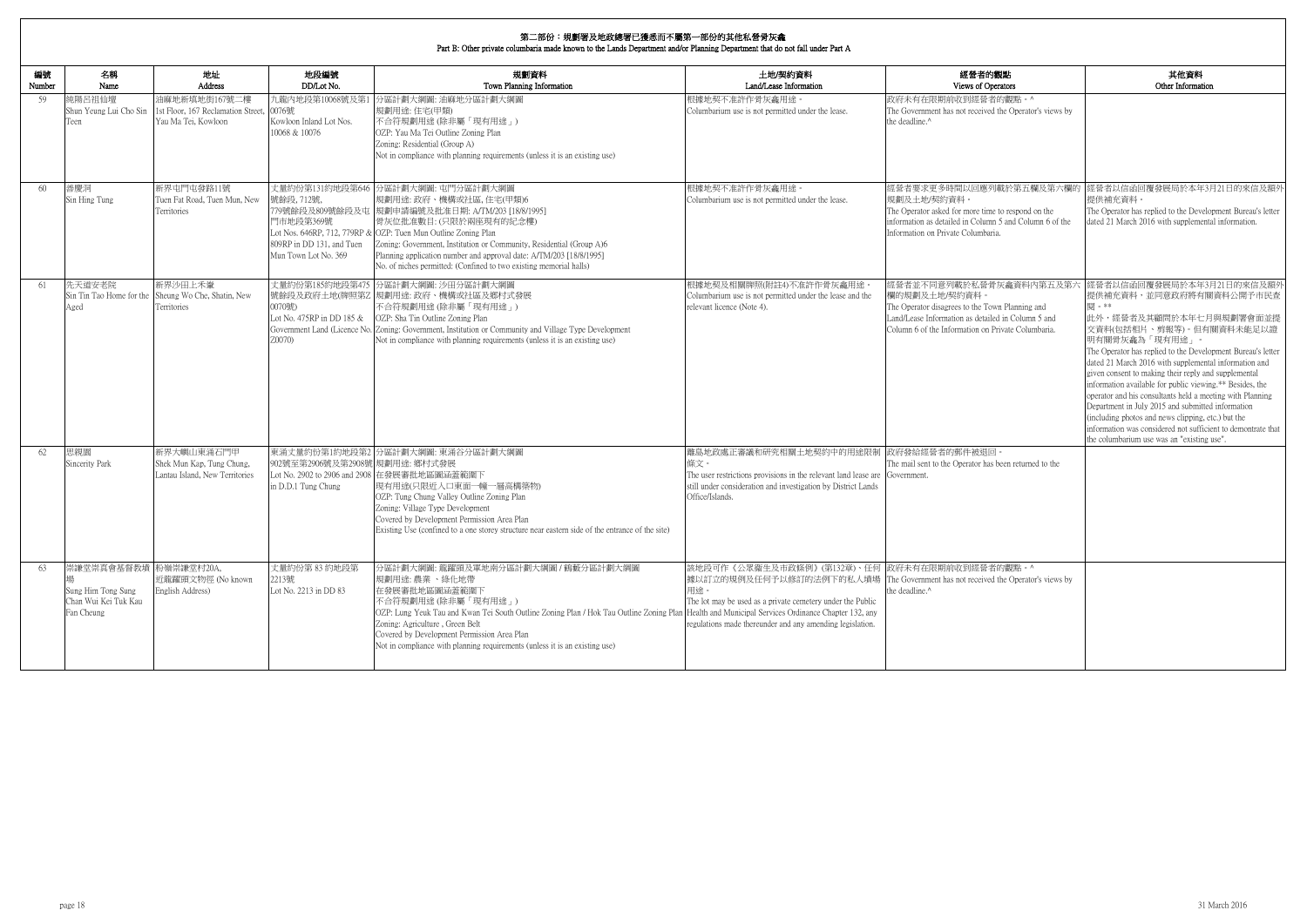|              |                                                                                   |                                                                               |                                                                                                 | Part B: Other private columbaria made known to the Lands Department and/or Planning Department that do not fall under Part A                                                                                                                                                                                                                                                                                        |                                                                                                                                                                                                                                                                     |                                                                                                                                                                                                         |                                                                                                                                                                                                                                                                                                                                                                                                                                                                                                                                                                                                                                                                          |
|--------------|-----------------------------------------------------------------------------------|-------------------------------------------------------------------------------|-------------------------------------------------------------------------------------------------|---------------------------------------------------------------------------------------------------------------------------------------------------------------------------------------------------------------------------------------------------------------------------------------------------------------------------------------------------------------------------------------------------------------------|---------------------------------------------------------------------------------------------------------------------------------------------------------------------------------------------------------------------------------------------------------------------|---------------------------------------------------------------------------------------------------------------------------------------------------------------------------------------------------------|--------------------------------------------------------------------------------------------------------------------------------------------------------------------------------------------------------------------------------------------------------------------------------------------------------------------------------------------------------------------------------------------------------------------------------------------------------------------------------------------------------------------------------------------------------------------------------------------------------------------------------------------------------------------------|
| 編號<br>Number | 名稱<br>Name                                                                        | 地址<br>Address                                                                 | 地段編號<br>DD/Lot No.                                                                              | 規劃資料<br>Town Planning Information                                                                                                                                                                                                                                                                                                                                                                                   | 土地/契約資料<br>Land/Lease Information                                                                                                                                                                                                                                   | 經營者的觀點<br>Views of Operators                                                                                                                                                                            | 其他資料<br>Other Information                                                                                                                                                                                                                                                                                                                                                                                                                                                                                                                                                                                                                                                |
| 59           | 純陽呂祖仙壇<br>Shun Yeung Lui Cho Sin<br>Teen                                          | 油麻地新填地街167號二樓<br>1st Floor, 167 Reclamation Street,<br>Yau Ma Tei, Kowloon    | 九龍內地段第10068號及第<br>0076號<br>Kowloon Inland Lot Nos.<br>10068 & 10076                             | う區計劃大綱圖: 油麻地分區計劃大綱圖<br>規劃用途:住宅(甲類)<br>不合符規劃用途(除非屬「現有用途」)<br>OZP: Yau Ma Tei Outline Zoning Plan<br>Zoning: Residential (Group A)<br>Not in compliance with planning requirements (unless it is an existing use)                                                                                                                                                                                                     | 根據地契不准許作骨灰龕用涂。<br>Columbarium use is not permitted under the lease.                                                                                                                                                                                                 | 政府未有在限期前收到經營者的觀點。^<br>The Government has not received the Operator's views by<br>the deadline.^                                                                                                         |                                                                                                                                                                                                                                                                                                                                                                                                                                                                                                                                                                                                                                                                          |
| 60           | 善慶洞<br>Sin Hing Tung                                                              | 新界屯門屯發路11號<br>Tuen Fat Road, Tuen Mun, New<br>Territories                     | 丈量約份第131約地段第646<br>號餘段, 712號,<br>門市地段第369號<br>809RP in DD 131, and Tuen<br>Mun Town Lot No. 369 | 分區計劃大綱圖: 屯門分區計劃大綱圖<br>規劃用途: 政府、機構或社區, 住宅(甲類)6<br>779號餘段及809號餘段及屯 規劃申請編號及批准日期: A/TM/203 [18/8/1995]<br>骨灰位批准數目: (只限於兩座現有的紀念樓)<br>Lot Nos. 646RP, 712, 779RP & OZP: Tuen Mun Outline Zoning Plan<br>Zoning: Government, Institution or Community, Residential (Group A)6<br>Planning application number and approval date: A/TM/203 [18/8/1995]<br>No. of niches permitted: (Confined to two existing memorial halls) | 根據地契不准許作骨灰龕用途。<br>Columbarium use is not permitted under the lease.                                                                                                                                                                                                 | 規劃及土地/契約資料<br>The Operator asked for more time to respond on the<br>information as detailed in Column 5 and Column 6 of the<br>Information on Private Columbaria.                                       | 經營者要求更多時間以回應列載於第五欄及第六欄的 經營者以信函回覆發展局於本年3月21日的來信及額外<br>提供補充資料<br>The Operator has replied to the Development Bureau's letter<br>dated 21 March 2016 with supplemental information.                                                                                                                                                                                                                                                                                                                                                                                                                                                                                         |
| 61           | 先天道安老院<br>Aged                                                                    | 新界沙田上禾輋<br>Sin Tin Tao Home for the Sheung Wo Che, Shatin, New<br>Territories | 丈量約份第185約地段第475<br>0070號)<br>Lot No. 475RP in DD 185 &<br>Z0070)                                | 分區計劃大綱圖: 沙田分區計劃大綱圖<br>號餘段及政府土地(牌照第Z 規劃用途: 政府、機構或社區及鄉村式發展<br>不合符規劃用途 (除非屬「現有用途」)<br>OZP: Sha Tin Outline Zoning Plan<br>Government Land (Licence No. Zoning: Government, Institution or Community and Village Type Development<br>Not in compliance with planning requirements (unless it is an existing use)                                                                                                        | 根據地契及相關牌照(附註4)不准許作骨灰龕用途<br>Columbarium use is not permitted under the lease and the<br>relevant licence (Note 4).                                                                                                                                                   | 經營者並不同意列載於私營骨灰龕資料內第五及第六<br>欄的規劃及土地/契約資料。<br>The Operator disagrees to the Town Planning and<br>Land/Lease Information as detailed in Column 5 and<br>Column 6 of the Information on Private Columbaria. | 經營者以信函回覆發展局於本年3月21日的來信及額外<br>提供補充資料,並同意政府將有關資料公開予市民查<br>関 。**<br>此外,經營者及其顧問於本年七月與規劃署會面並提<br>交資料(包括相片、剪報等)。但有關資料未能足以證<br>明有關骨灰龕為「現有用途」。<br>The Operator has replied to the Development Bureau's letter<br>dated 21 March 2016 with supplemental information and<br>given consent to making their reply and supplemental<br>information available for public viewing.** Besides, the<br>operator and his consultants held a meeting with Planning<br>Department in July 2015 and submitted information<br>(including photos and news clipping, etc.) but the<br>information was considered not sufficient to demontrate that<br>the columbarium use was an "existing use". |
| 62           | 思親園<br>Sincerity Park                                                             | 新界大嶼山東涌石門甲<br>Shek Mun Kap, Tung Chung,<br>Lantau Island, New Territories     | 東涌丈量約份第1約地段第2<br>902號至第2906號及第2908號 規劃用途: 鄉村式發展<br>in D.D.1 Tung Chung                          | 分區計劃大綱圖: 東涌谷分區計劃大綱圖<br>Lot No. 2902 to 2906 and 2908 在發展審批地區圖涵蓋範圍下<br> 現有用途(只限近入口東面一幢一層高構築物)<br>OZP: Tung Chung Valley Outline Zoning Plan<br>Zoning: Village Type Development<br>Covered by Development Permission Area Plan<br>Existing Use (confined to a one storey structure near eastern side of the entrance of the site)                                                                                    | 離島地政處正審議和研究相關土地契約中的用途限制<br>條文。<br>The user restrictions provisions in the relevant land lease are Government.<br>still under consideration and investigation by District Lands<br>Office/Islands.                                                                   | 政府發給經營者的郵件被退回。<br>The mail sent to the Operator has been returned to the                                                                                                                                |                                                                                                                                                                                                                                                                                                                                                                                                                                                                                                                                                                                                                                                                          |
| 63           | 崇謙堂崇真會基督教墳 粉嶺崇謙堂村20A,<br>Sung Him Tong Sung<br>Chan Wui Kei Tuk Kau<br>Fan Cheung | 近龍躍頭文物徑 (No known<br>English Address)                                         | 丈量約份第83約地段第<br>2213號<br>Lot No. 2213 in DD 83                                                   | 分區計劃大綱圖: 龍躍頭及軍地南分區計劃大綱圖 / 鶴藪分區計劃大綱圖<br>規劃用途:農業、綠化地帶<br>在發展審批地區圖涵蓋範圍下<br>不合符規劃用途(除非屬「現有用途」)<br>OZP: Lung Yeuk Tau and Kwan Tei South Outline Zoning Plan / Hok Tau Outline Zoning Plan Health and Municipal Services Ordinance Chapter 132, any<br>Zoning: Agriculture, Green Belt<br>Covered by Development Permission Area Plan<br>Not in compliance with planning requirements (unless it is an existing use)     | 該地段可作《公眾衞生及市政條例》(第132章)、任何 政府未有在限期前收到經營者的觀點。^<br> 據以訂立的規例及任何予以修訂的法例下的私人墳場 The Government has not received the Operator's views by<br>用途。<br>The lot may be used as a private cemetery under the Public<br>regulations made thereunder and any amending legislation. | the deadline.^                                                                                                                                                                                          |                                                                                                                                                                                                                                                                                                                                                                                                                                                                                                                                                                                                                                                                          |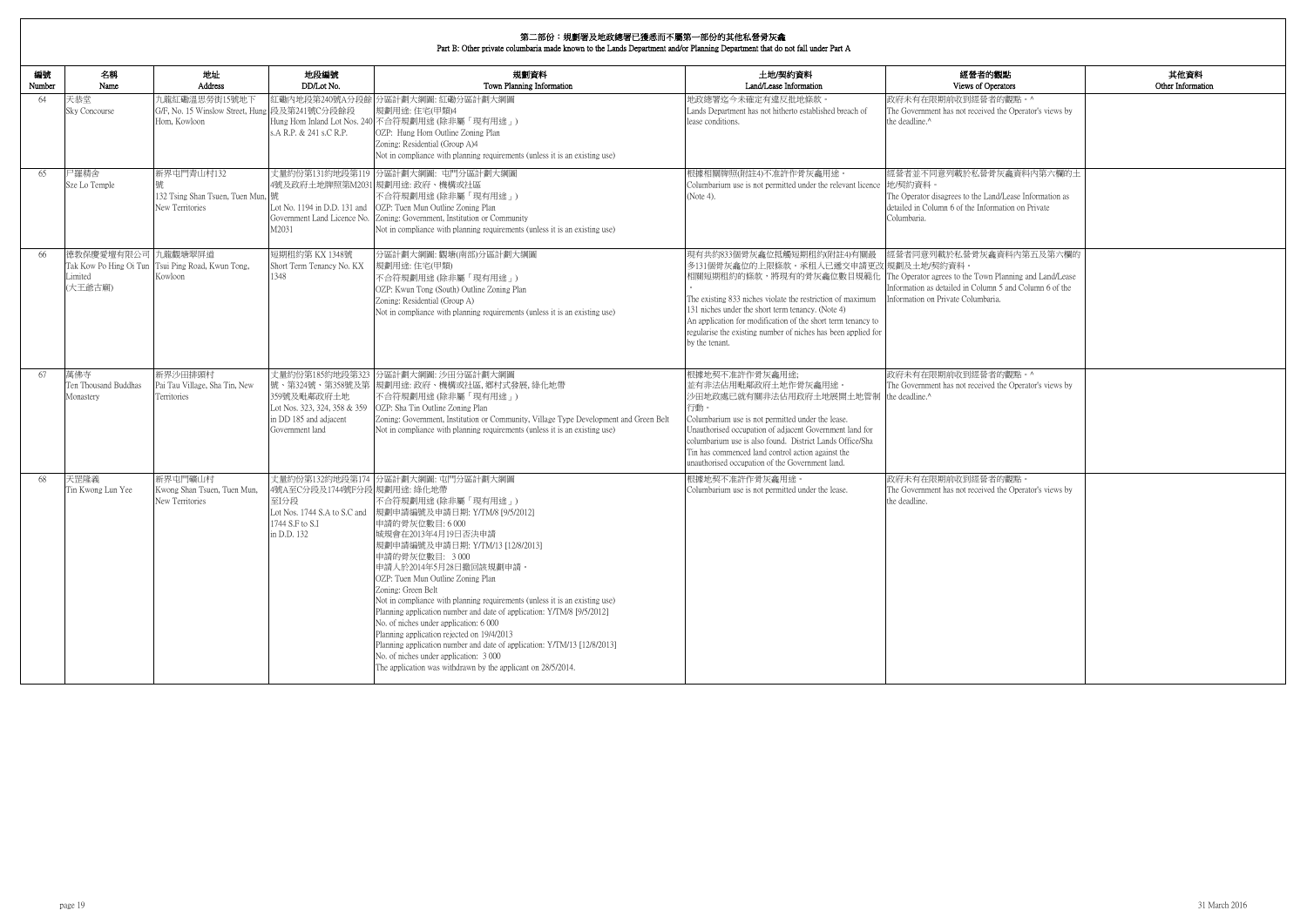| 的觀點                                                            | 其他資料              |
|----------------------------------------------------------------|-------------------|
| <b>perators</b>                                                | Other Information |
| 者的觀點。^<br>ed the Operator's views by                           |                   |
|                                                                |                   |
| 骨灰龕資料內第六欄的土                                                    |                   |
| and/Lease Information as<br>ormation on Private                |                   |
| 龕資料內第五及第六欄的                                                    |                   |
| n Planning and Land/Lease<br>mn 5 and Column 6 of the<br>aria. |                   |
|                                                                |                   |
|                                                                |                   |
| 者的觀點。^<br>ed the Operator's views by                           |                   |
|                                                                |                   |
|                                                                |                   |
| 者的觀點。<br>ed the Operator's views by                            |                   |
|                                                                |                   |
|                                                                |                   |
|                                                                |                   |
|                                                                |                   |
|                                                                |                   |
|                                                                |                   |

| 編號<br>Number | 名稱<br>Name                               | 地址<br>Address                                                      | 地段編號<br>DD/Lot No.                                                                                          | 規劃資料<br>Town Planning Information                                                                                                                                                                                                                                                                                                                                                                                                                                                                                                                                                                                                                                                                                   | 土地/契約資料<br>Land/Lease Information                                                                                                                                                                                                                                                                                                                                    | 經營者的觀點<br>Views of Operators                                                                                                                                                        |
|--------------|------------------------------------------|--------------------------------------------------------------------|-------------------------------------------------------------------------------------------------------------|---------------------------------------------------------------------------------------------------------------------------------------------------------------------------------------------------------------------------------------------------------------------------------------------------------------------------------------------------------------------------------------------------------------------------------------------------------------------------------------------------------------------------------------------------------------------------------------------------------------------------------------------------------------------------------------------------------------------|----------------------------------------------------------------------------------------------------------------------------------------------------------------------------------------------------------------------------------------------------------------------------------------------------------------------------------------------------------------------|-------------------------------------------------------------------------------------------------------------------------------------------------------------------------------------|
| 64           | 天恭堂<br><b>Sky Concourse</b>              | 九龍紅磡溫思勞街15號地下<br>G/F, No. 15 Winslow Street, Hung<br>Hom. Kowloon  | 段及第241號C分段餘段<br>s.A R.P. & 241 s.C R.P.                                                                     | 紅磡內地段第240號A分段餘 分區計劃大綱圖: 紅磡分區計劃大綱圖<br>規劃用途:住宅(甲類)4<br>Hung Hom Inland Lot Nos. 240 不合符規劃用途 (除非屬「現有用途」)<br>OZP: Hung Hom Outline Zoning Plan<br>Zoning: Residential (Group A)4<br>Not in compliance with planning requirements (unless it is an existing use)                                                                                                                                                                                                                                                                                                                                                                                                                                                         | 地政總署迄今未確定有違反批地條款。<br>Lands Department has not hitherto established breach of<br>lease conditions.                                                                                                                                                                                                                                                                    | 政府未有在限期前收到經營者的觀點。^<br>The Government has not received the Operator's views by<br>the deadline.^                                                                                     |
| 65           | 尸羅精舍<br>Sze Lo Temple                    | 新界屯門青山村132<br>132 Tsing Shan Tsuen, Tuen Mun, 號<br>New Territories | Lot No. 1194 in D.D. 131 and<br>M2031                                                                       | 丈量約份第131約地段第119 分區計劃大綱圖: 屯門分區計劃大綱圖<br>4號及政府土地牌照第M2031 規劃用途: 政府、機構或社區<br>不合符規劃用途(除非屬「現有用途」)<br>OZP: Tuen Mun Outline Zoning Plan<br>Government Land Licence No. Zoning: Government, Institution or Community<br>Not in compliance with planning requirements (unless it is an existing use)                                                                                                                                                                                                                                                                                                                                                                                                                          | 根據相關牌照(附註4)不准許作骨灰龕用途<br>Columbarium use is not permitted under the relevant licence 地契約資料。<br>(Note 4).                                                                                                                                                                                                                                                              | 經營者並不同意列載於私營骨灰龕資料內第六欄的土<br>The Operator disagrees to the Land/Lease Information as<br>detailed in Column 6 of the Information on Private<br>Columbaria.                             |
| 66           | 德教保慶愛壇有限公司 九龍觀塘翠屏道<br>Limited<br>(大王爺古廟) | Tak Kow Po Hing Oi Tun Tsui Ping Road, Kwun Tong,<br>Kowloon       | 短期租約第 KX 1348號<br>Short Term Tenancy No. KX<br>1348                                                         | 分區計劃大綱圖:觀塘(南部)分區計劃大綱圖<br>規劃用途: 住宅(甲類)<br>不合符規劃用途(除非屬「現有用途」)<br>OZP: Kwun Tong (South) Outline Zoning Plan<br>Zoning: Residential (Group A)<br>Not in compliance with planning requirements (unless it is an existing use)                                                                                                                                                                                                                                                                                                                                                                                                                                                                                           | 現有共約833個骨灰龕位抵觸短期租約(附註4)有關最<br>多131個骨灰龕位的上限條款。承租人已遞交申請更改 規劃及土地/契約資料。<br>相關短期租約的條款,將現有的骨灰龕位數目規範化<br>The existing 833 niches violate the restriction of maximum<br>131 niches under the short term tenancy. (Note 4)<br>An application for modification of the short term tenancy to<br>regularise the existing number of niches has been applied for<br>by the tenant. | 經營者同意列載於私營骨灰龕資料內第五及第六欄的<br>The Operator agrees to the Town Planning and Land/Lease<br>Information as detailed in Column 5 and Column 6 of the<br>Information on Private Columbaria. |
| 67           | 萬佛寺<br>Ten Thousand Buddhas<br>Monastery | 新界沙田排頭村<br>Pai Tau Village, Sha Tin, New<br>Territories            | 丈量約份第185約地段第323<br>359號及毗鄰政府土地<br>Lot Nos. 323, 324, 358 & 359<br>in DD 185 and adjacent<br>Government land | 分區計劃大綱圖: 沙田分區計劃大綱圖<br>號、第324號、第358號及第 規劃用途: 政府、機構或社區, 鄉村式發展, 綠化地帶<br>不合符規劃用途(除非屬「現有用途」)<br>OZP: Sha Tin Outline Zoning Plan<br>Zoning: Government, Institution or Community, Village Type Development and Green Belt<br>Not in compliance with planning requirements (unless it is an existing use)                                                                                                                                                                                                                                                                                                                                                                                                                 | 根據地契不准許作骨灰龕用途;<br>並有非法佔用毗鄰政府土地作骨灰龕用途。<br>沙田地政處已就有關非法佔用政府土地展開土地管制<br>行動。<br>Columbarium use is not permitted under the lease.<br>Unauthorised occupation of adjacent Government land for<br>columbarium use is also found. District Lands Office/Sha<br>Tin has commenced land control action against the<br>unauthorised occupation of the Government land.          | 政府未有在限期前收到經營者的觀點。^<br>The Government has not received the Operator's views by<br>the deadline.^                                                                                     |
| 68           | 天罡隆義<br>Tin Kwong Lun Yee                | 新界屯門礦山村<br>Kwong Shan Tsuen, Tuen Mun.<br>New Territories          | 4號A至C分段及1744號F分段 規劃用途: 綠化地帶<br>至I分段<br>Lot Nos. 1744 S.A to S.C and<br>1744 S.F to S.I<br>in D.D. 132       | 丈量約份第132約地段第174 分區計劃大綱圖: 屯門分區計劃大綱圖<br>不合符規劃用途(除非屬「現有用途」)<br>規劃申請編號及申請日期: Y/TM/8 [9/5/2012]<br>申請的骨灰位數目:6000<br>城規會在2013年4月19日否決申請<br>規劃申請編號及申請日期: Y/TM/13 [12/8/2013]<br>申請的骨灰位數目: 3000<br>申請人於2014年5月28日撤回該規劃申請。<br>OZP: Tuen Mun Outline Zoning Plan<br>Zoning: Green Belt<br>Not in compliance with planning requirements (unless it is an existing use)<br>Planning application number and date of application: Y/TM/8 [9/5/2012]<br>No. of niches under application: 6 000<br>Planning application rejected on 19/4/2013<br>Planning application number and date of application: Y/TM/13 [12/8/2013]<br>No. of niches under application: 3 000<br>The application was withdrawn by the applicant on 28/5/2014. | 根據地契不准許作骨灰龕用途。<br>Columbarium use is not permitted under the lease.                                                                                                                                                                                                                                                                                                  | 政府未有在限期前收到經營者的觀點。<br>The Government has not received the Operator's views by<br>the deadline.                                                                                       |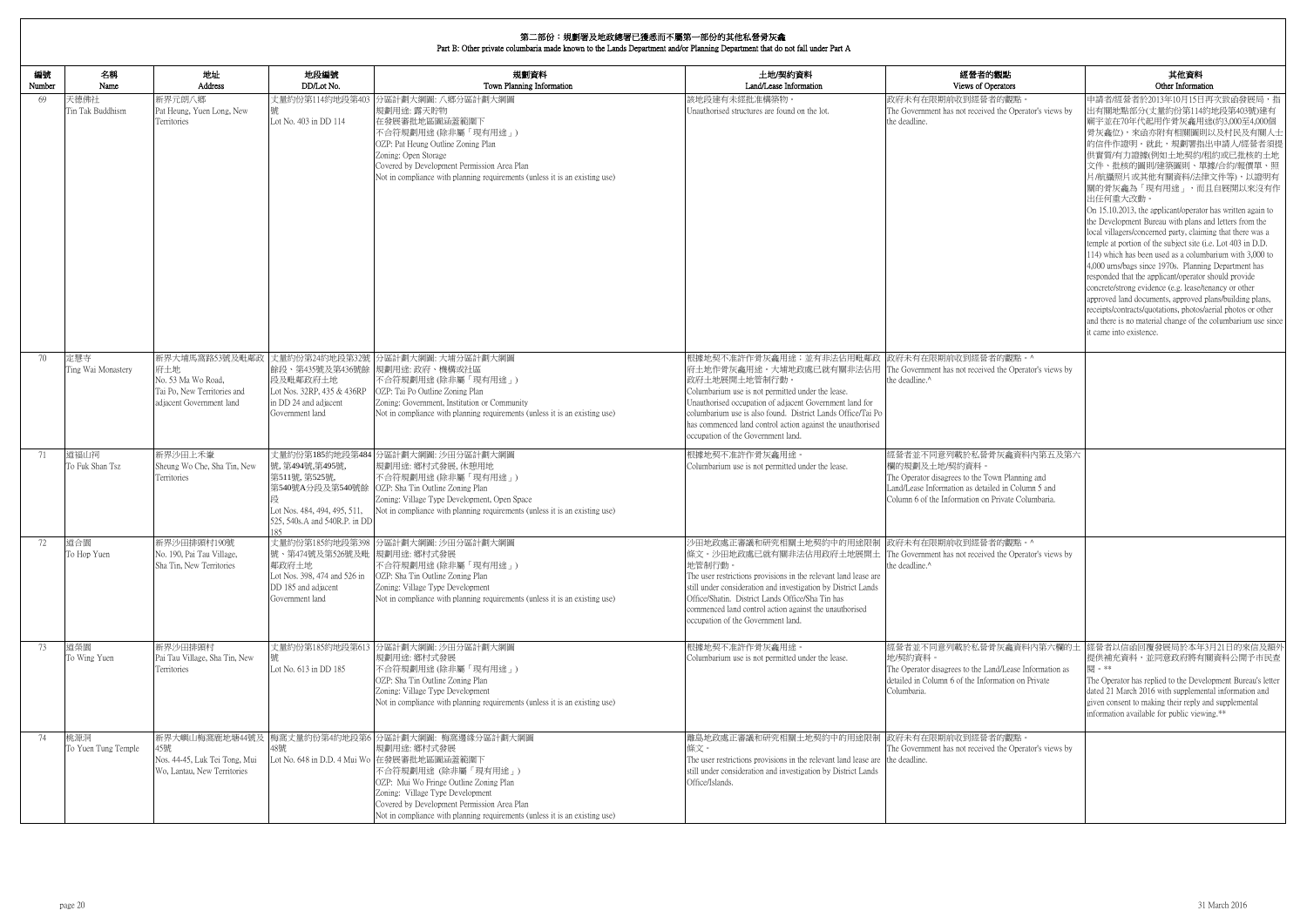| 編號<br>Number | 名稱<br>Name                 | 地址<br>Address                                                                         | 地段編號<br>DD/Lot No.                                                                                             | 規劃資料<br>Town Planning Information                                                                                                                                                                                                                                                                                                  | 土地/契約資料<br>Land/Lease Information                                                                                                                                                                                                                                                                                                                                                                                                | 經營者的觀點                                                                                                                                                                                                  | 其他資料<br>Other Information                                                                                                                                                                                                                                                                                                                                                                                                                                                                                                                                                                                                                                                                                                                                                                                                                                                                                                                                                                          |
|--------------|----------------------------|---------------------------------------------------------------------------------------|----------------------------------------------------------------------------------------------------------------|------------------------------------------------------------------------------------------------------------------------------------------------------------------------------------------------------------------------------------------------------------------------------------------------------------------------------------|----------------------------------------------------------------------------------------------------------------------------------------------------------------------------------------------------------------------------------------------------------------------------------------------------------------------------------------------------------------------------------------------------------------------------------|---------------------------------------------------------------------------------------------------------------------------------------------------------------------------------------------------------|----------------------------------------------------------------------------------------------------------------------------------------------------------------------------------------------------------------------------------------------------------------------------------------------------------------------------------------------------------------------------------------------------------------------------------------------------------------------------------------------------------------------------------------------------------------------------------------------------------------------------------------------------------------------------------------------------------------------------------------------------------------------------------------------------------------------------------------------------------------------------------------------------------------------------------------------------------------------------------------------------|
| 69           | 天德佛社<br>Tin Tak Buddhism   | 新界元朗八鄉<br>Pat Heung, Yuen Long, New<br>Territories                                    | 丈量約份第114約地段第403<br>Lot No. 403 in DD 114                                                                       | 分區計劃大綱圖:八鄉分區計劃大綱圖<br>規劃用途: 露天貯物<br>在發展審批地區圖涵蓋範圍下<br>不合符規劃用途(除非屬「現有用途」)<br>OZP: Pat Heung Outline Zoning Plan<br>Zoning: Open Storage<br>Covered by Development Permission Area Plan<br>Not in compliance with planning requirements (unless it is an existing use)                                                                 | 該地段建有未經批准構築物。<br>Unauthorised structures are found on the lot.                                                                                                                                                                                                                                                                                                                                                                   | Views of Operators<br>政府未有在限期前收到經營者的觀點。<br>The Government has not received the Operator's views by<br>the deadline.                                                                                     | 申請者/經營者於2013年10月15日再次致函發展局,指<br>出有關地點部分(丈量約份第114約地段第403號)建有<br>廟宇並在70年代起用作骨灰龕用途(約3,000至4,000個<br>骨灰龕位),來函亦附有相關圖則以及村民及有關人士<br>的信件作證明。就此,規劃署指出申請人/經營者須提<br>供實質/有力證據(例如土地契約/租約或已批核的土地<br>文件、批核的圖則/建築圖則、單據/合約/報價單、照<br>片/航攝照片或其他有關資料/法律文件等),以證明有<br>關的骨灰龕為「現有用途」,而且自展開以來沒有作<br>出任何重大改動。<br>On 15.10.2013, the applicant/operator has written again to<br>the Development Bureau with plans and letters from the<br>local villagers/concerned party, claiming that there was a<br>temple at portion of the subject site (i.e. Lot 403 in D.D.<br>114) which has been used as a columbarium with 3,000 to<br>4,000 urns/bags since 1970s. Planning Department has<br>responded that the applicant/operator should provide<br>concrete/strong evidence (e.g. lease/tenancy or other<br>approved land documents, approved plans/building plans,<br>receipts/contracts/quotations, photos/aerial photos or other<br>and there is no material change of the columbarium use since<br>it came into existence. |
| 70           | 定慧寺<br>Ting Wai Monastery  | 府土地<br>No. 53 Ma Wo Road.<br>Tai Po, New Territories and<br>adjacent Government land  | 段及毗鄰政府土地<br>Lot Nos. 32RP, 435 & 436RP<br>in DD 24 and adjacent<br>Government land                             | 新界大埔馬窩路53號及毗鄰政 丈量約份第24約地段第32號 分區計劃大綱圖: 大埔分區計劃大綱圖<br>餘段、第435號及第436號餘 規劃用途: 政府、機構或社區<br>不合符規劃用途(除非屬「現有用途」)<br>OZP: Tai Po Outline Zoning Plan<br>Zoning: Government, Institution or Community<br>Not in compliance with planning requirements (unless it is an existing use)                                                         | 根據地契不准許作骨灰龕用途;並有非法佔用毗鄰政 政府未有在限期前收到經營者的觀點。^<br>府土地作骨灰龕用途。大埔地政處已就有關非法佔用 The Government has not received the Operator's views by<br>政府土地展開土地管制行動<br>Columbarium use is not permitted under the lease.<br>Unauthorised occupation of adjacent Government land for<br>columbarium use is also found. District Lands Office/Tai Po<br>has commenced land control action against the unauthorised<br>occupation of the Government land. | the deadline. <sup>^</sup>                                                                                                                                                                              |                                                                                                                                                                                                                                                                                                                                                                                                                                                                                                                                                                                                                                                                                                                                                                                                                                                                                                                                                                                                    |
| 71           | 道福山祠<br>To Fuk Shan Tsz    | 新界沙田上禾輋<br>Sheung Wo Che, Sha Tin, New<br>Territories                                 | 號,第494號,第495號,<br>第511號, 第525號,<br>Lot Nos. 484, 494, 495, 511,<br>525, 540s.A and 540R.P. in DD               | 丈量約份第185約地段第484 分區計劃大綱圖: 沙田分區計劃大綱圖<br> 規劃用途: 鄉村式發展, 休憩用地<br>不合符規劃用途 (除非屬「現有用途」)<br>第540號A分段及第540號餘 OZP: Sha Tin Outline Zoning Plan<br>Zoning: Village Type Development, Open Space<br>Not in compliance with planning requirements (unless it is an existing use)                                                                 | 根據地契不准許作骨灰龕用途。<br>Columbarium use is not permitted under the lease.                                                                                                                                                                                                                                                                                                                                                              | 經營者並不同意列載於私營骨灰龕資料內第五及第六<br>欄的規劃及土地/契約資料。<br>The Operator disagrees to the Town Planning and<br>Land/Lease Information as detailed in Column 5 and<br>Column 6 of the Information on Private Columbaria. |                                                                                                                                                                                                                                                                                                                                                                                                                                                                                                                                                                                                                                                                                                                                                                                                                                                                                                                                                                                                    |
| 72           | 道合園<br>To Hop Yuen         | 新界沙田排頭村190號<br>No. 190, Pai Tau Village,<br>Sha Tin, New Territories                  | 號、第474號及第526號及毗 規劃用途: 鄉村式發展<br>鄰政府土地<br>Lot Nos. 398, 474 and 526 in<br>DD 185 and adjacent<br>Government land | 丈量約份第185約地段第398 分區計劃大綱圖: 沙田分區計劃大綱圖<br>不合符規劃用途(除非屬「現有用途」)<br>OZP: Sha Tin Outline Zoning Plan<br>Zoning: Village Type Development<br>Not in compliance with planning requirements (unless it is an existing use)                                                                                                                    | 少田地政處正審議和研究相關土地契約中的用途限制  政府未有在限期前收到經營者的觀點。^<br>條文。沙田地政處已就有關非法佔用政府土地展開土 The Government has not received the Operator's views by<br>地管制行動<br>The user restrictions provisions in the relevant land lease are<br>still under consideration and investigation by District Lands<br>Office/Shatin. District Lands Office/Sha Tin has<br>commenced land control action against the unauthorised<br>occupation of the Government land.  | the deadline. <sup>^</sup>                                                                                                                                                                              |                                                                                                                                                                                                                                                                                                                                                                                                                                                                                                                                                                                                                                                                                                                                                                                                                                                                                                                                                                                                    |
| 73           | 道榮園<br>To Wing Yuen        | 新界沙田排頭村<br>Pai Tau Village, Sha Tin, New<br>Territories                               | Lot No. 613 in DD 185                                                                                          | 丈量約份第185約地段第613 分區計劃大綱圖: 沙田分區計劃大綱圖<br>規劃用途: 鄉村式發展<br>不合符規劃用途(除非屬「現有用途」)<br>OZP: Sha Tin Outline Zoning Plan<br>Zoning: Village Type Development<br>Not in compliance with planning requirements (unless it is an existing use)                                                                                                     | 根據地契不准許作骨灰龕用途。<br>Columbarium use is not permitted under the lease.                                                                                                                                                                                                                                                                                                                                                              | 地/契約資料。<br>The Operator disagrees to the Land/Lease Information as<br>detailed in Column 6 of the Information on Private<br>Columbaria.                                                                 | 經營者並不同意列載於私營骨灰龕資料內第六欄的土  經營者以信函回覆發展局於本年3月21日的來信及額外<br>提供補充資料,並同意政府將有關資料公開予市民查<br>閣 。**<br>The Operator has replied to the Development Bureau's letter<br>dated 21 March 2016 with supplemental information and<br>given consent to making their reply and supplemental<br>information available for public viewing.**                                                                                                                                                                                                                                                                                                                                                                                                                                                                                                                                                                                                                                                                              |
| 74           | 桃源洞<br>To Yuen Tung Temple | 新界大嶼山梅窩鹿地塘44號及<br>45號<br>Nos. 44-45, Luk Tei Tong, Mui<br>Wo, Lantau, New Territories | 48號                                                                                                            | 梅窩丈量約份第4約地段第6 分區計劃大綱圖: 梅窩邊緣分區計劃大綱圖<br>規劃用途: 鄉村式發展<br>Lot No. 648 in D.D. 4 Mui Wo 在發展審批地區圖涵蓋範圍下<br>不合符規劃用途 (除非屬「現有用途」)<br>OZP: Mui Wo Fringe Outline Zoning Plan<br>Zoning: Village Type Development<br>Covered by Development Permission Area Plan<br>Not in compliance with planning requirements (unless it is an existing use) | 離島地政處正審議和研究相關土地契約中的用途限制 政府未有在限期前收到經營者的觀點。<br>條文。<br>The user restrictions provisions in the relevant land lease are the deadline.<br>still under consideration and investigation by District Lands<br>Office/Islands.                                                                                                                                                                                                            | The Government has not received the Operator's views by                                                                                                                                                 |                                                                                                                                                                                                                                                                                                                                                                                                                                                                                                                                                                                                                                                                                                                                                                                                                                                                                                                                                                                                    |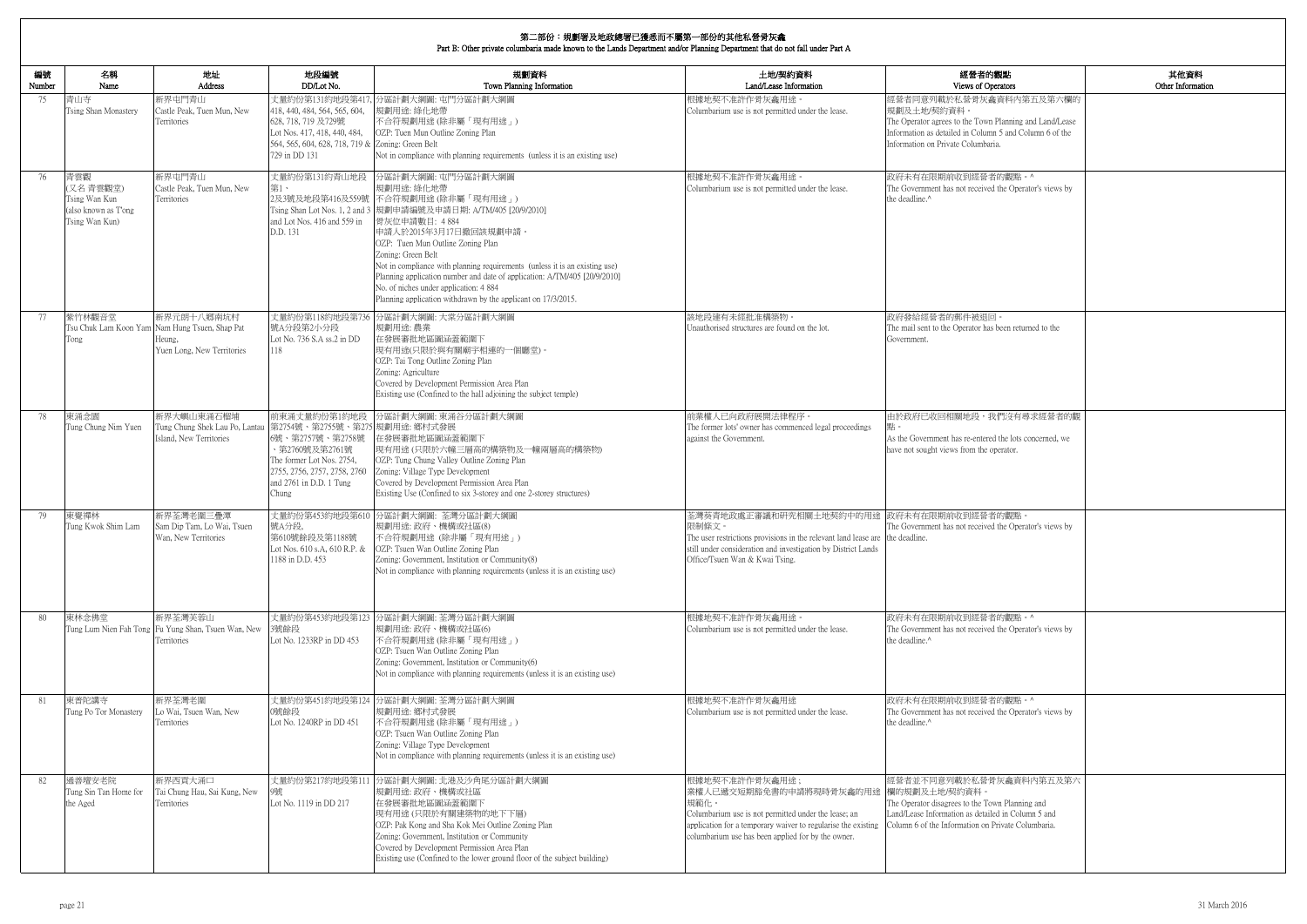| Other Information |
|-------------------|
|                   |
|                   |
|                   |
|                   |
|                   |
|                   |
|                   |
|                   |
|                   |
|                   |
|                   |
|                   |
|                   |
|                   |
|                   |
|                   |

| 編號<br>Number | 名稱<br>Name                                                                 | 地址<br><b>Address</b>                                                                                 | 地段編號<br>DD/Lot No.                                                                                                                                                                    | 規劃資料<br>Town Planning Information                                                                                                                                                                                                                                                                                                                                                                                                                                                                                          | 土地/契約資料<br>Land/Lease Information                                                                                                                                                                                                               | 經營者的觀點<br>Views of Operators                                                                                                                                                                       |
|--------------|----------------------------------------------------------------------------|------------------------------------------------------------------------------------------------------|---------------------------------------------------------------------------------------------------------------------------------------------------------------------------------------|----------------------------------------------------------------------------------------------------------------------------------------------------------------------------------------------------------------------------------------------------------------------------------------------------------------------------------------------------------------------------------------------------------------------------------------------------------------------------------------------------------------------------|-------------------------------------------------------------------------------------------------------------------------------------------------------------------------------------------------------------------------------------------------|----------------------------------------------------------------------------------------------------------------------------------------------------------------------------------------------------|
| 75           | 青山寺<br>Tsing Shan Monastery                                                | 新界屯門青山<br>Castle Peak, Tuen Mun, New<br>Territories                                                  | 418, 440, 484, 564, 565, 604,<br>628, 718, 719 及729號<br>Lot Nos. 417, 418, 440, 484,<br>564, 565, 604, 628, 718, 719 & Zoning: Green Belt<br>729 in DD 131                            | 丈量約份第131約地段第417,分區計劃大綱圖: 屯門分區計劃大綱圖<br>規劃用途: 綠化地帶<br>不合符規劃用途(除非屬「現有用途」)<br>OZP: Tuen Mun Outline Zoning Plan<br>Not in compliance with planning requirements (unless it is an existing use)                                                                                                                                                                                                                                                                                                                                 | 根據地契不准許作骨灰龕用途<br>Columbarium use is not permitted under the lease.                                                                                                                                                                              | 經營者同意列載於私營骨灰龕資料內第五及第六欄的<br>規劃及土地/契約資料。<br>The Operator agrees to the Town Planning and Land/Lease<br>Information as detailed in Column 5 and Column 6 of the<br>Information on Private Columbaria. |
| 76           | 青雲觀<br>(又名青雲觀堂)<br>Tsing Wan Kun<br>(also known as T'ong<br>Tsing Wan Kun) | 新界屯門青山<br>Castle Peak, Tuen Mun, New<br>Territories                                                  | 丈量約份第131約青山地段<br>第1、<br>and Lot Nos. 416 and 559 in<br>D.D. 131                                                                                                                       | 分區計劃大綱圖: 屯門分區計劃大綱圖<br>規劃用途: 綠化地帶<br>2及3號及地段第416及559號 不合符規劃用途 (除非屬「現有用途」)<br>Tsing Shan Lot Nos. 1, 2 and 3  規劃申請編號及申請日期: A/TM/405 [20/9/2010]<br>骨灰位申請數目: 4884<br>申請人於2015年3月17日撤回該規劃申請。<br>OZP: Tuen Mun Outline Zoning Plan<br>Zoning: Green Belt<br>Not in compliance with planning requirements (unless it is an existing use)<br>Planning application number and date of application: A/TM/405 [20/9/2010]<br>No. of niches under application: 4 884<br>Planning application withdrawn by the applicant on 17/3/2015. | 根據地契不准許作骨灰龕用途。<br>Columbarium use is not permitted under the lease.                                                                                                                                                                             | 政府未有在限期前收到經營者的觀點。^<br>The Government has not received the Operator's views by<br>the deadline. <sup>^</sup>                                                                                        |
| 77           | 紫竹林觀音堂<br>Tong                                                             | 新界元朗十八鄉南坑村<br>Tsu Chuk Lam Koon Yam Nam Hung Tsuen, Shap Pat<br>Heung.<br>Yuen Long, New Territories | 號A分段第2小分段<br>Lot No. 736 S.A ss.2 in DD<br>118                                                                                                                                        | 丈量約份第118約地段第736 分區計劃大綱圖: 大棠分區計劃大綱圖<br>規劃用途:農業<br>在發展審批地區圖涵蓋範圍下<br>現有用途(只限於與有關廟宇相連的一個廳堂)。<br>OZP: Tai Tong Outline Zoning Plan<br>Zoning: Agriculture<br>Covered by Development Permission Area Plan<br>Existing use (Confined to the hall adjoining the subject temple)                                                                                                                                                                                                                                                    | 該地段建有未經批准構築物<br>Unauthorised structures are found on the lot.                                                                                                                                                                                   | 政府發給經營者的郵件被退回。<br>The mail sent to the Operator has been returned to the<br>Government                                                                                                             |
| 78           | 東涌念園<br>Tung Chung Nim Yuen                                                | 新界大嶼山東涌石榴埔<br>Tung Chung Shek Lau Po, Lantau<br>Island, New Territories                              | 前東涌丈量約份第1約地段<br>第2754號、第2755號、第275 規劃用途: 鄉村式發展<br>6號、第2757號、第2758號<br>、第2760號及第2761號<br>The former Lot Nos. 2754,<br>2755, 2756, 2757, 2758, 2760<br>and 2761 in D.D. 1 Tung<br>Chung | 分區計劃大綱圖: 東涌谷分區計劃大綱圖<br>在發展審批地區圖涵蓋範圍下<br> 現有用途(只限於六幢三層高的構築物及一幢兩層高的構築物)<br>OZP: Tung Chung Valley Outline Zoning Plan<br>Zoning: Village Type Development<br>Covered by Development Permission Area Plan<br>Existing Use (Confined to six 3-storey and one 2-storey structures)                                                                                                                                                                                                                                              | 前業權人已向政府展開法律程序。<br>The former lots' owner has commenced legal proceedings<br>against the Government                                                                                                                                             | 由於政府已收回相關地段,我們沒有尋求經營者的觀<br>As the Government has re-entered the lots concerned, we<br>have not sought views from the operator.                                                                     |
| 79           | 東覺禪林<br>Tung Kwok Shim Lam                                                 | 新界荃灣老圍三疊潭<br>Sam Dip Tam, Lo Wai, Tsuen<br>Wan, New Territories                                      | 號A分段,<br>第610號餘段及第1188號<br>1188 in D.D. 453                                                                                                                                           | 丈量約份第453約地段第610 分區計劃大綱圖: 荃灣分區計劃大綱圖<br>規劃用途: 政府、機構或社區(8)<br>不合符規劃用途 (除非屬「現有用途」)<br>Lot Nos. 610 s.A, 610 R.P. & OZP: Tsuen Wan Outline Zoning Plan<br>Zoning: Government, Institution or Community(8)<br>Not in compliance with planning requirements (unless it is an existing use)                                                                                                                                                                                                                                        | 荃灣葵青地政處正審議和研究相關土地契約中的用途  政府未有在限期前收到經營者的觀點。<br>限制條文。<br>The user restrictions provisions in the relevant land lease are the deadline.<br>still under consideration and investigation by District Lands<br>Office/Tsuen Wan & Kwai Tsing.         | The Government has not received the Operator's views by                                                                                                                                            |
| 80           | 東林念佛堂                                                                      | 新界荃灣芙蓉山<br>Tung Lum Nien Fah Tong Fu Yung Shan, Tsuen Wan, New<br>Territories                        | 3號餘段<br>Lot No. 1233RP in DD 453                                                                                                                                                      | 丈量約份第453約地段第123 分區計劃大綱圖: 荃灣分區計劃大綱圖<br>規劃用途: 政府、機構或社區(6)<br>不合符規劃用途(除非屬「現有用途」)<br>OZP: Tsuen Wan Outline Zoning Plan<br>Zoning: Government, Institution or Community(6)<br>Not in compliance with planning requirements (unless it is an existing use)                                                                                                                                                                                                                                                                      | 根據地契不准許作骨灰龕用途。<br>Columbarium use is not permitted under the lease.                                                                                                                                                                             | 政府未有在限期前收到經營者的觀點。^<br>The Government has not received the Operator's views by<br>the deadline. <sup>^</sup>                                                                                        |
| 81           | 東普陀講寺<br>Tung Po Tor Monastery                                             | 新界荃灣老圍<br>Lo Wai, Tsuen Wan, New<br>Territories                                                      | 0號餘段<br>Lot No. 1240RP in DD 451                                                                                                                                                      | 丈量約份第451約地段第124 分區計劃大綱圖: 荃灣分區計劃大綱圖<br>規劃用途: 鄉村式發展<br>不合符規劃用途 (除非屬「現有用途」)<br>OZP: Tsuen Wan Outline Zoning Plan<br>Zoning: Village Type Development<br>Not in compliance with planning requirements (unless it is an existing use)                                                                                                                                                                                                                                                                                          | 根據地契不准許作骨灰龕用途<br>Columbarium use is not permitted under the lease.                                                                                                                                                                              | 政府未有在限期前收到經營者的觀點。^<br>The Government has not received the Operator's views by<br>the deadline.^                                                                                                    |
| 82           | 通善壇安老院<br>Tung Sin Tan Home for<br>the Aged                                | 新界西貢大涌口<br>Tai Chung Hau, Sai Kung, New<br>Territories                                               | 丈量約份第217約地段第111<br>9號<br>Lot No. 1119 in DD 217                                                                                                                                       | 分區計劃大綱圖: 北港及沙角尾分區計劃大綱圖<br>規劃用途:政府、機構或社區<br>在發展審批地區圖涵蓋範圍下<br> 現有用途(只限於有關建築物的地下下層)<br>OZP: Pak Kong and Sha Kok Mei Outline Zoning Plan<br>Zoning: Government, Institution or Community<br>Covered by Development Permission Area Plan<br>Existing use (Confined to the lower ground floor of the subject building)                                                                                                                                                                                                          | 根據地契不准許作骨灰龕用途;<br>業權人已遞交短期豁免書的申請將現時骨灰龕的用途  欄的規劃及土地/契約資料。<br>規範化。<br>Columbarium use is not permitted under the lease; an<br>application for a temporary waiver to regularise the existing<br>columbarium use has been applied for by the owner. | 經營者並不同意列載於私營骨灰龕資料內第五及第六<br>The Operator disagrees to the Town Planning and<br>Land/Lease Information as detailed in Column 5 and<br>Column 6 of the Information on Private Columbaria.             |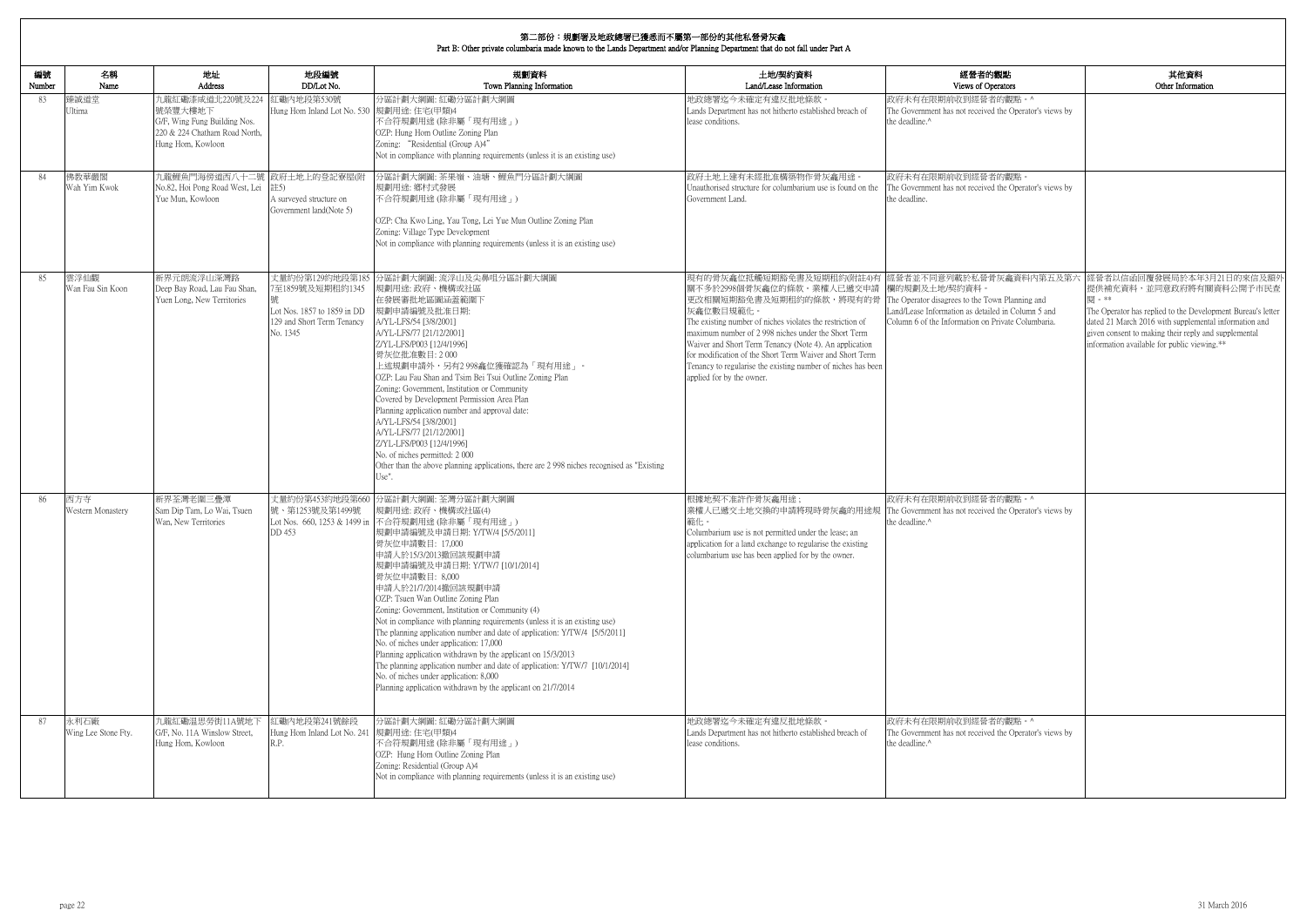| 的觀點                                         | 其他資料                                                                                                                 |
|---------------------------------------------|----------------------------------------------------------------------------------------------------------------------|
| )perators<br>者的觀點。^                         | Other Information                                                                                                    |
| ed the Operator's views by                  |                                                                                                                      |
|                                             |                                                                                                                      |
|                                             |                                                                                                                      |
|                                             |                                                                                                                      |
| 者的觀點。                                       |                                                                                                                      |
| ed the Operator's views by                  |                                                                                                                      |
|                                             |                                                                                                                      |
|                                             |                                                                                                                      |
|                                             |                                                                                                                      |
|                                             |                                                                                                                      |
| 骨灰龕資料内第五及第六                                 | 經營者以信函回覆發展局於本年3月21日的來信及額外                                                                                            |
|                                             | 提供補充資料,並同意政府將有關資料公開予市民查                                                                                              |
| own Planning and                            | 閱。**                                                                                                                 |
| iled in Column 5 and<br>Private Columbaria. | The Operator has replied to the Development Bureau's letter<br>dated 21 March 2016 with supplemental information and |
|                                             | given consent to making their reply and supplemental                                                                 |
|                                             | information available for public viewing.**                                                                          |
|                                             |                                                                                                                      |
|                                             |                                                                                                                      |
|                                             |                                                                                                                      |
|                                             |                                                                                                                      |
|                                             |                                                                                                                      |
|                                             |                                                                                                                      |
|                                             |                                                                                                                      |
|                                             |                                                                                                                      |
| 者的觀點。^                                      |                                                                                                                      |
| ed the Operator's views by                  |                                                                                                                      |
|                                             |                                                                                                                      |
|                                             |                                                                                                                      |
|                                             |                                                                                                                      |
|                                             |                                                                                                                      |
|                                             |                                                                                                                      |
|                                             |                                                                                                                      |
|                                             |                                                                                                                      |
|                                             |                                                                                                                      |
|                                             |                                                                                                                      |
|                                             |                                                                                                                      |
|                                             |                                                                                                                      |
|                                             |                                                                                                                      |
| 者的觀點。^                                      |                                                                                                                      |
| ed the Operator's views by                  |                                                                                                                      |
|                                             |                                                                                                                      |
|                                             |                                                                                                                      |
|                                             |                                                                                                                      |

| 編號<br>Number | 名稱<br>Name                  | 地址<br>Address                                                                                                     | 地段編號<br>DD/Lot No.                                                                        | 規劃資料<br>Town Planning Information                                                                                                                                                                                                                                                                                                                                                                                                                                                                                                                                                                                                                                                                                                                                                                                | 土地/契約資料<br>Land/Lease Information                                                                                                                                                                                                                                                                                                                                                                                                                                                                              | 經營者的觀點<br>Views of Operators                                                                                             |
|--------------|-----------------------------|-------------------------------------------------------------------------------------------------------------------|-------------------------------------------------------------------------------------------|------------------------------------------------------------------------------------------------------------------------------------------------------------------------------------------------------------------------------------------------------------------------------------------------------------------------------------------------------------------------------------------------------------------------------------------------------------------------------------------------------------------------------------------------------------------------------------------------------------------------------------------------------------------------------------------------------------------------------------------------------------------------------------------------------------------|----------------------------------------------------------------------------------------------------------------------------------------------------------------------------------------------------------------------------------------------------------------------------------------------------------------------------------------------------------------------------------------------------------------------------------------------------------------------------------------------------------------|--------------------------------------------------------------------------------------------------------------------------|
| 83           | 臻誠道堂<br>Ultima              | 九龍紅磡漆咸道北220號及224<br>號榮豐大樓地下<br>G/F, Wing Fung Building Nos.<br>220 & 224 Chatham Road North,<br>Hung Hom, Kowloon | 紅磡内地段第530號<br>Hung Hom Inland Lot No. 530 規劃用途: 住宅(甲類)4                                   | 分區計劃大綱圖:紅磡分區計劃大綱圖<br>不合符規劃用途(除非屬「現有用途」)<br>OZP: Hung Hom Outline Zoning Plan<br>Zoning: "Residential (Group A)4"<br>Not in compliance with planning requirements (unless it is an existing use)                                                                                                                                                                                                                                                                                                                                                                                                                                                                                                                                                                                                                  | 地政總署迄今未確定有違反批地條款<br>Lands Department has not hitherto established breach of<br>lease conditions.                                                                                                                                                                                                                                                                                                                                                                                                               | 政府未有在限期前收到經營者的觀點。^<br>The Government has not received the Operator's views by<br>the deadline.^                          |
| 84           | 佛教華嚴閣<br>Wah Yim Kwok       | 九龍鯉魚門海傍道西八十二號 政府土地上的登記寮屋(附<br>No.82, Hoi Pong Road West, Lei<br>Yue Mun, Kowloon                                  | 註5)<br>A surveyed structure on<br>Government land(Note 5)                                 | 分區計劃大綱圖: 茶果嶺、油塘、鯉魚門分區計劃大綱圖<br>規劃用途: 鄉村式發展<br>不合符規劃用途(除非屬「現有用途」)<br>OZP: Cha Kwo Ling, Yau Tong, Lei Yue Mun Outline Zoning Plan<br>Zoning: Village Type Development<br>Not in compliance with planning requirements (unless it is an existing use)                                                                                                                                                                                                                                                                                                                                                                                                                                                                                                                                                               | 政府土地上建有未經批准構築物作骨灰龕用途。<br>Unauthorised structure for columbarium use is found on the<br>Government Land.                                                                                                                                                                                                                                                                                                                                                                                                        | 政府未有在限期前收到經營者的觀點。<br>The Government has not received the Operator's views by<br>the deadline.                            |
| 85           | 雲浮仙觀<br>Wan Fau Sin Koon    | 新界元朗流浮山深灣路<br>Deep Bay Road, Lau Fau Shan,<br>Yuen Long, New Territories                                          | 7至1859號及短期租約1345<br>Lot Nos. 1857 to 1859 in DD<br>129 and Short Term Tenancy<br>No. 1345 | 丈量約份第129約地段第185 分區計劃大綱圖: 流浮山及尖鼻咀分區計劃大綱圖<br>規劃用途: 政府、機構或社區<br>在發展審批地區圖涵蓋範圍下<br>規劃申請編號及批准日期:<br>A/YL-LFS/54 [3/8/2001]<br>A/YL-LFS/77 [21/12/2001]<br>Z/YL-LFS/P003 [12/4/1996]<br>骨灰位批准數目: 2000<br>上述規劃申請外,另有2 998龕位獲確認為「現有用途」。<br>OZP: Lau Fau Shan and Tsim Bei Tsui Outline Zoning Plan<br>Zoning: Government, Institution or Community<br>Covered by Development Permission Area Plan<br>Planning application number and approval date:<br>A/YL-LFS/54 [3/8/2001]<br>A/YL-LFS/77 [21/12/2001]<br>Z/YL-LFS/P003 [12/4/1996]<br>No. of niches permitted: 2000<br>Other than the above planning applications, there are 2 998 niches recognised as "Existing<br>Use".                                                                                                                                            | 現有的骨灰龕位抵觸短期豁免書及短期租約(附註4)有  經營者並不同意列載於私營骨灰龕資料內第五及第六<br>關不多於2998個骨灰龕位的條款。業權人已遞交申請<br>更改相關短期豁免書及短期租約的條款,將現有的骨 The Operator disagrees to the Town Planning and<br>灰龕位數目規範化。<br>The existing number of niches violates the restriction of<br>maximum number of 2 998 niches under the Short Term<br>Waiver and Short Term Tenancy (Note 4). An application<br>for modification of the Short Term Waiver and Short Term<br>Tenancy to regularise the existing number of niches has been<br>applied for by the owner. | 欄的規劃及土地/契約資料<br>Land/Lease Information as detailed in Column 5 and<br>Column 6 of the Information on Private Columbaria. |
| 86           | 西方寺<br>Western Monastery    | 新界荃灣老圍三疊潭<br>Sam Dip Tam, Lo Wai, Tsuen<br>Wan, New Territories                                                   | 丈量約份第453約地段第660<br>號、第1253號及第1499號<br>DD 453                                              | 分區計劃大綱圖: 荃灣分區計劃大綱圖<br>規劃用途: 政府、機構或社區(4)<br>Lot Nos. 660, 1253 & 1499 in 不合符規劃用途 (除非屬「現有用途」)<br>規劃申請編號及申請日期: Y/TW/4 [5/5/2011]<br>骨灰位申請數目: 17,000<br>申請人於15/3/2013撤回該規劃申請<br>規劃申請編號及申請日期: Y/TW/7 [10/1/2014]<br>骨灰位申請數目: 8,000<br>申請人於21/7/2014撤回該規劃申請<br>OZP: Tsuen Wan Outline Zoning Plan<br>Zoning: Government, Institution or Community (4)<br>Not in compliance with planning requirements (unless it is an existing use)<br>The planning application number and date of application: Y/TW/4 [5/5/2011]<br>No. of niches under application: 17,000<br>Planning application withdrawn by the applicant on 15/3/2013<br>The planning application number and date of application: Y/TW/7 [10/1/2014]<br>No. of niches under application: 8,000<br>Planning application withdrawn by the applicant on 21/7/2014 | 根據地契不准許作骨灰龕用途;<br>業權人已遞交土地交換的申請將現時骨灰龕的用途規<br>範化。<br>Columbarium use is not permitted under the lease; an<br>application for a land exchange to regularise the existing<br>columbarium use has been applied for by the owner.                                                                                                                                                                                                                                                                                   | 政府未有在限期前收到經營者的觀點。^<br>The Government has not received the Operator's views by<br>the deadline.^                          |
| 87           | 永利石廠<br>Wing Lee Stone Fty. | 九龍紅磡温思勞街11A號地下<br>G/F, No. 11A Winslow Street,<br>Hung Hom, Kowloon                                               | 紅磡內地段第241號餘段<br>Hung Hom Inland Lot No. 241 規劃用途: 住宅(甲類)4<br>R.P.                         | 分區計劃大綱圖:紅磡分區計劃大綱圖<br>不合符規劃用途 (除非屬「現有用途 」)<br>OZP: Hung Hom Outline Zoning Plan<br>Zoning: Residential (Group A)4<br>Not in compliance with planning requirements (unless it is an existing use)                                                                                                                                                                                                                                                                                                                                                                                                                                                                                                                                                                                                                  | 地政總署迄今未確定有違反批地條款。<br>Lands Department has not hitherto established breach of<br>lease conditions.                                                                                                                                                                                                                                                                                                                                                                                                              | 政府未有在限期前收到經營者的觀點。^<br>The Government has not received the Operator's views by<br>the deadline.^                          |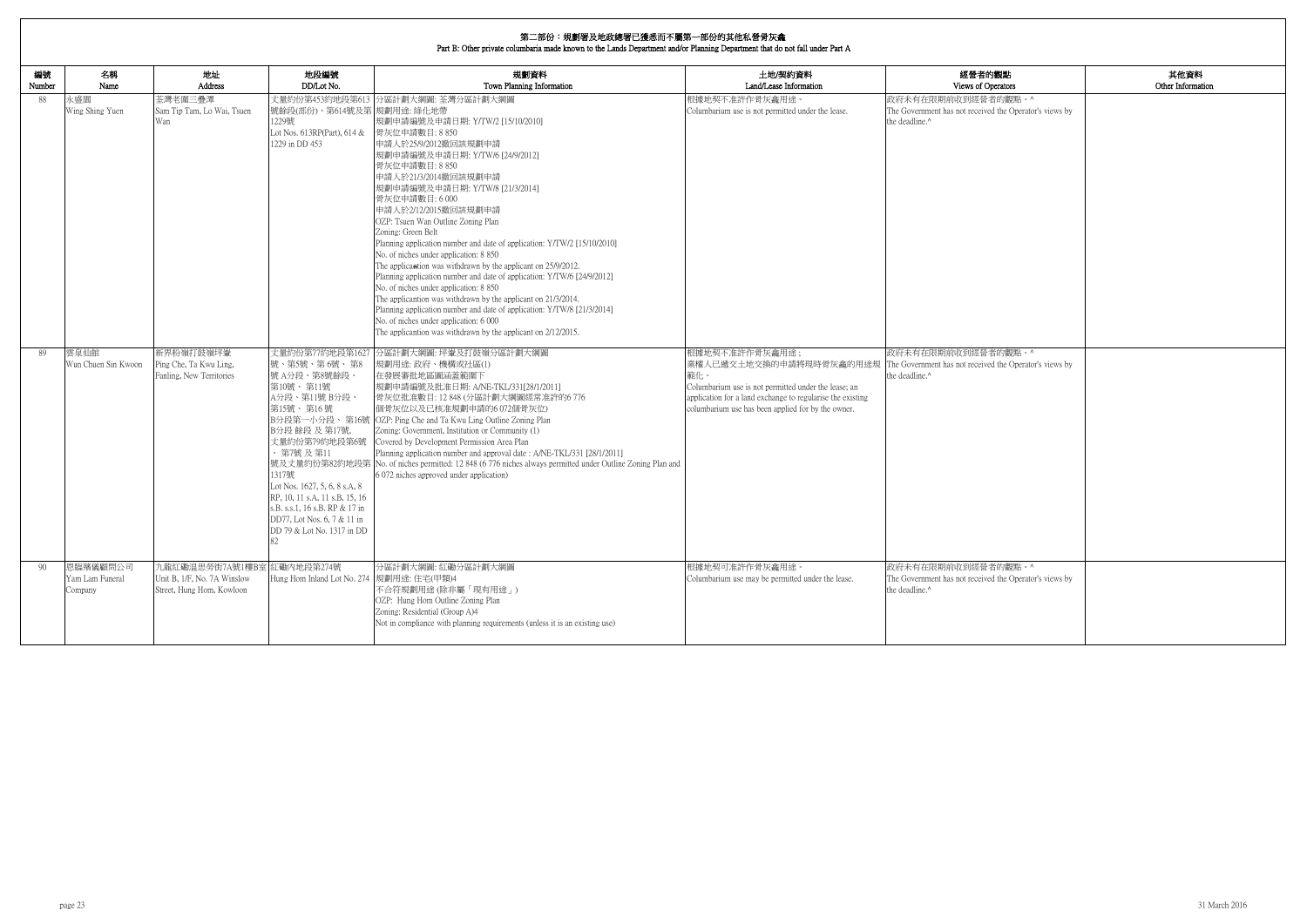# **第二部<del>公・坦劃軍及地政總</del>軍已獲采而不屬第二部公的甘**始社會<del>是加拿</del>

|              | 弟__ 部份:規劃者及地政總者已獲态而个屬弟一部份的具他私営党火龕 <br>Part B: Other private columbaria made known to the Lands Department and/or Planning Department that do not fall under Part A |                                                                                        |                                                                                                                                                                                                                                                                                                                        |                                                                                                                                                                                                                                                                                                                                                                                                                                                                                                                                                                                                                                                                                                                                                                                                                                                                                                           |                                                                                                                                                                                                   |                                                                                                                         |                           |  |  |  |
|--------------|--------------------------------------------------------------------------------------------------------------------------------------------------------------------|----------------------------------------------------------------------------------------|------------------------------------------------------------------------------------------------------------------------------------------------------------------------------------------------------------------------------------------------------------------------------------------------------------------------|-----------------------------------------------------------------------------------------------------------------------------------------------------------------------------------------------------------------------------------------------------------------------------------------------------------------------------------------------------------------------------------------------------------------------------------------------------------------------------------------------------------------------------------------------------------------------------------------------------------------------------------------------------------------------------------------------------------------------------------------------------------------------------------------------------------------------------------------------------------------------------------------------------------|---------------------------------------------------------------------------------------------------------------------------------------------------------------------------------------------------|-------------------------------------------------------------------------------------------------------------------------|---------------------------|--|--|--|
| 編號<br>Number | 名稱<br>Name                                                                                                                                                         | 地址<br>Address                                                                          | 地段編號<br>DD/Lot No.                                                                                                                                                                                                                                                                                                     | 規劃資料<br>Town Planning Information                                                                                                                                                                                                                                                                                                                                                                                                                                                                                                                                                                                                                                                                                                                                                                                                                                                                         | 土地/契約資料<br>Land/Lease Information                                                                                                                                                                 | 經營者的觀點<br>Views of Operators                                                                                            | 其他資料<br>Other Information |  |  |  |
| 88           | 永盛園<br>Wing Shing Yuen                                                                                                                                             | 荃灣老圍三疊潭<br>Sam Tip Tam, Lo Wai, Tsuen<br>Wan                                           | 號餘段(部份)、第614號及第 規劃用途: 綠化地帶<br>1229號<br>Lot Nos. 613RP(Part), 614 &<br>1229 in DD 453                                                                                                                                                                                                                                   | 丈量約份第453約地段第613 分區計劃大綱圖: 荃灣分區計劃大綱圖<br>規劃申請編號及申請日期: Y/TW/2 [15/10/2010]<br>骨灰位申請數目: 8 850<br>申請人於25/9/2012撤回該規劃申請<br>規劃申請編號及申請日期: Y/TW/6 [24/9/2012]<br>骨灰位申請數目: 8 850<br>申請人於21/3/2014撤回該規劃申請<br>規劃申請編號及申請日期: Y/TW/8 [21/3/2014]<br>骨灰位申請數目: 6 000<br>申請人於2/12/2015撤回該規劃申請<br>OZP: Tsuen Wan Outline Zoning Plan<br>Zoning: Green Belt<br>Planning application number and date of application: Y/TW/2 [15/10/2010]<br>No. of niches under application: 8 850<br>The applicantion was withdrawn by the applicant on 25/9/2012.<br>Planning application number and date of application: Y/TW/6 [24/9/2012]<br>No. of niches under application: 8 850<br>The applicantion was withdrawn by the applicant on 21/3/2014.<br>Planning application number and date of application: Y/TW/8 [21/3/2014]<br>No. of niches under application: 6 000<br>The applicantion was withdrawn by the applicant on 2/12/2015. | 根據地契不准許作骨灰龕用途。<br>Columbarium use is not permitted under the lease.                                                                                                                               | 政府未有在限期前收到經營者的觀點。^<br>The Government has not received the Operator's views by<br>the deadline.^                         |                           |  |  |  |
| -89          | 雲泉仙館<br>Wun Chuen Sin Kwoon                                                                                                                                        | 新界粉嶺打鼓嶺坪輋<br>Ping Che, Ta Kwu Ling,<br>Fanling, New Territories                        | 丈量約份第77約地段第1627<br>號、第5號、第6號、第8<br>號 A分段、第8號餘段、<br>第10號、第11號<br>A分段、第11號 B分段、<br>第15號、第16號<br>B分段 餘段 及 第17號,<br>丈量約份第79約地段第6號<br>・第7號 及 第11<br>1317號<br>Lot Nos. 1627, 5, 6, 8 s.A, 8<br>RP, 10, 11 s.A, 11 s.B, 15, 16<br>s.B. s.s.1, 16 s.B. RP & 17 in<br>DD77, Lot Nos. 6, 7 & 11 in<br>DD 79 & Lot No. 1317 in DD | 分區計劃大綱圖: 坪輋及打鼓嶺分區計劃大綱圖<br>規劃用途: 政府、機構或社區(1)<br>在發展審批地區圖涵蓋範圍下<br>規劃申請編號及批准日期: A/NE-TKL/331[28/1/2011]<br>骨灰位批准數目: 12 848 (分區計劃大綱圖經常准許的6 776<br>個骨灰位以及已核准規劃申請的6072個骨灰位)<br>B分段第一小分段、第16號 OZP: Ping Che and Ta Kwu Ling Outline Zoning Plan<br>Zoning: Government, Institution or Community (1)<br>Covered by Development Permission Area Plan<br>Planning application number and approval date: A/NE-TKL/331 [28/1/2011]<br>號及丈量約份第82約地段第 No. of niches permitted: 12 848 (6 776 niches always permitted under Outline Zoning Plan and<br>6 072 niches approved under application)                                                                                                                                                                                                                                                                                                                          | 根據地契不准許作骨灰龕用途;<br>範化。<br>Columbarium use is not permitted under the lease; an<br>application for a land exchange to regularise the existing<br>columbarium use has been applied for by the owner. | 政府未有在限期前收到經營者的觀點。^<br>業權人已遞交土地交換的申請將現時骨灰龕的用途規 The Government has not received the Operator's views by<br>the deadline.^ |                           |  |  |  |
| 90           | 恩臨殯儀顧問公司<br>Yam Lam Funeral<br>Company                                                                                                                             | 九龍紅磡温思勞街7A號1樓B室 紅磡內地段第274號<br>Unit B, 1/F, No. 7A Winslow<br>Street, Hung Hom, Kowloon | Hung Hom Inland Lot No. 274 規劃用途: 住宅(甲類)4                                                                                                                                                                                                                                                                              | 分區計劃大綱圖: 紅磡分區計劃大綱圖<br>不合符規劃用途 (除非屬「現有用途」)<br>OZP: Hung Hom Outline Zoning Plan<br>Zoning: Residential (Group A)4<br>Not in compliance with planning requirements (unless it is an existing use)                                                                                                                                                                                                                                                                                                                                                                                                                                                                                                                                                                                                                                                                                                           | 根據地契可准許作骨灰龕用途。<br>Columbarium use may be permitted under the lease.                                                                                                                               | 政府未有在限期前收到經營者的觀點。^<br>The Government has not received the Operator's views by<br>the deadline.^                         |                           |  |  |  |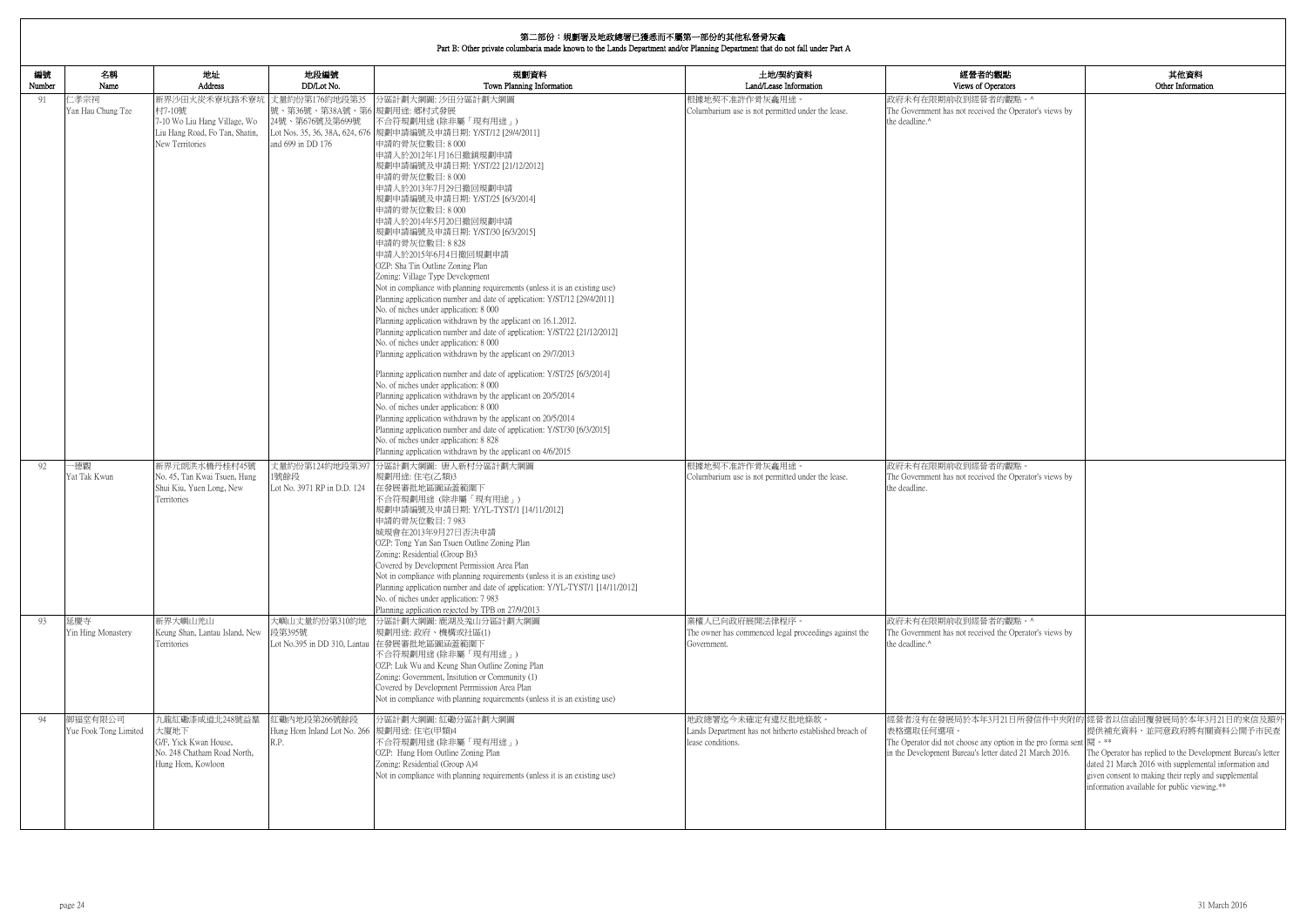| 編號<br>Number | 名稱<br>Name                       | 地址<br>Address                                                                                                | 地段編號<br>DD/Lot No.                                                                    | 規劃資料<br>Town Planning Information                                                                                                                                                                                                                                                                                                                                                                                                                                                                                                                                                                                                                                                                                                                                                                                                                                                                                                                                                                                                                                                                                                                                                                                                                                                                                                                                                                                       | 土地/契約資料<br>Land/Lease Information                                                                 | 經營者的觀點<br>Views of Operators                                                                                                                                      |
|--------------|----------------------------------|--------------------------------------------------------------------------------------------------------------|---------------------------------------------------------------------------------------|-------------------------------------------------------------------------------------------------------------------------------------------------------------------------------------------------------------------------------------------------------------------------------------------------------------------------------------------------------------------------------------------------------------------------------------------------------------------------------------------------------------------------------------------------------------------------------------------------------------------------------------------------------------------------------------------------------------------------------------------------------------------------------------------------------------------------------------------------------------------------------------------------------------------------------------------------------------------------------------------------------------------------------------------------------------------------------------------------------------------------------------------------------------------------------------------------------------------------------------------------------------------------------------------------------------------------------------------------------------------------------------------------------------------------|---------------------------------------------------------------------------------------------------|-------------------------------------------------------------------------------------------------------------------------------------------------------------------|
| 91           | 仁孝宗祠<br>Yan Hau Chung Tze        | 新界沙田火炭禾寮坑路禾寮坑<br>村7-10號<br>7-10 Wo Liu Hang Village, Wo<br>Liu Hang Road, Fo Tan, Shatin,<br>New Territories | 丈量約份第176約地段第35<br>號、第36號、第38A號、第6 規劃用途: 鄉村式發展<br>24號、第676號及第699號<br>and 699 in DD 176 | 分區計劃大綱圖: 沙田分區計劃大綱圖<br>不合符規劃用途 (除非屬「現有用途」)<br>Lot Nos. 35, 36, 38A, 624, 676  規劃申請編號及申請日期: Y/ST/12 [29/4/2011]<br>申請的骨灰位數目: 8 000<br>申請人於2012年1月16日撤銷規劃申請<br>規劃申請編號及申請日期: Y/ST/22 [21/12/2012]<br>申請的骨灰位數目:8000<br>申請人於2013年7月29日撤回規劃申請<br>規劃申請編號及申請日期: Y/ST/25 [6/3/2014]<br>申請的骨灰位數目:8000<br>申請人於2014年5月20日撤回規劃申請<br>規劃申請編號及申請日期: Y/ST/30 [6/3/2015]<br>申請的骨灰位數目: 8 828<br>申請人於2015年6月4日撤回規劃申請<br>OZP: Sha Tin Outline Zoning Plan<br>Zoning: Village Type Development<br>Not in compliance with planning requirements (unless it is an existing use)<br>Planning application number and date of application: Y/ST/12 [29/4/2011]<br>No. of niches under application: 8 000<br>Planning application withdrawn by the applicant on 16.1.2012.<br>Planning application number and date of application: Y/ST/22 [21/12/2012]<br>No. of niches under application: 8 000<br>Planning application withdrawn by the applicant on 29/7/2013<br>Planning application number and date of application: Y/ST/25 [6/3/2014]<br>No. of niches under application: 8 000<br>Planning application withdrawn by the applicant on 20/5/2014<br>No. of niches under application: 8 000<br>Planning application withdrawn by the applicant on 20/5/2014<br>Planning application number and date of application: Y/ST/30 [6/3/2015]<br>No. of niches under application: 8 828<br>Planning application withdrawn by the applicant on 4/6/2015 | 根據地契不准許作骨灰龕用途。<br>Columbarium use is not permitted under the lease.                               | 政府未有在限期前收到經營者的觀點。^<br>The Government has not received the Operator's views by<br>the deadline.^                                                                   |
| 92           | -德觀<br>Yat Tak Kwun              | 新界元朗洪水橋丹桂村45號<br>No. 45, Tan Kwai Tsuen, Hung<br>Shui Kiu, Yuen Long, New<br>Territories                     | 丈量約份第124約地段第397<br>1號餘段<br>Lot No. 3971 RP in D.D. 124                                | 分區計劃大綱圖: 唐人新村分區計劃大綱圖<br>規劃用途: 住宅(乙類)3<br>在發展審批地區圖涵蓋範圍下<br>不合符規劃用途 (除非屬「現有用途」)<br>規劃申請編號及申請日期: Y/YL-TYST/1 [14/11/2012]<br>申請的骨灰位數目: 7 983<br>城規會在2013年9月27日否決申請<br>OZP: Tong Yan San Tsuen Outline Zoning Plan<br>Zoning: Residential (Group B)3<br>Covered by Development Permission Area Plan<br>Not in compliance with planning requirements (unless it is an existing use)<br>Planning application number and date of application: Y/YL-TYST/1 [14/11/2012]<br>No. of niches under application: 7 983<br>Planning application rejected by TPB on 27/9/2013                                                                                                                                                                                                                                                                                                                                                                                                                                                                                                                                                                                                                                                                                                                                                                                                                                                          | 根據地契不准許作骨灰龕用途。<br>Columbarium use is not permitted under the lease.                               | 政府未有在限期前收到經營者的觀點。<br>The Government has not received the Operator's views by<br>the deadline.                                                                     |
| 93           | 延慶寺<br>Yin Hing Monastery        | 新界大嶼山羌山<br>Keung Shan, Lantau Island, New<br>Territories                                                     | 大嶼山丈量約份第310約地<br>段第395號                                                               | 分區計劃大綱圖: 鹿湖及羗山分區計劃大綱圖<br>規劃用途: 政府、機構或社區(1)<br>Lot No.395 in DD 310, Lantau 在發展審批地區圖涵蓋範圍下<br>不合符規劃用途 (除非屬「現有用途」)<br>OZP: Luk Wu and Keung Shan Outline Zoning Plan<br>Zoning: Government, Insitution or Community (1)<br>Covered by Development Perrmission Area Plan<br>Not in compliance with planning requirements (unless it is an existing use)                                                                                                                                                                                                                                                                                                                                                                                                                                                                                                                                                                                                                                                                                                                                                                                                                                                                                                                                                                                                                                                                     | 業權人已向政府展開法律程序。<br>The owner has commenced legal proceedings against the<br>Government.            | 政府未有在限期前收到經營者的觀點。^<br>The Government has not received the Operator's views by<br>the deadline.^                                                                   |
| 94           | 御福堂有限公司<br>Yue Fook Tong Limited | 九龍紅磡漆咸道北248號益羣<br>大廈地下<br>G/F, Yick Kwan House,<br>No. 248 Chatham Road North,<br>Hung Hom, Kowloon          | 江磡内地段第266號餘段<br>Hung Hom Inland Lot No. 266 規劃用途: 住宅(甲類)4<br>R.P.                     | 分區計劃大綱圖:紅磡分區計劃大綱圖<br>不合符規劃用途 (除非屬「現有用途」)<br>OZP: Hung Hom Outline Zoning Plan<br>Zoning: Residential (Group A)4<br>Not in compliance with planning requirements (unless it is an existing use)                                                                                                                                                                                                                                                                                                                                                                                                                                                                                                                                                                                                                                                                                                                                                                                                                                                                                                                                                                                                                                                                                                                                                                                                                          | 地政總署迄今未確定有違反批地條款。<br>Lands Department has not hitherto established breach of<br>lease conditions. | 經營者沒有在發展局於本年3月21日所發信件中夾附的<br>表格選取任何選項。<br>The Operator did not choose any option in the pro forma sent<br>in the Development Bureau's letter dated 21 March 2016. |

| 的觀點<br>)perators                     | 其他資料<br>Other Information                                                                                                         |
|--------------------------------------|-----------------------------------------------------------------------------------------------------------------------------------|
| 者的觀點。^<br>ed the Operator's views by |                                                                                                                                   |
|                                      |                                                                                                                                   |
|                                      |                                                                                                                                   |
|                                      |                                                                                                                                   |
|                                      |                                                                                                                                   |
|                                      |                                                                                                                                   |
|                                      |                                                                                                                                   |
|                                      |                                                                                                                                   |
| 者的觀點。<br>ed the Operator's views by  |                                                                                                                                   |
|                                      |                                                                                                                                   |
|                                      |                                                                                                                                   |
| 者的觀點。^                               |                                                                                                                                   |
| ed the Operator's views by           |                                                                                                                                   |
|                                      |                                                                                                                                   |
| y option in the pro forma sent  閱。** | 3月21日所發信件中夾附的 經營者以信函回覆發展局於本年3月21日的來信及額外<br>提供補充資料,並同意政府將有關資料公開予市民查<br>The Operator has replied to the Development Bureau's letter |
|                                      | given consent to making their reply and supplemental<br>information available for public viewing.**                               |
| tter dated 21 March 2016.            | dated 21 March 2016 with supplemental information and                                                                             |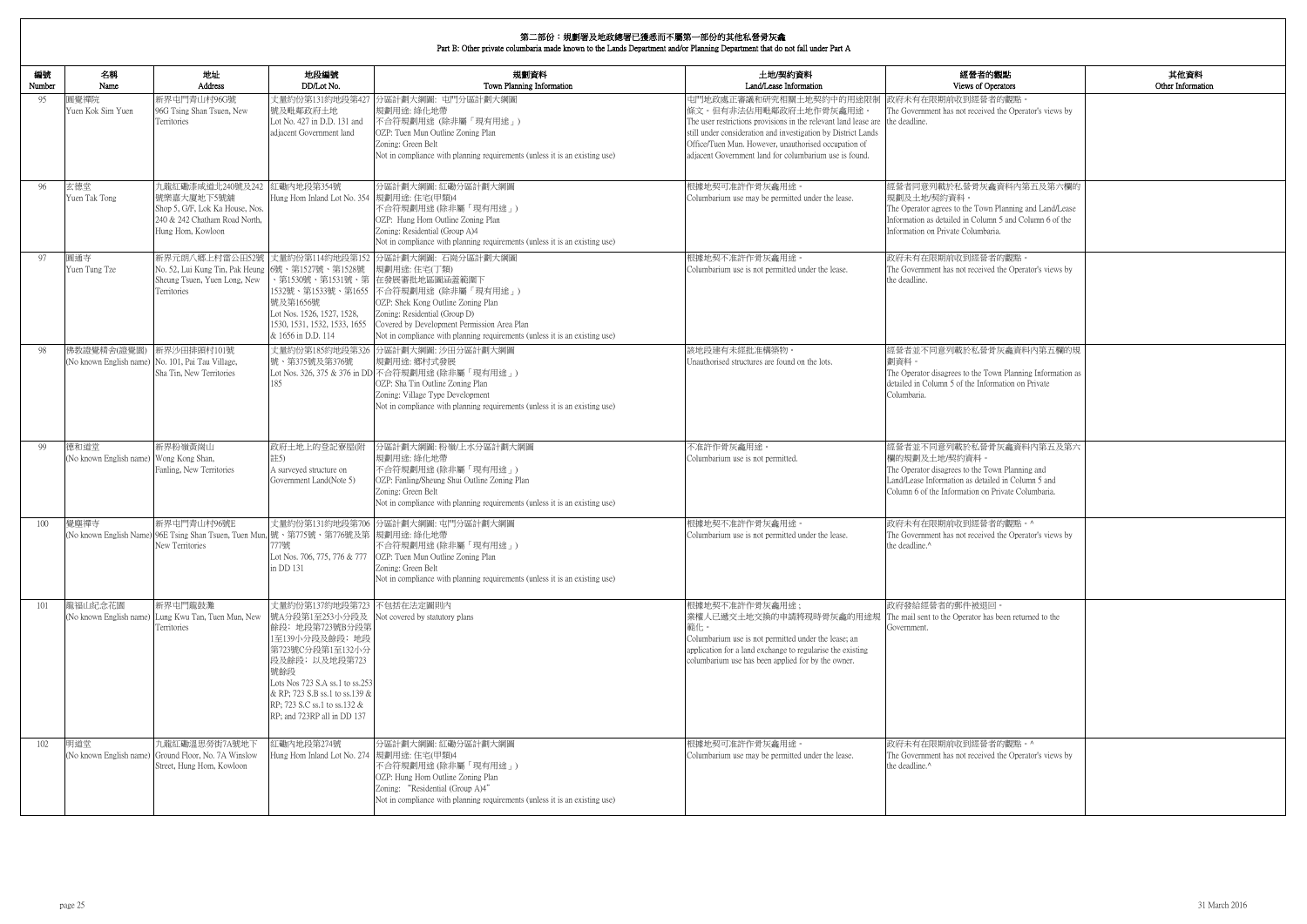| 内觀點<br>)perators                                                | 其他資料<br>Other Information |
|-----------------------------------------------------------------|---------------------------|
| 者的觀點。<br>ed the Operator's views by                             |                           |
| 龕資料內第五及第六欄的                                                     |                           |
| n Planning and Land/Lease<br>nn 5 and Column 6 of the<br>aria.  |                           |
| 者的觀點。<br>ed the Operator's views by                             |                           |
| 骨灰龕資料內第五欄的規                                                     |                           |
| own Planning Information as<br>ormation on Private              |                           |
| 骨灰龕資料内第五及第六                                                     |                           |
| own Planning and<br>iled in Column 5 and<br>Private Columbaria. |                           |
| 者的觀點。^<br>ed the Operator's views by                            |                           |
| 回。<br>as been returned to the                                   |                           |
| 者的觀點。^<br>ed the Operator's views by                            |                           |

| 編號<br>Number | 名稱<br>Name                                                       | 地址<br><b>Address</b>                                                                                                    | 地段編號<br>DD/Lot No.                                                                                                                                                                                                                              | 規劃資料<br>Town Planning Information                                                                                                                                                                                                                                                                                  | 土地/契約資料<br>Land/Lease Information                                                                                                                                                                                                                                                                                    | 經營者的觀點<br>Views of Operators                                                                                                                                                                            |
|--------------|------------------------------------------------------------------|-------------------------------------------------------------------------------------------------------------------------|-------------------------------------------------------------------------------------------------------------------------------------------------------------------------------------------------------------------------------------------------|--------------------------------------------------------------------------------------------------------------------------------------------------------------------------------------------------------------------------------------------------------------------------------------------------------------------|----------------------------------------------------------------------------------------------------------------------------------------------------------------------------------------------------------------------------------------------------------------------------------------------------------------------|---------------------------------------------------------------------------------------------------------------------------------------------------------------------------------------------------------|
| 95           | 圓覺禪院<br>Yuen Kok Sim Yuen                                        | 新界屯門青山村96G號<br>96G Tsing Shan Tsuen, New<br>Territories                                                                 | 號及毗鄰政府土地<br>Lot No. 427 in D.D. 131 and<br>adiacent Government land                                                                                                                                                                             | 丈量約份第131約地段第427 分區計劃大綱圖: 屯門分區計劃大綱圖<br>規劃用途: 綠化地帶<br>不合符規劃用途 (除非屬「現有用途」)<br>OZP: Tuen Mun Outline Zoning Plan<br>Zoning: Green Belt<br>Not in compliance with planning requirements (unless it is an existing use)                                                                                                  | 屯門地政處正審議和研究相關土地契約中的用途限制<br>條文。但有非法佔用毗鄰政府土地作骨灰龕用途。<br>The user restrictions provisions in the relevant land lease are the deadline.<br>still under consideration and investigation by District Lands<br>Office/Tuen Mun. However, unauthorised occupation of<br>adiacent Government land for columbarium use is found | 政府未有在限期前收到經營者的觀點<br>The Government has not received the Operator's views by                                                                                                                             |
| 96           | 玄德堂<br>Yuen Tak Tong                                             | 九龍紅磡漆咸道北240號及242<br>號樂嘉大廈地下5號舖<br>Shop 5, G/F, Lok Ka House, Nos.<br>240 & 242 Chatham Road North,<br>Hung Hom, Kowloon | 紅磡內地段第354號<br>Hung Hom Inland Lot No. 354  規劃用途: 住宅(甲類)4                                                                                                                                                                                        | 分區計劃大綱圖:紅磡分區計劃大綱圖<br>不合符規劃用途(除非屬「現有用途」)<br>OZP: Hung Hom Outline Zoning Plan<br>Zoning: Residential (Group A)4<br>Not in compliance with planning requirements (unless it is an existing use)                                                                                                                      | 根據地契可准許作骨灰龕用途。<br>Columbarium use may be permitted under the lease.                                                                                                                                                                                                                                                  | 經營者同意列載於私營骨灰龕資料內第五及第六欄的<br>規劃及十地/契約資料。<br>The Operator agrees to the Town Planning and Land/Lease<br>Information as detailed in Column 5 and Column 6 of the<br>Information on Private Columbaria.      |
| 97           | 圓通寺<br>Yuen Tung Tze                                             | 新界元朗八鄉上村雷公田52號<br>No. 52, Lui Kung Tin, Pak Heung 6號、第1527號、第1528號<br>Sheung Tsuen, Yuen Long, New<br>Territories       | 、第1530號、第1531號、第<br>號及第1656號<br>Lot Nos. 1526, 1527, 1528.<br>1530, 1531, 1532, 1533, 1655<br>& 1656 in D.D. 114                                                                                                                                | 丈量約份第114約地段第152 分區計劃大綱圖: 石崗分區計劃大綱圖<br>規劃用途: 住宅(丁類)<br>在發展審批地區圖涵蓋範圍下<br>1532號、第1533號、第1655 不合符規劃用途 (除非屬「現有用途」)<br>OZP: Shek Kong Outline Zoning Plan<br>Zoning: Residential (Group D)<br>Covered by Development Permission Area Plan<br>Not in compliance with planning requirements (unless it is an existing use) | 根據地契不准許作骨灰龕用途<br>Columbarium use is not permitted under the lease.                                                                                                                                                                                                                                                   | 政府未有在限期前收到經營者的觀點。<br>The Government has not received the Operator's views by<br>the deadline.                                                                                                           |
| 98           | 佛教證覺精舍(證覺園)<br>(No known English name) No. 101, Pai Tau Village, | 新界沙田排頭村101號<br>Sha Tin, New Territories                                                                                 | 號、第375號及第376號<br>185                                                                                                                                                                                                                            | 丈量約份第185約地段第326 分區計劃大綱圖: 沙田分區計劃大綱圖<br>規劃用途: 鄉村式發展<br>Lot Nos. 326, 375 & 376 in DD 不合符規劃用途 (除非屬「現有用途」)<br>OZP: Sha Tin Outline Zoning Plan<br>Zoning: Village Type Development<br>Not in compliance with planning requirements (unless it is an existing use)                                                      | 該地段建有未經批准構築物<br>Unauthorised structures are found on the lots.                                                                                                                                                                                                                                                       | 經營者並不同意列載於私營骨灰龕資料內第五欄的規<br>劃資料。<br>The Operator disagrees to the Town Planning Information as<br>detailed in Column 5 of the Information on Private<br>Columbaria.                                      |
| 99           | 德和道堂<br>(No known English name) Wong Kong Shan,                  | 新界粉嶺黃崗山<br>Fanling, New Territories                                                                                     | 政府土地上的登記寮屋(附<br>註5)<br>A surveyed structure on<br>Government Land(Note 5)                                                                                                                                                                       | 分區計劃大綱圖:粉嶺/上水分區計劃大綱圖<br>規劃用途: 綠化地帶<br>不合符規劃用途 (除非屬「現有用途」)<br>OZP: Fanling/Sheung Shui Outline Zoning Plan<br>Zoning: Green Belt<br>Not in compliance with planning requirements (unless it is an existing use)                                                                                                     | 不准許作骨灰龕用途。<br>Columbarium use is not permitted.                                                                                                                                                                                                                                                                      | 經營者並不同意列載於私營骨灰龕資料內第五及第六<br>欄的規劃及土地/契約資料。<br>The Operator disagrees to the Town Planning and<br>Land/Lease Information as detailed in Column 5 and<br>Column 6 of the Information on Private Columbaria. |
| 100          | 覺塵禪寺                                                             | 新界中門青山村96號E<br>(No known English Name) 96E Tsing Shan Tsuen, Tuen Mun,  號、第775號、第776號及第  規劃用途: 綠化地帶<br>New Territories  | 777號<br>in DD 131                                                                                                                                                                                                                               | 丈量約份第131約地段第706 分區計劃大綱圖: 屯門分區計劃大綱圖<br>不合符規劃用途(除非屬「現有用途」)<br>Lot Nos. 706, 775, 776 & 777 OZP: Tuen Mun Outline Zoning Plan<br>Zoning: Green Belt<br>Not in compliance with planning requirements (unless it is an existing use)                                                                                    | 根據地契不准許作骨灰龕用途。<br>Columbarium use is not permitted under the lease.                                                                                                                                                                                                                                                  | 政府未有在限期前收到經營者的觀點。^<br>The Government has not received the Operator's views by<br>the deadline.^                                                                                                         |
| 101          | 龍福山紀念花園<br>(No known English name)                               | 新界屯門龍鼓灘<br>Lung Kwu Tan, Tuen Mun, New<br>Territories                                                                   | 丈量約份第137約地段第723 不包括在法定圖則內<br>餘段; 地段第723號B分段第<br>1至139小分段及餘段; 地段<br>第723號C分段第1至132小分<br>段及餘段;以及地段第723<br>號餘段<br>Lots Nos 723 S.A ss.1 to ss.253<br>& RP; 723 S.B ss.1 to ss.139 &<br>RP; 723 S.C ss.1 to ss.132 &<br>RP; and 723RP all in DD 137 | 號A分段第1至253小分段及 Not covered by statutory plans                                                                                                                                                                                                                                                                      | 根據地契不准許作骨灰龕用途;<br>業權人已遞交土地交換的申請將現時骨灰龕的用途規<br>範化。<br>Columbarium use is not permitted under the lease; an<br>application for a land exchange to regularise the existing<br>columbarium use has been applied for by the owner.                                                                                         | 政府發給經營者的郵件被退回。<br>The mail sent to the Operator has been returned to the<br>Government.                                                                                                                 |
| 102          | 明道堂                                                              | 九龍紅磡溫思勞街7A號地下<br>(No known English name) Ground Floor, No. 7A Winslow<br>Street, Hung Hom, Kowloon                      | 工磡内地段第274號<br>Hung Hom Inland Lot No. 274  規劃用途: 住宅(甲類)4                                                                                                                                                                                        | 分區計劃大綱圖:紅磡分區計劃大綱圖<br>不合符規劃用途 (除非屬「現有用途」)<br>OZP: Hung Hom Outline Zoning Plan<br>Zoning: "Residential (Group A)4"<br>Not in compliance with planning requirements (unless it is an existing use)                                                                                                                   | 根據地契可准許作骨灰龕用途。<br>Columbarium use may be permitted under the lease.                                                                                                                                                                                                                                                  | 政府未有在限期前收到經營者的觀點。^<br>The Government has not received the Operator's views by<br>the deadline.^                                                                                                         |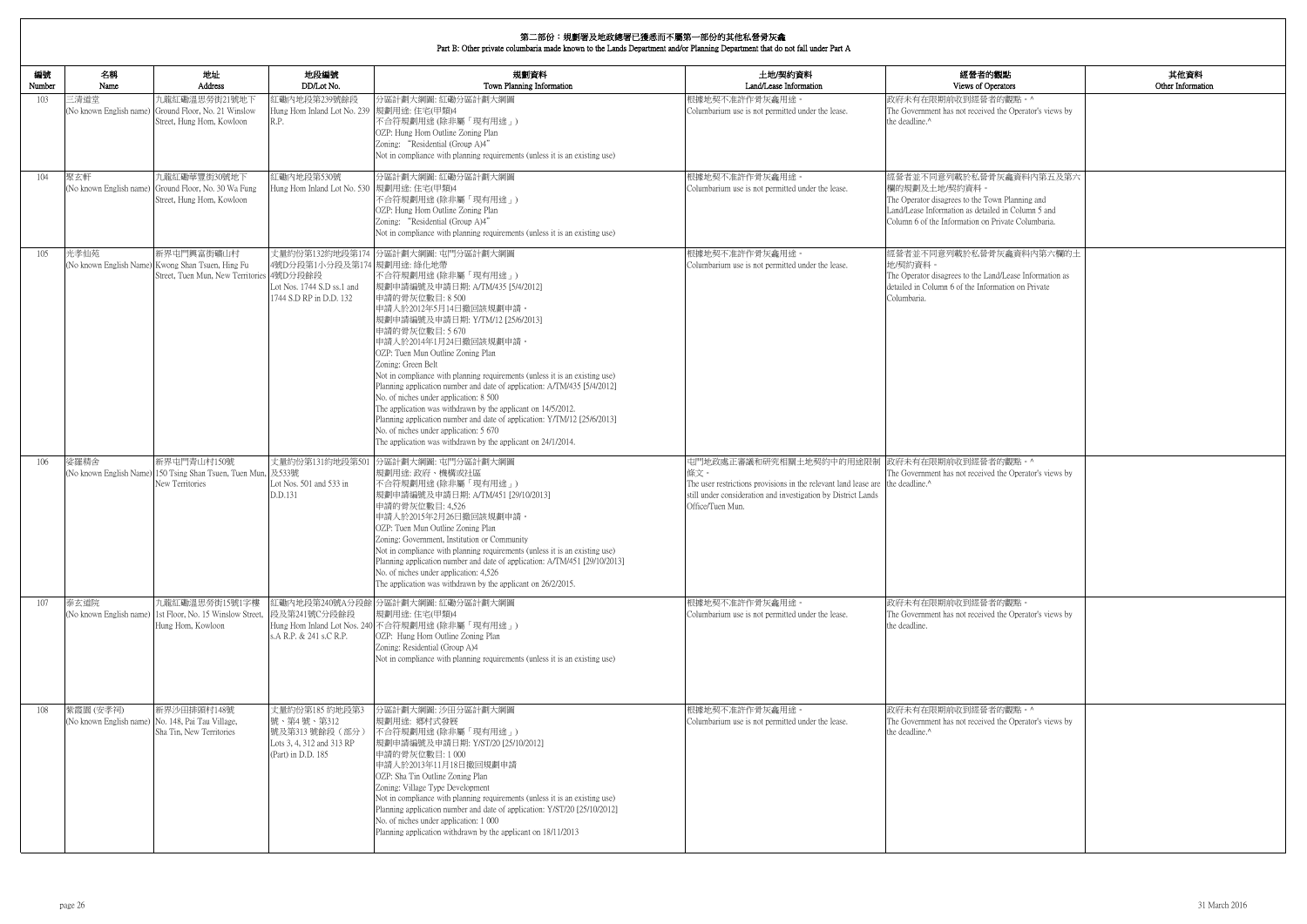| 的觀點<br>perators                                                    | 其他資料<br>Other Information |
|--------------------------------------------------------------------|---------------------------|
| 者的觀點。^<br>ed the Operator's views by                               |                           |
| 骨灰龕資料内第五及第六                                                        |                           |
| 'own Planning and<br>iled in Column 5 and<br>1 Private Columbaria. |                           |
| 骨灰龕資料内第六欄的土<br>and/Lease Information as<br>ormation on Private     |                           |
|                                                                    |                           |
|                                                                    |                           |
| 者的觀點。^                                                             |                           |
| ed the Operator's views by                                         |                           |
|                                                                    |                           |
| 者的觀點。<br>ed the Operator's views by                                |                           |
|                                                                    |                           |
| 者的觀點。^<br>ed the Operator's views by                               |                           |
|                                                                    |                           |
|                                                                    |                           |

| 編號<br>Number | 名稱<br>Name                                                     | 地址<br>Address                                                                                                | 地段編號<br>DD/Lot No.                                                                                     | 規劃資料<br>Town Planning Information                                                                                                                                                                                                                                                                                                                                                                                                                                                                                                                                                                                                                                                                                                  | 土地/契約資料<br>Land/Lease Information                                                                                                                                                                                                    | 經營者的觀點<br>Views of Operators                                                                                                                                                                           |
|--------------|----------------------------------------------------------------|--------------------------------------------------------------------------------------------------------------|--------------------------------------------------------------------------------------------------------|------------------------------------------------------------------------------------------------------------------------------------------------------------------------------------------------------------------------------------------------------------------------------------------------------------------------------------------------------------------------------------------------------------------------------------------------------------------------------------------------------------------------------------------------------------------------------------------------------------------------------------------------------------------------------------------------------------------------------------|--------------------------------------------------------------------------------------------------------------------------------------------------------------------------------------------------------------------------------------|--------------------------------------------------------------------------------------------------------------------------------------------------------------------------------------------------------|
| 103          | 三清道堂                                                           | 九龍紅磡溫思勞街21號地下<br>(No known English name) Ground Floor, No. 21 Winslow<br>Street, Hung Hom, Kowloon           | 紅磡內地段第239號餘段<br>Hung Hom Inland Lot No. 239<br>R.P.                                                    | 分區計劃大綱圖:紅磡分區計劃大綱圖<br>規劃用途: 住宅(甲類)4<br>不合符規劃用途 (除非屬「現有用途」)<br>OZP: Hung Hom Outline Zoning Plan<br>Zoning: "Residential (Group A)4"<br>Not in compliance with planning requirements (unless it is an existing use)                                                                                                                                                                                                                                                                                                                                                                                                                                                                                                                  | 根據地契不准許作骨灰龕用途<br>Columbarium use is not permitted under the lease.                                                                                                                                                                   | 政府未有在限期前收到經營者的觀點。^<br>The Government has not received the Operator's views by<br>the deadline. <sup>^</sup>                                                                                            |
| 104          | 聚玄軒<br>(No known English name)                                 | 九龍紅磡華豐街30號地下<br>Ground Floor, No. 30 Wa Fung<br>Street, Hung Hom, Kowloon                                    | 紅磡内地段第530號<br>Hung Hom Inland Lot No. 530 規劃用途: 住宅(甲類)4                                                | 分區計劃大綱圖:紅磡分區計劃大綱圖<br>不合符規劃用途 (除非屬「現有用途」)<br>OZP: Hung Hom Outline Zoning Plan<br>Zoning: "Residential (Group A)4"<br>Not in compliance with planning requirements (unless it is an existing use)                                                                                                                                                                                                                                                                                                                                                                                                                                                                                                                                   | 根據地契不准許作骨灰龕用途。<br>Columbarium use is not permitted under the lease.                                                                                                                                                                  | 經營者並不同意列載於私營骨灰龕資料內第五及第六<br>欄的規劃及土地/契約資料<br>The Operator disagrees to the Town Planning and<br>Land/Lease Information as detailed in Column 5 and<br>Column 6 of the Information on Private Columbaria. |
| 105          | 光孝仙苑                                                           | 新界屯門興富街礦山村<br>(No known English Name) Kwong Shan Tsuen, Hing Fu<br>Street, Tuen Mun, New Territories 4號D分段餘段 | 丈量約份第132約地段第174<br>4號D分段第1小分段及第174 規劃用途: 綠化地帶<br>Lot Nos. 1744 S.D ss.1 and<br>1744 S.D RP in D.D. 132 | 分區計劃大綱圖: 屯門分區計劃大綱圖<br>不合符規劃用途(除非屬「現有用途」)<br> 規劃申請編號及申請日期: A/TM/435 [5/4/2012]<br>申請的骨灰位數目: 8 500<br>申請人於2012年5月14日撤回該規劃申請。<br> 規劃申請編號及申請日期: Y/TM/12 [25/6/2013]<br>申請的骨灰位數目: 5 670<br>申請人於2014年1月24日撤回該規劃申請。<br>OZP: Tuen Mun Outline Zoning Plan<br>Zoning: Green Belt<br>Not in compliance with planning requirements (unless it is an existing use)<br>Planning application number and date of application: A/TM/435 [5/4/2012]<br>No. of niches under application: 8 500<br>The application was withdrawn by the applicant on 14/5/2012.<br>Planning application number and date of application: Y/TM/12 [25/6/2013]<br>No. of niches under application: 5 670<br>The application was withdrawn by the applicant on 24/1/2014. | 根據地契不准許作骨灰龕用途。<br>Columbarium use is not permitted under the lease.                                                                                                                                                                  | 經營者並不同意列載於私營骨灰龕資料內第六欄的土<br>地/契約資料。<br>The Operator disagrees to the Land/Lease Information as<br>detailed in Column 6 of the Information on Private<br>Columbaria.                                     |
| 106          | 娑羅精舍<br>(No known English Name)                                | 新界屯門青山村150號<br>150 Tsing Shan Tsuen, Tuen Mun,<br>New Territories                                            | 及533號<br>Lot Nos. 501 and 533 in<br>D.D.131                                                            | 丈量約份第131約地段第501 分區計劃大綱圖: 屯門分區計劃大綱圖<br>規劃用途: 政府、機構或社區<br>不合符規劃用途 (除非屬「現有用途」)<br>規劃申請編號及申請日期: A/TM/451 [29/10/2013]<br>申請的骨灰位數目: 4,526<br>申請人於2015年2月26日撤回該規劃申請。<br>OZP: Tuen Mun Outline Zoning Plan<br>Zoning: Government, Institution or Community<br>Not in compliance with planning requirements (unless it is an existing use)<br>Planning application number and date of application: A/TM/451 [29/10/2013]<br>No. of niches under application: 4,526<br>The application was withdrawn by the applicant on 26/2/2015.                                                                                                                                                                                                         | 屯門地政處正審議和研究相關土地契約中的用途限制 政府未有在限期前收到經營者的觀點。^<br>條文。<br>The user restrictions provisions in the relevant land lease are the deadline. <sup>^</sup><br>still under consideration and investigation by District Lands<br>Office/Tuen Mun. | The Government has not received the Operator's views by                                                                                                                                                |
| 107          | 泰玄道院<br>(No known English name)                                | 九龍紅磡溫思勞街15號1字樓<br>1st Floor, No. 15 Winslow Street,<br>Hung Hom, Kowloon                                     | 段及第241號C分段餘段<br>s.A R.P. & 241 s.C R.P.                                                                | 紅磡內地段第240號A分段餘 分區計劃大綱圖: 紅磡分區計劃大綱圖<br>規劃用途:住宅(甲類)4<br>Hung Hom Inland Lot Nos. 240 不合符規劃用途 (除非屬「現有用途」)<br>OZP: Hung Hom Outline Zoning Plan<br>Zoning: Residential (Group A)4<br>Not in compliance with planning requirements (unless it is an existing use)                                                                                                                                                                                                                                                                                                                                                                                                                                                                        | 根據地契不准許作骨灰龕用途。<br>Columbarium use is not permitted under the lease.                                                                                                                                                                  | 政府未有在限期前收到經營者的觀點。<br>The Government has not received the Operator's views by<br>the deadline.                                                                                                          |
| 108          | 紫霞園 (安孝祠)<br>(No known English name) No. 148, Pai Tau Village, | 新界沙田排頭村148號<br>Sha Tin, New Territories                                                                      | 丈量約份第185 約地段第3<br>號、第4號、第312<br> 號及第313號餘段(部分)<br>Lots 3, 4, 312 and 313 RP<br>(Part) in D.D. 185      | 分區計劃大綱圖: 沙田分區計劃大綱圖<br>規劃用途: 鄉村式發展<br>不合符規劃用途 (除非屬「現有用途」)<br>規劃申請編號及申請日期: Y/ST/20 [25/10/2012]<br>申請的骨灰位數目:1000<br>申請人於2013年11月18日撤回規劃申請<br>OZP: Sha Tin Outline Zoning Plan<br>Zoning: Village Type Development<br>Not in compliance with planning requirements (unless it is an existing use)<br>Planning application number and date of application: Y/ST/20 [25/10/2012]<br>No. of niches under application: 1 000<br>Planning application withdrawn by the applicant on 18/11/2013                                                                                                                                                                                                                                             | 根據地契不准許作骨灰龕用途。<br>Columbarium use is not permitted under the lease.                                                                                                                                                                  | 政府未有在限期前收到經營者的觀點。^<br>The Government has not received the Operator's views by<br>the deadline. <sup>^</sup>                                                                                            |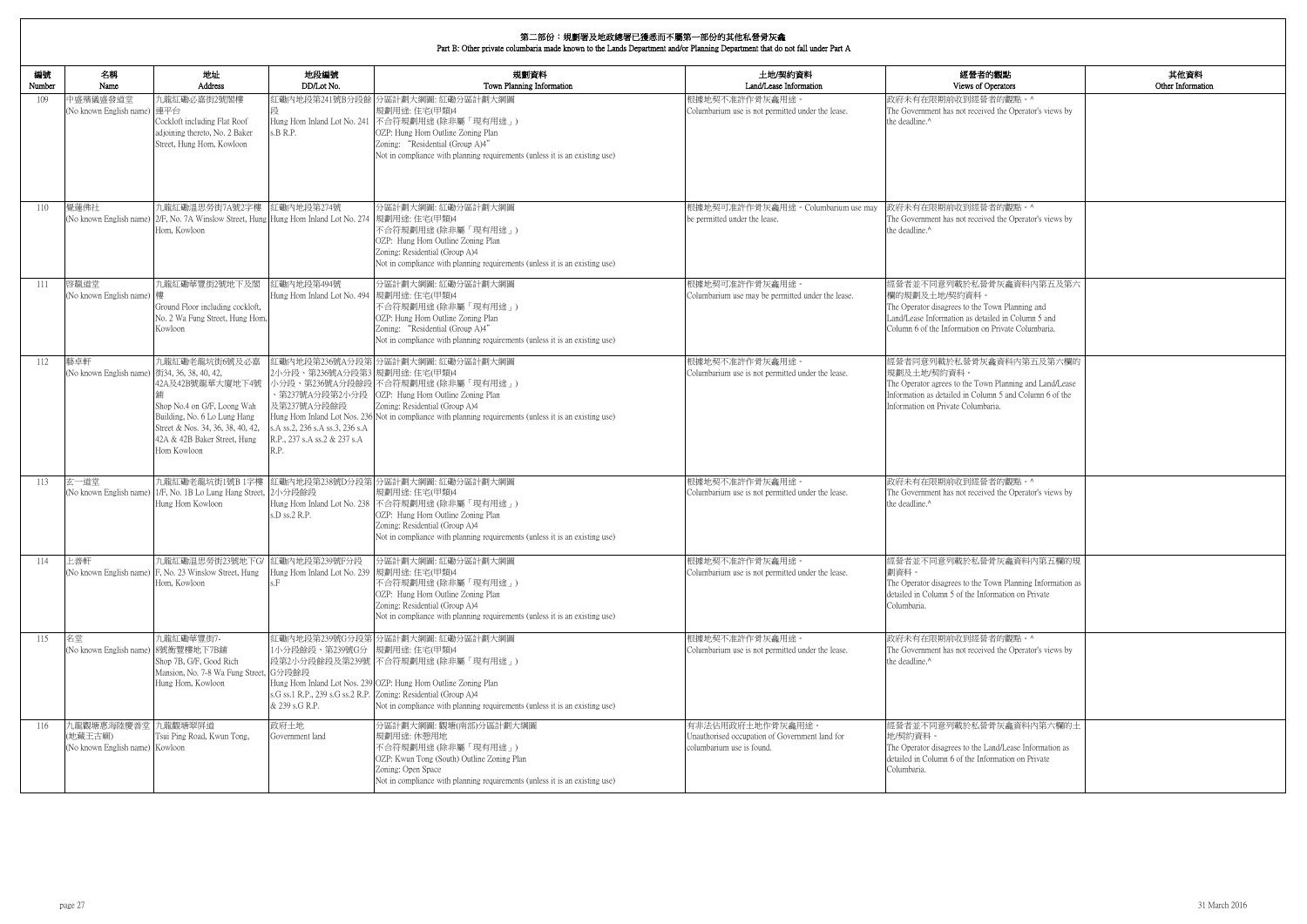| 的觀點                                                   | 其他資料              |
|-------------------------------------------------------|-------------------|
| )perators                                             | Other Information |
| 者的觀點。^                                                |                   |
| ed the Operator's views by                            |                   |
|                                                       |                   |
|                                                       |                   |
|                                                       |                   |
|                                                       |                   |
|                                                       |                   |
| 者的觀點。^                                                |                   |
| ed the Operator's views by                            |                   |
|                                                       |                   |
|                                                       |                   |
|                                                       |                   |
| 骨灰龕資料内第五及第六                                           |                   |
| 'own Planning and                                     |                   |
| iled in Column 5 and<br>1 Private Columbaria.         |                   |
|                                                       |                   |
| 龕資料內第五及第六欄的                                           |                   |
|                                                       |                   |
| n Planning and Land/Lease<br>mn 5 and Column 6 of the |                   |
| aria.                                                 |                   |
|                                                       |                   |
|                                                       |                   |
|                                                       |                   |
|                                                       |                   |
| 者的觀點。^<br>ed the Operator's views by                  |                   |
|                                                       |                   |
|                                                       |                   |
|                                                       |                   |
|                                                       |                   |
| 骨灰龕資料內第五欄的規                                           |                   |
| own Planning Information as                           |                   |
| ormation on Private                                   |                   |
|                                                       |                   |
| 者的觀點。^                                                |                   |
| ed the Operator's views by                            |                   |
|                                                       |                   |
|                                                       |                   |
|                                                       |                   |
|                                                       |                   |
| 骨灰龕資料内第六欄的土                                           |                   |
| and/Lease Information as                              |                   |
| ormation on Private                                   |                   |
|                                                       |                   |
|                                                       |                   |

| 編號<br>Number | 名稱<br>Name                                                      | 地址<br>Address                                                                                                                                                                        | 地段編號<br>DD/Lot No.                                                                                                     | 規劃資料<br>Town Planning Information                                                                                                                                                                                                                                                           | 土地/契約資料<br>Land/Lease Information                                                               | 經營者的觀點<br>Views of Operators                                                                                                                                                                            |
|--------------|-----------------------------------------------------------------|--------------------------------------------------------------------------------------------------------------------------------------------------------------------------------------|------------------------------------------------------------------------------------------------------------------------|---------------------------------------------------------------------------------------------------------------------------------------------------------------------------------------------------------------------------------------------------------------------------------------------|-------------------------------------------------------------------------------------------------|---------------------------------------------------------------------------------------------------------------------------------------------------------------------------------------------------------|
| 109          | 中盛殯儀盛發道堂<br>(No known English name) 連平台                         | 九龍紅磡必嘉街2號閣樓<br>Cockloft including Flat Roof<br>adjoining thereto, No. 2 Baker<br>Street, Hung Hom, Kowloon                                                                           | s.B R.P.                                                                                                               | 紅磡內地段第241號B分段餘 分區計劃大綱圖: 紅磡分區計劃大綱圖<br>規劃用途:住宅(甲類)4<br>Hung Hom Inland Lot No. 241 不合符規劃用途 (除非屬「現有用途」)<br>OZP: Hung Hom Outline Zoning Plan<br>Zoning: "Residential (Group A)4"<br>Not in compliance with planning requirements (unless it is an existing use)                                | 根據地契不准許作骨灰龕用途。<br>Columbarium use is not permitted under the lease.                             | 政府未有在限期前收到經營者的觀點。^<br>The Government has not received the Operator's views by<br>the deadline. <sup>^</sup>                                                                                             |
| 110          | 覺蓮佛社                                                            | 九龍紅磡溫思勞街7A號2字樓<br>(No known English name) 2/F, No. 7A Winslow Street, Hung Hung Hom Inland Lot No. 274 規劃用途: 住宅(甲類)4<br>Hom, Kowloon                                                 | 紅磡內地段第274號                                                                                                             | 分區計劃大綱圖: 紅磡分區計劃大綱圖<br>不合符規劃用途 (除非屬「現有用途」)<br>OZP: Hung Hom Outline Zoning Plan<br>Zoning: Residential (Group A)4<br>Not in compliance with planning requirements (unless it is an existing use)                                                                                             | 根據地契可准許作骨灰龕用途。Columbarium use may<br>be permitted under the lease.                              | 政府未有在限期前收到經營者的觀點。^<br>The Government has not received the Operator's views by<br>the deadline.^                                                                                                         |
| -111         | 啓靝道堂<br>(No known English name) 樓                               | 九龍紅磡華豐街2號地下及閣<br>Ground Floor including cockloft,<br>No. 2 Wa Fung Street, Hung Hom,<br>Kowloon                                                                                      | 紅磡內地段第494號<br>Hung Hom Inland Lot No. 494 規劃用途: 住宅(甲類)4                                                                | 分區計劃大綱圖:紅磡分區計劃大綱圖<br>不合符規劃用途(除非屬「現有用途」)<br>OZP: Hung Hom Outline Zoning Plan<br>Zoning: "Residential (Group A)4"<br>Not in compliance with planning requirements (unless it is an existing use)                                                                                             | 根據地契可准許作骨灰龕用途。<br>Columbarium use may be permitted under the lease.                             | 經營者並不同意列載於私營骨灰龕資料內第五及第六<br>欄的規劃及土地/契約資料。<br>The Operator disagrees to the Town Planning and<br>Land/Lease Information as detailed in Column 5 and<br>Column 6 of the Information on Private Columbaria. |
| 112          | 藝卓軒<br>(No known English name) 街34, 36, 38, 40, 42,             | 九龍紅磡老龍坑街6號及必嘉<br>42A及42B號龍華大廈地下4號<br>Shop No.4 on G/F, Loong Wah<br>Building, No. 6 Lo Lung Hang<br>Street & Nos. 34, 36, 38, 40, 42,<br>42A & 42B Baker Street, Hung<br>Hom Kowloon | 2小分段、第236號A分段第3 規劃用途:住宅(甲類)4<br>及第237號A分段餘段<br>s.A ss.2, 236 s.A ss.3, 236 s.A<br>R.P., 237 s.A ss.2 & 237 s.A<br>R.P. | 紅磡內地段第236號A分段第 分區計劃大綱圖: 紅磡分區計劃大綱圖<br>小分段、第236號A分段餘段 不合符規劃用途 (除非屬「現有用途」)<br>、第237號A分段第2小分段   OZP: Hung Hom Outline Zoning Plan<br>Zoning: Residential (Group A)4<br>Hung Hom Inland Lot Nos. 236 Not in compliance with planning requirements (unless it is an existing use)                 | 根據地契不准許作骨灰龕用途。<br>Columbarium use is not permitted under the lease.                             | 經營者同意列載於私營骨灰龕資料內第五及第六欄的<br>規劃及土地/契約資料。<br>The Operator agrees to the Town Planning and Land/Lease<br>Information as detailed in Column 5 and Column 6 of the<br>Information on Private Columbaria.      |
| 113          | 玄一道堂                                                            | 九龍紅磡老龍坑街1號B 1字樓<br>(No known English name) 1/F, No. 1B Lo Lung Hang Street, 2小分段餘段<br>Hung Hom Kowloon                                                                               | s.D ss.2 R.P.                                                                                                          | 紅磡內地段第238號D分段第 分區計劃大綱圖: 紅磡分區計劃大綱圖<br>規劃用途:住宅(甲類)4<br>Hung Hom Inland Lot No. 238 不合符規劃用途 (除非屬「現有用途」)<br>OZP: Hung Hom Outline Zoning Plan<br>Zoning: Residential (Group A)4<br>Not in compliance with planning requirements (unless it is an existing use)                                  | 根據地契不准許作骨灰龕用途。<br>Columbarium use is not permitted under the lease.                             | 政府未有在限期前收到經營者的觀點。^<br>The Government has not received the Operator's views by<br>the deadline.^                                                                                                         |
| 114          | 上善軒                                                             | 九龍紅磡温思勞街23號地下G/ 紅磡內地段第239號F分段<br>(No known English name) F, No. 23 Winslow Street, Hung<br>Hom, Kowloon                                                                              | Hung Hom Inland Lot No. 239 規劃用途: 住宅(甲類)4<br>.F                                                                        | 分區計劃大綱圖:紅磡分區計劃大綱圖<br>不合符規劃用途 (除非屬「現有用途」)<br>OZP: Hung Hom Outline Zoning Plan<br>Zoning: Residential (Group A)4<br>Not in compliance with planning requirements (unless it is an existing use)                                                                                              | 根據地契不准許作骨灰龕用途。<br>Columbarium use is not permitted under the lease.                             | 經營者並不同意列載於私營骨灰龕資料內第五欄的規<br>劃資料。<br>The Operator disagrees to the Town Planning Information as<br>detailed in Column 5 of the Information on Private<br>Columbaria.                                      |
| 115          | 名堂<br>(No known English name) 8號衡豐樓地下7B舖                        | 九龍紅磡華豐街7-<br>Shop 7B, G/F, Good Rich<br>Mansion, No. 7-8 Wa Fung Street, G分段餘段<br>Hung Hom, Kowloon                                                                                  | 1小分段餘段、第239號G分  規劃用途:住宅(甲類)4<br>& 239 s.G R.P.                                                                         | 紅磡內地段第239號G分段第 分區計劃大綱圖: 紅磡分區計劃大綱圖<br>段第2小分段餘段及第239號 不合符規劃用途 (除非屬「現有用途」)<br>Hung Hom Inland Lot Nos. 239 OZP: Hung Hom Outline Zoning Plan<br>s.G ss.1 R.P., 239 s.G ss.2 R.P. Zoning: Residential (Group A)4<br>Not in compliance with planning requirements (unless it is an existing use) | 根據地契不准許作骨灰龕用途。<br>Columbarium use is not permitted under the lease.                             | 政府未有在限期前收到經營者的觀點。^<br>The Government has not received the Operator's views by<br>the deadline. <sup>^</sup>                                                                                             |
| 116          | 九龍觀塘惠海陸慶善堂九龍觀塘翠屏道<br>(地藏王古廟)<br>(No known English name) Kowloon | Tsui Ping Road, Kwun Tong,                                                                                                                                                           | 政府土地<br>Government land                                                                                                | 分區計劃大綱圖:觀塘(南部)分區計劃大綱圖<br>規劃用途: 休憩用地<br>不合符規劃用途(除非屬「現有用途」)<br>OZP: Kwun Tong (South) Outline Zoning Plan<br>Zoning: Open Space<br>Not in compliance with planning requirements (unless it is an existing use)                                                                                | 有非法佔用政府土地作骨灰龕用途。<br>Unauthorised occupation of Government land for<br>columbarium use is found. | 經營者並不同意列載於私營骨灰龕資料內第六欄的土<br>地/契約資料。<br>The Operator disagrees to the Land/Lease Information as<br>detailed in Column 6 of the Information on Private<br>Columbaria.                                      |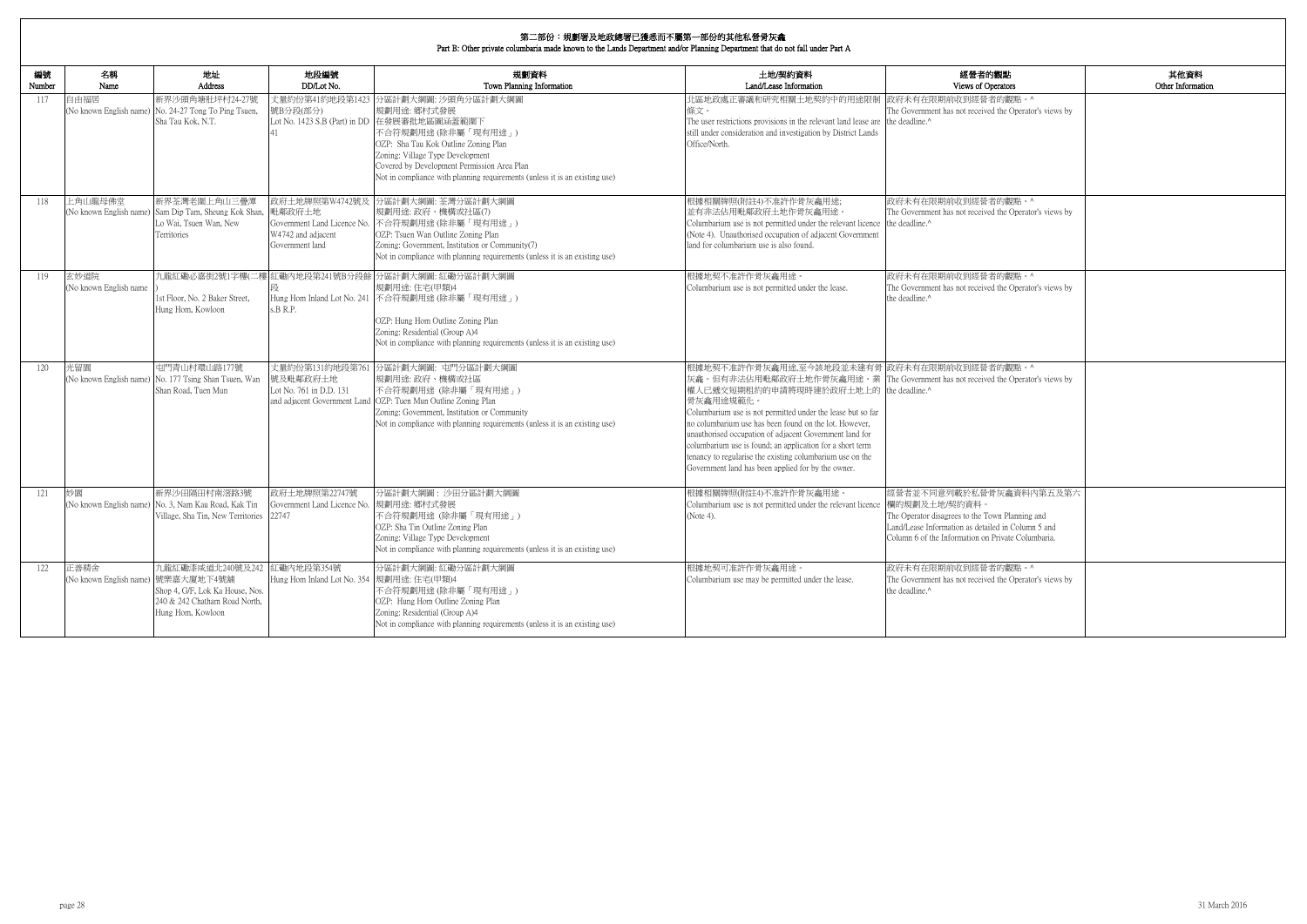| 的觀點<br>berators                                                                  | 其他資料<br>Other Information |
|----------------------------------------------------------------------------------|---------------------------|
| 者的觀點。^<br>ed the Operator's views by                                             |                           |
| 者的觀點。^<br>ed the Operator's views by                                             |                           |
| 者的觀點。^                                                                           |                           |
| ed the Operator's views by                                                       |                           |
| 者的觀點。^<br>ed the Operator's views by                                             |                           |
| 骨灰龕資料内第五及第六<br>own Planning and<br>iled in Column 5 and<br>1 Private Columbaria. |                           |
| 者的觀點。^<br>ed the Operator's views by                                             |                           |

| 編號<br>Number | 名稱<br>Name                                 | 地址<br>Address                                                                                                  | 地段編號<br>DD/Lot No.                                                | 規劃資料<br>Town Planning Information                                                                                                                                                                                                                                                                                                  | 土地/契約資料<br>Land/Lease Information                                                                                                                                                                                                                                                                                                                                                                                                                                                                                                                         | 經營者的觀點<br>Views of Operators                                                                                                                                                                            |
|--------------|--------------------------------------------|----------------------------------------------------------------------------------------------------------------|-------------------------------------------------------------------|------------------------------------------------------------------------------------------------------------------------------------------------------------------------------------------------------------------------------------------------------------------------------------------------------------------------------------|-----------------------------------------------------------------------------------------------------------------------------------------------------------------------------------------------------------------------------------------------------------------------------------------------------------------------------------------------------------------------------------------------------------------------------------------------------------------------------------------------------------------------------------------------------------|---------------------------------------------------------------------------------------------------------------------------------------------------------------------------------------------------------|
| 117          | 自由福居                                       | 新界沙頭角塘肚坪村24-27號<br>(No known English name) No. 24-27 Tong To Ping Tsuen,<br>Sha Tau Kok, N.T.                  | 號B分段(部分)                                                          | 丈量約份第41約地段第1423 分區計劃大綱圖: 沙頭角分區計劃大綱圖<br>規劃用途: 鄉村式發展<br>Lot No. 1423 S.B (Part) in DD 在發展審批地區圖涵蓋範圍下<br>不合符規劃用途 (除非屬「現有用途」)<br>OZP: Sha Tau Kok Outline Zoning Plan<br>Zoning: Village Type Development<br>Covered by Development Permission Area Plan<br>Not in compliance with planning requirements (unless it is an existing use) | 北區地政處正審議和研究相關土地契約中的用途限制 政府未有在限期前收到經營者的觀點。^<br>條文。<br>The user restrictions provisions in the relevant land lease are the deadline.<br>still under consideration and investigation by District Lands<br>Office/North.                                                                                                                                                                                                                                                                                                                                      | The Government has not received the Operator's views by                                                                                                                                                 |
| 118          | 上角山龍母佛堂                                    | 新界荃灣老圍上角山三疊潭<br>(No known English name) Sam Dip Tam, Sheung Kok Shan,<br>Lo Wai, Tsuen Wan, New<br>Territories | 毗鄰政府十地<br>W4742 and adjacent<br>Government land                   | 政府土地牌照第W4742號及 分區計劃大綱圖: 荃灣分區計劃大綱圖<br>規劃用途: 政府、機構或社區(7)<br>Government Land Licence No. 不合符規劃用途 (除非屬「現有用途」)<br>OZP: Tsuen Wan Outline Zoning Plan<br>Zoning: Government, Institution or Community(7)<br>Not in compliance with planning requirements (unless it is an existing use)                                                  | 根據相關牌照(附註4)不准許作骨灰龕用途;<br>並有非法佔用毗鄰政府土地作骨灰龕用途。<br>Columbarium use is not permitted under the relevant licence the deadline. <sup>^</sup><br>(Note 4). Unauthorised occupation of adjacent Government<br>land for columbarium use is also found.                                                                                                                                                                                                                                                                                                             | 政府未有在限期前收到經營者的觀點。^<br>The Government has not received the Operator's views by                                                                                                                           |
| 119          | 玄妙道院<br>(No known English name             | 1st Floor, No. 2 Baker Street,<br>Hung Hom, Kowloon                                                            | s.B.R.P.                                                          | 九龍紅磡必嘉街2號1字樓(二樓 紅磡內地段第241號B分段餘 分區計劃大綱圖: 紅磡分區計劃大綱圖<br>規劃用途:住宅(甲類)4<br>Hung Hom Inland Lot No. 241 不合符規劃用途 (除非屬「現有用途」)<br>OZP: Hung Hom Outline Zoning Plan<br>Zoning: Residential (Group A)4<br>Not in compliance with planning requirements (unless it is an existing use)                                                         | 根據地契不准許作骨灰龕用途。<br>Columbarium use is not permitted under the lease.                                                                                                                                                                                                                                                                                                                                                                                                                                                                                       | 政府未有在限期前收到經營者的觀點。^<br>The Government has not received the Operator's views by<br>the deadline ^                                                                                                         |
| 120          | 光留園                                        | 屯門青山村環山路177號<br>(No known English name) No. 177 Tsing Shan Tsuen, Wan<br>Shan Road, Tuen Mun                   | 號及毗鄰政府十地<br>Lot No. 761 in D.D. 131                               | 丈量約份第131約地段第761 分區計劃大綱圖: 屯門分區計劃大綱圖<br>規劃用途:政府、機構或社區<br>不合符規劃用途 (除非屬「現有用途」)<br>and adjacent Government Land   OZP: Tuen Mun Outline Zoning Plan<br>Zoning: Government, Institution or Community<br>Not in compliance with planning requirements (unless it is an existing use)                                                      | 根據地契不准許作骨灰龕用途,至今該地段並未建有骨 政府未有在限期前收到經營者的觀點。^<br>灰龕。但有非法佔用毗鄰政府土地作骨灰龕用途。業 The Government has not received the Operator's views by<br>權人已遞交短期租約的申請將現時建於政府土地上的 the deadline.^<br>骨灰龕用途規範化。<br>Columbarium use is not permitted under the lease but so far<br>no columbarium use has been found on the lot. However,<br>unauthorised occupation of adjacent Government land for<br>columbarium use is found; an application for a short term<br>tenancy to regularise the existing columbarium use on the<br>Government land has been applied for by the owner. |                                                                                                                                                                                                         |
| 121          | 妙園                                         | 新界沙田隔田村南滘路3號<br>(No known English name) No. 3, Nam Kau Road, Kak Tin<br>Village, Sha Tin, New Territories      | 政府土地牌照第22747號<br>Government Land Licence No. 規劃用途: 鄉村式發展<br>22747 | 分區計劃大綱圖: 沙田分區計劃大綱圖<br>不合符規劃用途 (除非屬「現有用途」)<br>OZP: Sha Tin Outline Zoning Plan<br>Zoning: Village Type Development<br>Not in compliance with planning requirements (unless it is an existing use)                                                                                                                                   | 根據相關牌照(附註4)不准許作骨灰龕用途。<br>Columbarium use is not permitted under the relevant licence<br>(Note 4).                                                                                                                                                                                                                                                                                                                                                                                                                                                         | 經營者並不同意列載於私營骨灰龕資料內第五及第六<br>欄的規劃及土地/契約資料。<br>The Operator disagrees to the Town Planning and<br>Land/Lease Information as detailed in Column 5 and<br>Column 6 of the Information on Private Columbaria. |
| 122          | 正善精舍<br>(No known English name) 號樂嘉大廈地下4號舖 | 九龍紅磡漆咸道北240號及242<br>Shop 4, G/F, Lok Ka House, Nos.<br>240 & 242 Chatham Road North,<br>Hung Hom, Kowloon      | 紅磡内地段第354號<br>Hung Hom Inland Lot No. 354 規劃用途: 住宅(甲類)4           | 分區計劃大綱圖: 紅磡分區計劃大綱圖<br>不合符規劃用途 (除非屬「現有用途」)<br>OZP: Hung Hom Outline Zoning Plan<br>Zoning: Residential (Group A)4<br>Not in compliance with planning requirements (unless it is an existing use)                                                                                                                                    | 根據地契可准許作骨灰龕用涂<br>Columbarium use may be permitted under the lease.                                                                                                                                                                                                                                                                                                                                                                                                                                                                                        | 政府未有在限期前收到經營者的觀點。^<br>The Government has not received the Operator's views by<br>the deadline.^                                                                                                         |